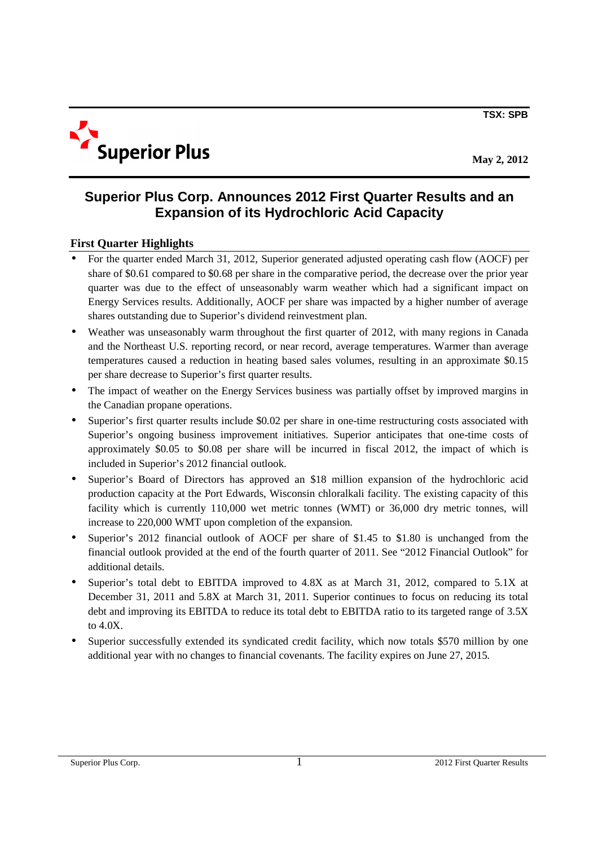

# **Superior Plus Corp. Announces 2012 First Quarter Results and an Expansion of its Hydrochloric Acid Capacity**

# **First Quarter Highlights**

- For the quarter ended March 31, 2012, Superior generated adjusted operating cash flow (AOCF) per share of \$0.61 compared to \$0.68 per share in the comparative period, the decrease over the prior year quarter was due to the effect of unseasonably warm weather which had a significant impact on Energy Services results. Additionally, AOCF per share was impacted by a higher number of average shares outstanding due to Superior's dividend reinvestment plan.
- Weather was unseasonably warm throughout the first quarter of 2012, with many regions in Canada and the Northeast U.S. reporting record, or near record, average temperatures. Warmer than average temperatures caused a reduction in heating based sales volumes, resulting in an approximate \$0.15 per share decrease to Superior's first quarter results.
- The impact of weather on the Energy Services business was partially offset by improved margins in the Canadian propane operations.
- Superior's first quarter results include \$0.02 per share in one-time restructuring costs associated with Superior's ongoing business improvement initiatives. Superior anticipates that one-time costs of approximately \$0.05 to \$0.08 per share will be incurred in fiscal 2012, the impact of which is included in Superior's 2012 financial outlook.
- Superior's Board of Directors has approved an \$18 million expansion of the hydrochloric acid production capacity at the Port Edwards, Wisconsin chloralkali facility. The existing capacity of this facility which is currently 110,000 wet metric tonnes (WMT) or 36,000 dry metric tonnes, will increase to 220,000 WMT upon completion of the expansion.
- Superior's 2012 financial outlook of AOCF per share of \$1.45 to \$1.80 is unchanged from the financial outlook provided at the end of the fourth quarter of 2011. See "2012 Financial Outlook" for additional details.
- Superior's total debt to EBITDA improved to 4.8X as at March 31, 2012, compared to 5.1X at December 31, 2011 and 5.8X at March 31, 2011. Superior continues to focus on reducing its total debt and improving its EBITDA to reduce its total debt to EBITDA ratio to its targeted range of 3.5X to 4.0X.
- Superior successfully extended its syndicated credit facility, which now totals \$570 million by one additional year with no changes to financial covenants. The facility expires on June 27, 2015.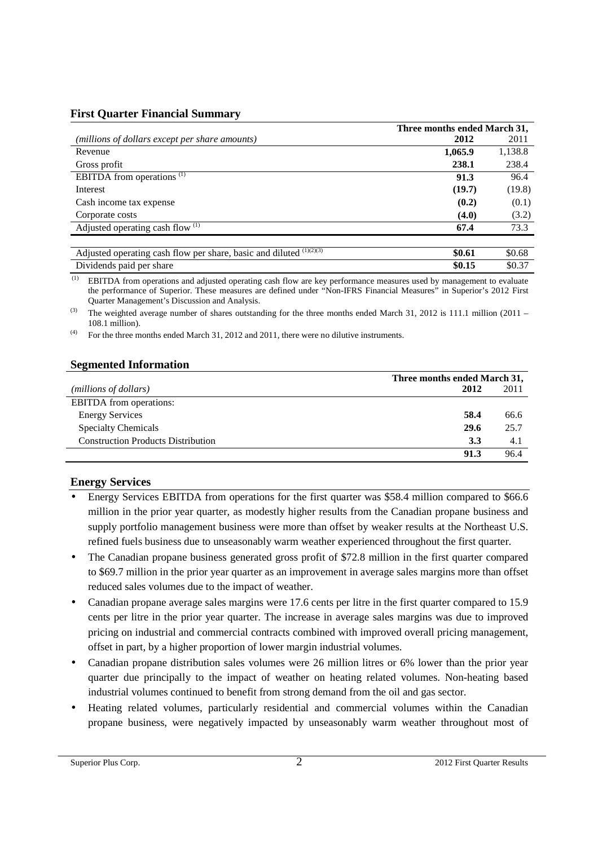# **First Quarter Financial Summary**

|                                                | Three months ended March 31, |         |
|------------------------------------------------|------------------------------|---------|
| (millions of dollars except per share amounts) | 2012                         | 2011    |
| Revenue                                        | 1,065.9                      | 1,138.8 |
| Gross profit                                   | 238.1                        | 238.4   |
| EBITDA from operations $(1)$                   | 91.3                         | 96.4    |
| Interest                                       | (19.7)                       | (19.8)  |
| Cash income tax expense                        | (0.2)                        | (0.1)   |
| Corporate costs                                | (4.0)                        | (3.2)   |
| Adjusted operating cash flow (1)               | 67.4                         | 73.3    |
|                                                |                              |         |

| Adjusted operating cash flow per share, basic and diluted $(1)(2)(3)$ | \$0.61 | \$0.68         |
|-----------------------------------------------------------------------|--------|----------------|
| Dividends paid per share                                              | \$0.15 | $$0.3^{\circ}$ |

 (1) EBITDA from operations and adjusted operating cash flow are key performance measures used by management to evaluate the performance of Superior. These measures are defined under "Non-IFRS Financial Measures" in Superior's 2012 First Quarter Management's Discussion and Analysis.

(3) The weighted average number of shares outstanding for the three months ended March 31, 2012 is 111.1 million (2011 – 108.1 million).

(4) For the three months ended March 31, 2012 and 2011, there were no dilutive instruments.

## **Segmented Information**

|                                           | Three months ended March 31, |      |
|-------------------------------------------|------------------------------|------|
| (millions of dollars)                     | 2012                         | 2011 |
| <b>EBITDA</b> from operations:            |                              |      |
| <b>Energy Services</b>                    | 58.4                         | 66.6 |
| <b>Specialty Chemicals</b>                | 29.6                         | 25.7 |
| <b>Construction Products Distribution</b> | 3.3                          | 4.1  |
|                                           | 91.3                         | 96.4 |

# **Energy Services**

- Energy Services EBITDA from operations for the first quarter was \$58.4 million compared to \$66.6 million in the prior year quarter, as modestly higher results from the Canadian propane business and supply portfolio management business were more than offset by weaker results at the Northeast U.S. refined fuels business due to unseasonably warm weather experienced throughout the first quarter.
- The Canadian propane business generated gross profit of \$72.8 million in the first quarter compared to \$69.7 million in the prior year quarter as an improvement in average sales margins more than offset reduced sales volumes due to the impact of weather.
- Canadian propane average sales margins were 17.6 cents per litre in the first quarter compared to 15.9 cents per litre in the prior year quarter. The increase in average sales margins was due to improved pricing on industrial and commercial contracts combined with improved overall pricing management, offset in part, by a higher proportion of lower margin industrial volumes.
- Canadian propane distribution sales volumes were 26 million litres or 6% lower than the prior year quarter due principally to the impact of weather on heating related volumes. Non-heating based industrial volumes continued to benefit from strong demand from the oil and gas sector.
- Heating related volumes, particularly residential and commercial volumes within the Canadian propane business, were negatively impacted by unseasonably warm weather throughout most of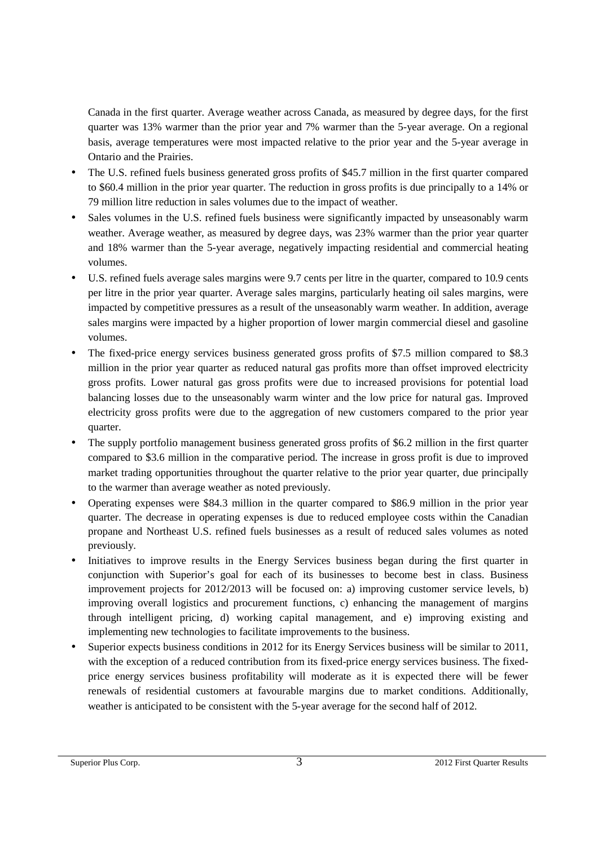Canada in the first quarter. Average weather across Canada, as measured by degree days, for the first quarter was 13% warmer than the prior year and 7% warmer than the 5-year average. On a regional basis, average temperatures were most impacted relative to the prior year and the 5-year average in Ontario and the Prairies.

- The U.S. refined fuels business generated gross profits of \$45.7 million in the first quarter compared to \$60.4 million in the prior year quarter. The reduction in gross profits is due principally to a 14% or 79 million litre reduction in sales volumes due to the impact of weather.
- Sales volumes in the U.S. refined fuels business were significantly impacted by unseasonably warm weather. Average weather, as measured by degree days, was 23% warmer than the prior year quarter and 18% warmer than the 5-year average, negatively impacting residential and commercial heating volumes.
- U.S. refined fuels average sales margins were 9.7 cents per litre in the quarter, compared to 10.9 cents per litre in the prior year quarter. Average sales margins, particularly heating oil sales margins, were impacted by competitive pressures as a result of the unseasonably warm weather. In addition, average sales margins were impacted by a higher proportion of lower margin commercial diesel and gasoline volumes.
- The fixed-price energy services business generated gross profits of \$7.5 million compared to \$8.3 million in the prior year quarter as reduced natural gas profits more than offset improved electricity gross profits. Lower natural gas gross profits were due to increased provisions for potential load balancing losses due to the unseasonably warm winter and the low price for natural gas. Improved electricity gross profits were due to the aggregation of new customers compared to the prior year quarter.
- The supply portfolio management business generated gross profits of \$6.2 million in the first quarter compared to \$3.6 million in the comparative period. The increase in gross profit is due to improved market trading opportunities throughout the quarter relative to the prior year quarter, due principally to the warmer than average weather as noted previously.
- Operating expenses were \$84.3 million in the quarter compared to \$86.9 million in the prior year quarter. The decrease in operating expenses is due to reduced employee costs within the Canadian propane and Northeast U.S. refined fuels businesses as a result of reduced sales volumes as noted previously.
- Initiatives to improve results in the Energy Services business began during the first quarter in conjunction with Superior's goal for each of its businesses to become best in class. Business improvement projects for 2012/2013 will be focused on: a) improving customer service levels, b) improving overall logistics and procurement functions, c) enhancing the management of margins through intelligent pricing, d) working capital management, and e) improving existing and implementing new technologies to facilitate improvements to the business.
- Superior expects business conditions in 2012 for its Energy Services business will be similar to 2011, with the exception of a reduced contribution from its fixed-price energy services business. The fixedprice energy services business profitability will moderate as it is expected there will be fewer renewals of residential customers at favourable margins due to market conditions. Additionally, weather is anticipated to be consistent with the 5-year average for the second half of 2012.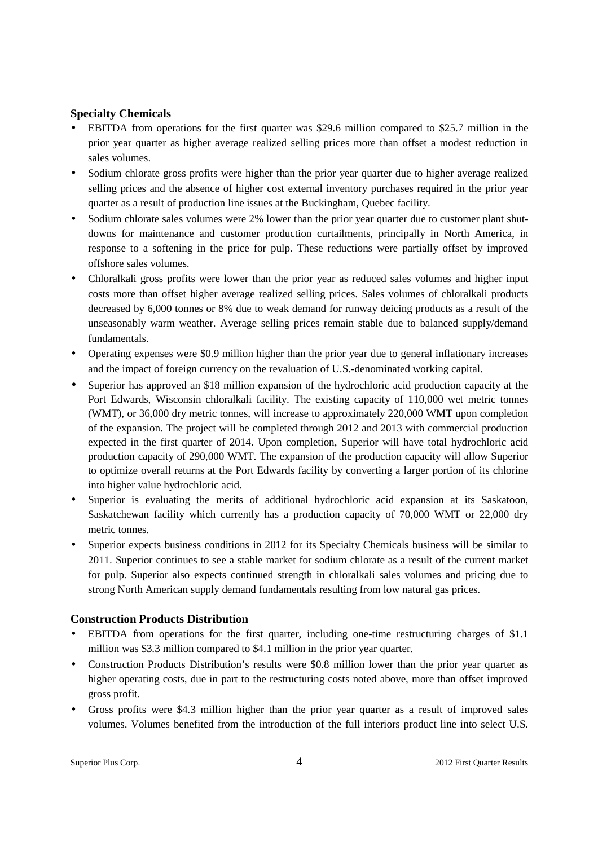# **Specialty Chemicals**

- EBITDA from operations for the first quarter was \$29.6 million compared to \$25.7 million in the prior year quarter as higher average realized selling prices more than offset a modest reduction in sales volumes.
- Sodium chlorate gross profits were higher than the prior year quarter due to higher average realized selling prices and the absence of higher cost external inventory purchases required in the prior year quarter as a result of production line issues at the Buckingham, Quebec facility.
- Sodium chlorate sales volumes were 2% lower than the prior year quarter due to customer plant shutdowns for maintenance and customer production curtailments, principally in North America, in response to a softening in the price for pulp. These reductions were partially offset by improved offshore sales volumes.
- Chloralkali gross profits were lower than the prior year as reduced sales volumes and higher input costs more than offset higher average realized selling prices. Sales volumes of chloralkali products decreased by 6,000 tonnes or 8% due to weak demand for runway deicing products as a result of the unseasonably warm weather. Average selling prices remain stable due to balanced supply/demand fundamentals.
- Operating expenses were \$0.9 million higher than the prior year due to general inflationary increases and the impact of foreign currency on the revaluation of U.S.-denominated working capital.
- Superior has approved an \$18 million expansion of the hydrochloric acid production capacity at the Port Edwards, Wisconsin chloralkali facility. The existing capacity of 110,000 wet metric tonnes (WMT), or 36,000 dry metric tonnes, will increase to approximately 220,000 WMT upon completion of the expansion. The project will be completed through 2012 and 2013 with commercial production expected in the first quarter of 2014. Upon completion, Superior will have total hydrochloric acid production capacity of 290,000 WMT. The expansion of the production capacity will allow Superior to optimize overall returns at the Port Edwards facility by converting a larger portion of its chlorine into higher value hydrochloric acid.
- Superior is evaluating the merits of additional hydrochloric acid expansion at its Saskatoon, Saskatchewan facility which currently has a production capacity of 70,000 WMT or 22,000 dry metric tonnes.
- Superior expects business conditions in 2012 for its Specialty Chemicals business will be similar to 2011. Superior continues to see a stable market for sodium chlorate as a result of the current market for pulp. Superior also expects continued strength in chloralkali sales volumes and pricing due to strong North American supply demand fundamentals resulting from low natural gas prices.

# **Construction Products Distribution**

- EBITDA from operations for the first quarter, including one-time restructuring charges of \$1.1 million was \$3.3 million compared to \$4.1 million in the prior year quarter.
- Construction Products Distribution's results were \$0.8 million lower than the prior year quarter as higher operating costs, due in part to the restructuring costs noted above, more than offset improved gross profit.
- Gross profits were \$4.3 million higher than the prior year quarter as a result of improved sales volumes. Volumes benefited from the introduction of the full interiors product line into select U.S.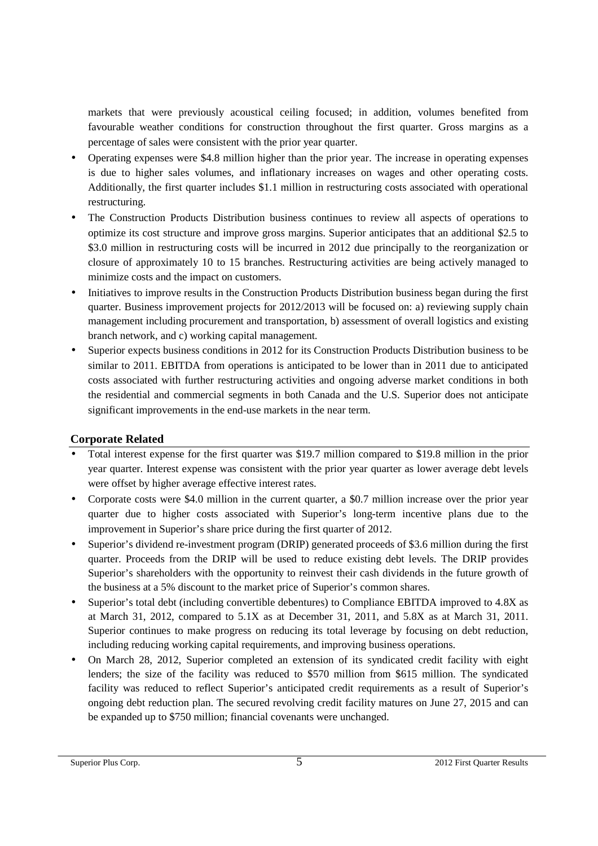markets that were previously acoustical ceiling focused; in addition, volumes benefited from favourable weather conditions for construction throughout the first quarter. Gross margins as a percentage of sales were consistent with the prior year quarter.

- Operating expenses were \$4.8 million higher than the prior year. The increase in operating expenses is due to higher sales volumes, and inflationary increases on wages and other operating costs. Additionally, the first quarter includes \$1.1 million in restructuring costs associated with operational restructuring.
- The Construction Products Distribution business continues to review all aspects of operations to optimize its cost structure and improve gross margins. Superior anticipates that an additional \$2.5 to \$3.0 million in restructuring costs will be incurred in 2012 due principally to the reorganization or closure of approximately 10 to 15 branches. Restructuring activities are being actively managed to minimize costs and the impact on customers.
- Initiatives to improve results in the Construction Products Distribution business began during the first quarter. Business improvement projects for 2012/2013 will be focused on: a) reviewing supply chain management including procurement and transportation, b) assessment of overall logistics and existing branch network, and c) working capital management.
- Superior expects business conditions in 2012 for its Construction Products Distribution business to be similar to 2011. EBITDA from operations is anticipated to be lower than in 2011 due to anticipated costs associated with further restructuring activities and ongoing adverse market conditions in both the residential and commercial segments in both Canada and the U.S. Superior does not anticipate significant improvements in the end-use markets in the near term.

# **Corporate Related**

- Total interest expense for the first quarter was \$19.7 million compared to \$19.8 million in the prior year quarter. Interest expense was consistent with the prior year quarter as lower average debt levels were offset by higher average effective interest rates.
- Corporate costs were \$4.0 million in the current quarter, a \$0.7 million increase over the prior year quarter due to higher costs associated with Superior's long-term incentive plans due to the improvement in Superior's share price during the first quarter of 2012.
- Superior's dividend re-investment program (DRIP) generated proceeds of \$3.6 million during the first quarter. Proceeds from the DRIP will be used to reduce existing debt levels. The DRIP provides Superior's shareholders with the opportunity to reinvest their cash dividends in the future growth of the business at a 5% discount to the market price of Superior's common shares.
- Superior's total debt (including convertible debentures) to Compliance EBITDA improved to 4.8X as at March 31, 2012, compared to 5.1X as at December 31, 2011, and 5.8X as at March 31, 2011. Superior continues to make progress on reducing its total leverage by focusing on debt reduction, including reducing working capital requirements, and improving business operations.
- On March 28, 2012, Superior completed an extension of its syndicated credit facility with eight lenders; the size of the facility was reduced to \$570 million from \$615 million. The syndicated facility was reduced to reflect Superior's anticipated credit requirements as a result of Superior's ongoing debt reduction plan. The secured revolving credit facility matures on June 27, 2015 and can be expanded up to \$750 million; financial covenants were unchanged.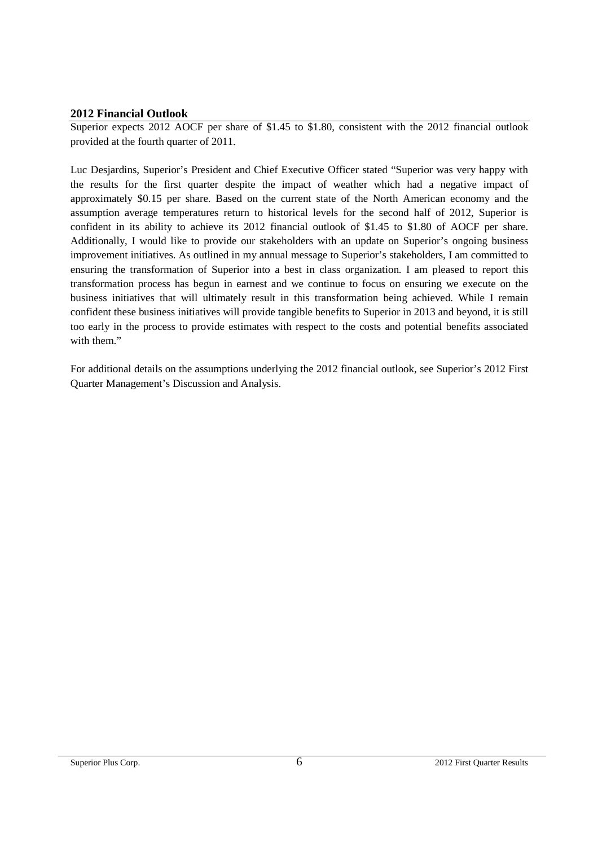# **2012 Financial Outlook**

Superior expects 2012 AOCF per share of \$1.45 to \$1.80, consistent with the 2012 financial outlook provided at the fourth quarter of 2011.

Luc Desjardins, Superior's President and Chief Executive Officer stated "Superior was very happy with the results for the first quarter despite the impact of weather which had a negative impact of approximately \$0.15 per share. Based on the current state of the North American economy and the assumption average temperatures return to historical levels for the second half of 2012, Superior is confident in its ability to achieve its 2012 financial outlook of \$1.45 to \$1.80 of AOCF per share. Additionally, I would like to provide our stakeholders with an update on Superior's ongoing business improvement initiatives. As outlined in my annual message to Superior's stakeholders, I am committed to ensuring the transformation of Superior into a best in class organization. I am pleased to report this transformation process has begun in earnest and we continue to focus on ensuring we execute on the business initiatives that will ultimately result in this transformation being achieved. While I remain confident these business initiatives will provide tangible benefits to Superior in 2013 and beyond, it is still too early in the process to provide estimates with respect to the costs and potential benefits associated with them."

For additional details on the assumptions underlying the 2012 financial outlook, see Superior's 2012 First Quarter Management's Discussion and Analysis.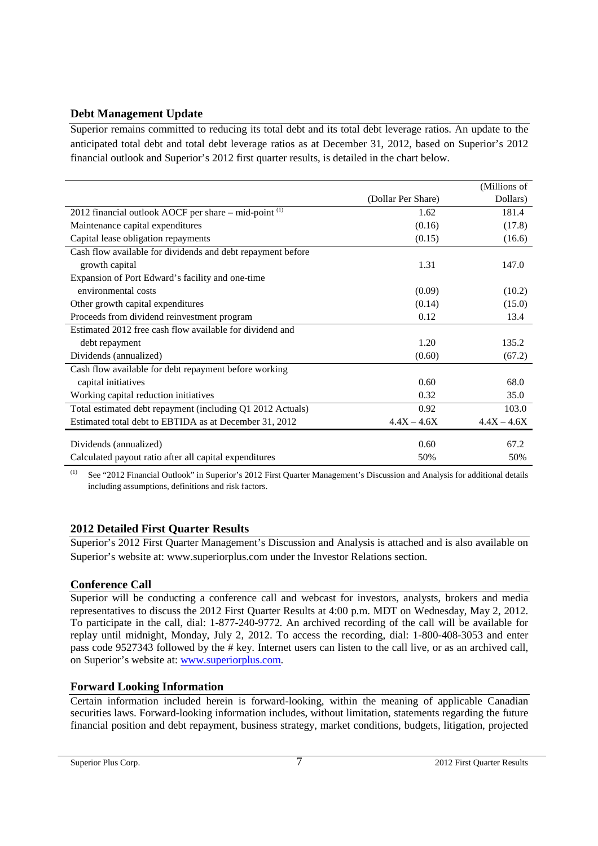# **Debt Management Update**

Superior remains committed to reducing its total debt and its total debt leverage ratios. An update to the anticipated total debt and total debt leverage ratios as at December 31, 2012, based on Superior's 2012 financial outlook and Superior's 2012 first quarter results, is detailed in the chart below.

|                                                             |                    | (Millions of  |
|-------------------------------------------------------------|--------------------|---------------|
|                                                             | (Dollar Per Share) | Dollars)      |
| 2012 financial outlook AOCF per share – mid-point $(1)$     | 1.62               | 181.4         |
| Maintenance capital expenditures                            | (0.16)             | (17.8)        |
| Capital lease obligation repayments                         | (0.15)             | (16.6)        |
| Cash flow available for dividends and debt repayment before |                    |               |
| growth capital                                              | 1.31               | 147.0         |
| Expansion of Port Edward's facility and one-time            |                    |               |
| environmental costs                                         | (0.09)             | (10.2)        |
| Other growth capital expenditures                           | (0.14)             | (15.0)        |
| Proceeds from dividend reinvestment program                 | 0.12               | 13.4          |
| Estimated 2012 free cash flow available for dividend and    |                    |               |
| debt repayment                                              | 1.20               | 135.2         |
| Dividends (annualized)                                      | (0.60)             | (67.2)        |
| Cash flow available for debt repayment before working       |                    |               |
| capital initiatives                                         | 0.60               | 68.0          |
| Working capital reduction initiatives                       | 0.32               | 35.0          |
| Total estimated debt repayment (including Q1 2012 Actuals)  | 0.92               | 103.0         |
| Estimated total debt to EBTIDA as at December 31, 2012      | $4.4X - 4.6X$      | $4.4X - 4.6X$ |
|                                                             |                    |               |
| Dividends (annualized)                                      | 0.60               | 67.2          |
| Calculated payout ratio after all capital expenditures      | 50%                | 50%           |

 $(1)$  See "2012 Financial Outlook" in Superior's 2012 First Quarter Management's Discussion and Analysis for additional details including assumptions, definitions and risk factors.

# **2012 Detailed First Quarter Results**

Superior's 2012 First Quarter Management's Discussion and Analysis is attached and is also available on Superior's website at: www.superiorplus.com under the Investor Relations section.

# **Conference Call**

Superior will be conducting a conference call and webcast for investors, analysts, brokers and media representatives to discuss the 2012 First Quarter Results at 4:00 p.m. MDT on Wednesday, May 2, 2012. To participate in the call, dial: 1-877-240-9772. An archived recording of the call will be available for replay until midnight, Monday, July 2, 2012. To access the recording, dial: 1-800-408-3053 and enter pass code 9527343 followed by the # key. Internet users can listen to the call live, or as an archived call, on Superior's website at: www.superiorplus.com.

# **Forward Looking Information**

Certain information included herein is forward-looking, within the meaning of applicable Canadian securities laws. Forward-looking information includes, without limitation, statements regarding the future financial position and debt repayment, business strategy, market conditions, budgets, litigation, projected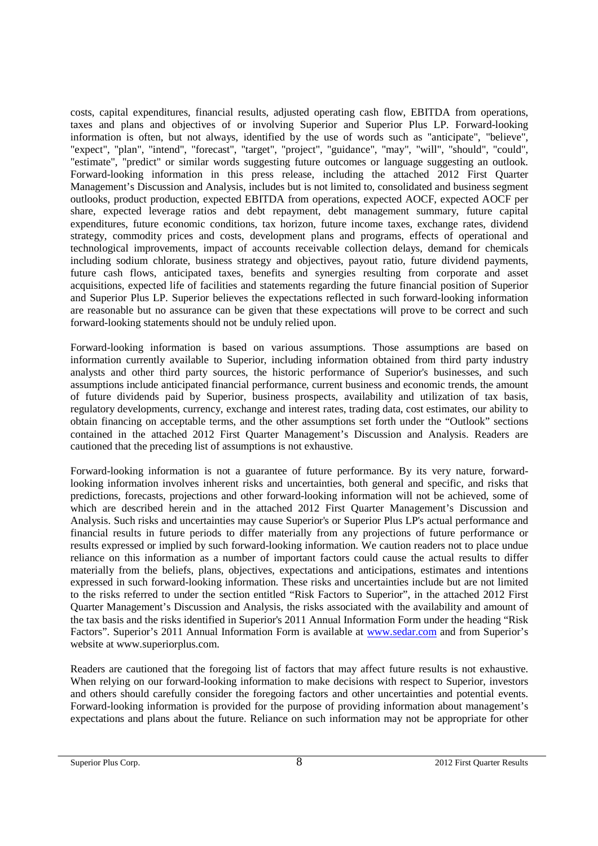costs, capital expenditures, financial results, adjusted operating cash flow, EBITDA from operations, taxes and plans and objectives of or involving Superior and Superior Plus LP. Forward-looking information is often, but not always, identified by the use of words such as "anticipate", "believe", "expect", "plan", "intend", "forecast", "target", "project", "guidance", "may", "will", "should", "could", "estimate", "predict" or similar words suggesting future outcomes or language suggesting an outlook. Forward-looking information in this press release, including the attached 2012 First Quarter Management's Discussion and Analysis, includes but is not limited to, consolidated and business segment outlooks, product production, expected EBITDA from operations, expected AOCF, expected AOCF per share, expected leverage ratios and debt repayment, debt management summary, future capital expenditures, future economic conditions, tax horizon, future income taxes, exchange rates, dividend strategy, commodity prices and costs, development plans and programs, effects of operational and technological improvements, impact of accounts receivable collection delays, demand for chemicals including sodium chlorate, business strategy and objectives, payout ratio, future dividend payments, future cash flows, anticipated taxes, benefits and synergies resulting from corporate and asset acquisitions, expected life of facilities and statements regarding the future financial position of Superior and Superior Plus LP. Superior believes the expectations reflected in such forward-looking information are reasonable but no assurance can be given that these expectations will prove to be correct and such forward-looking statements should not be unduly relied upon.

Forward-looking information is based on various assumptions. Those assumptions are based on information currently available to Superior, including information obtained from third party industry analysts and other third party sources, the historic performance of Superior's businesses, and such assumptions include anticipated financial performance, current business and economic trends, the amount of future dividends paid by Superior, business prospects, availability and utilization of tax basis, regulatory developments, currency, exchange and interest rates, trading data, cost estimates, our ability to obtain financing on acceptable terms, and the other assumptions set forth under the "Outlook" sections contained in the attached 2012 First Quarter Management's Discussion and Analysis. Readers are cautioned that the preceding list of assumptions is not exhaustive.

Forward-looking information is not a guarantee of future performance. By its very nature, forwardlooking information involves inherent risks and uncertainties, both general and specific, and risks that predictions, forecasts, projections and other forward-looking information will not be achieved, some of which are described herein and in the attached 2012 First Quarter Management's Discussion and Analysis. Such risks and uncertainties may cause Superior's or Superior Plus LP's actual performance and financial results in future periods to differ materially from any projections of future performance or results expressed or implied by such forward-looking information. We caution readers not to place undue reliance on this information as a number of important factors could cause the actual results to differ materially from the beliefs, plans, objectives, expectations and anticipations, estimates and intentions expressed in such forward-looking information. These risks and uncertainties include but are not limited to the risks referred to under the section entitled "Risk Factors to Superior", in the attached 2012 First Quarter Management's Discussion and Analysis, the risks associated with the availability and amount of the tax basis and the risks identified in Superior's 2011 Annual Information Form under the heading "Risk Factors". Superior's 2011 Annual Information Form is available at www.sedar.com and from Superior's website at www.superiorplus.com.

Readers are cautioned that the foregoing list of factors that may affect future results is not exhaustive. When relying on our forward-looking information to make decisions with respect to Superior, investors and others should carefully consider the foregoing factors and other uncertainties and potential events. Forward-looking information is provided for the purpose of providing information about management's expectations and plans about the future. Reliance on such information may not be appropriate for other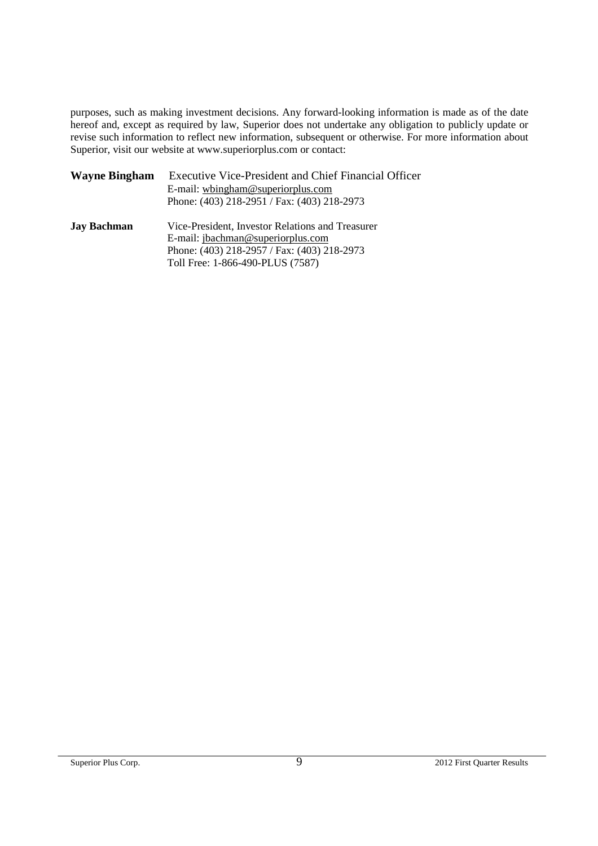purposes, such as making investment decisions. Any forward-looking information is made as of the date hereof and, except as required by law, Superior does not undertake any obligation to publicly update or revise such information to reflect new information, subsequent or otherwise. For more information about Superior, visit our website at www.superiorplus.com or contact:

| <b>Wayne Bingham</b> | <b>Executive Vice-President and Chief Financial Officer</b><br>E-mail: wbingham@superiorplus.com<br>Phone: (403) 218-2951 / Fax: (403) 218-2973                          |
|----------------------|--------------------------------------------------------------------------------------------------------------------------------------------------------------------------|
| <b>Jay Bachman</b>   | Vice-President, Investor Relations and Treasurer<br>E-mail: jbachman@superiorplus.com<br>Phone: (403) 218-2957 / Fax: (403) 218-2973<br>Toll Free: 1-866-490-PLUS (7587) |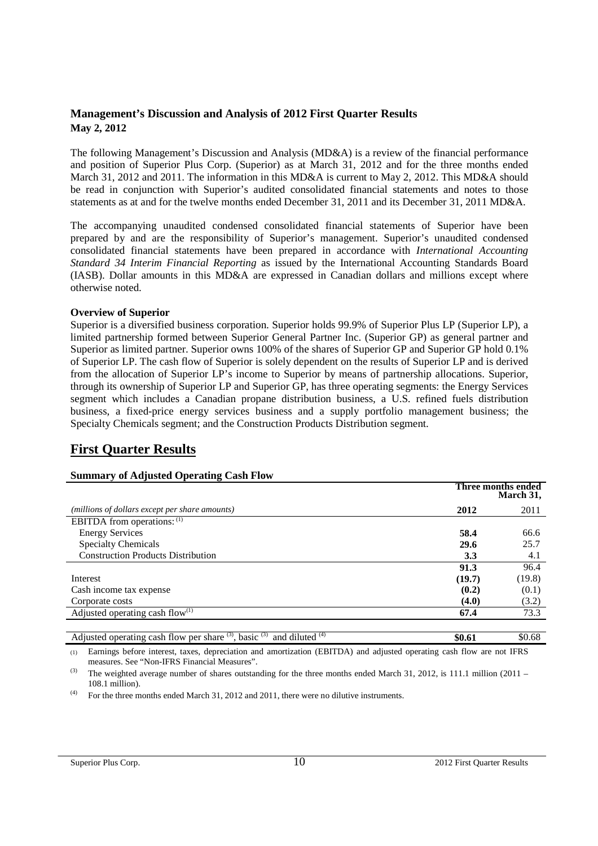# **Management's Discussion and Analysis of 2012 First Quarter Results May 2, 2012**

The following Management's Discussion and Analysis (MD&A) is a review of the financial performance and position of Superior Plus Corp. (Superior) as at March 31, 2012 and for the three months ended March 31, 2012 and 2011. The information in this MD&A is current to May 2, 2012. This MD&A should be read in conjunction with Superior's audited consolidated financial statements and notes to those statements as at and for the twelve months ended December 31, 2011 and its December 31, 2011 MD&A.

The accompanying unaudited condensed consolidated financial statements of Superior have been prepared by and are the responsibility of Superior's management. Superior's unaudited condensed consolidated financial statements have been prepared in accordance with *International Accounting Standard 34 Interim Financial Reporting* as issued by the International Accounting Standards Board (IASB). Dollar amounts in this MD&A are expressed in Canadian dollars and millions except where otherwise noted.

### **Overview of Superior**

Superior is a diversified business corporation. Superior holds 99.9% of Superior Plus LP (Superior LP), a limited partnership formed between Superior General Partner Inc. (Superior GP) as general partner and Superior as limited partner. Superior owns 100% of the shares of Superior GP and Superior GP hold 0.1% of Superior LP. The cash flow of Superior is solely dependent on the results of Superior LP and is derived from the allocation of Superior LP's income to Superior by means of partnership allocations. Superior, through its ownership of Superior LP and Superior GP, has three operating segments: the Energy Services segment which includes a Canadian propane distribution business, a U.S. refined fuels distribution business, a fixed-price energy services business and a supply portfolio management business; the Specialty Chemicals segment; and the Construction Products Distribution segment.

# **First Quarter Results**

# **Summary of Adjusted Operating Cash Flow**

|                                                |        | Three months ended<br>March 31, |
|------------------------------------------------|--------|---------------------------------|
| (millions of dollars except per share amounts) | 2012   | 2011                            |
| EBITDA from operations: (1)                    |        |                                 |
| <b>Energy Services</b>                         | 58.4   | 66.6                            |
| <b>Specialty Chemicals</b>                     | 29.6   | 25.7                            |
| <b>Construction Products Distribution</b>      | 3.3    | 4.1                             |
|                                                | 91.3   | 96.4                            |
| Interest                                       | (19.7) | (19.8)                          |
| Cash income tax expense                        | (0.2)  | (0.1)                           |
| Corporate costs                                | (4.0)  | (3.2)                           |
| Adjusted operating cash flow $^{(1)}$          | 67.4   | 73.3                            |
|                                                |        |                                 |

Adjusted operating cash flow per share  $(3)$ , basic  $(3)$  and diluted  $(4)$ **\$0.61** \$0.68

(1) Earnings before interest, taxes, depreciation and amortization (EBITDA) and adjusted operating cash flow are not IFRS measures. See "Non-IFRS Financial Measures".

The weighted average number of shares outstanding for the three months ended March 31, 2012, is 111.1 million (2011 – 108.1 million).

(4) For the three months ended March 31, 2012 and 2011, there were no dilutive instruments.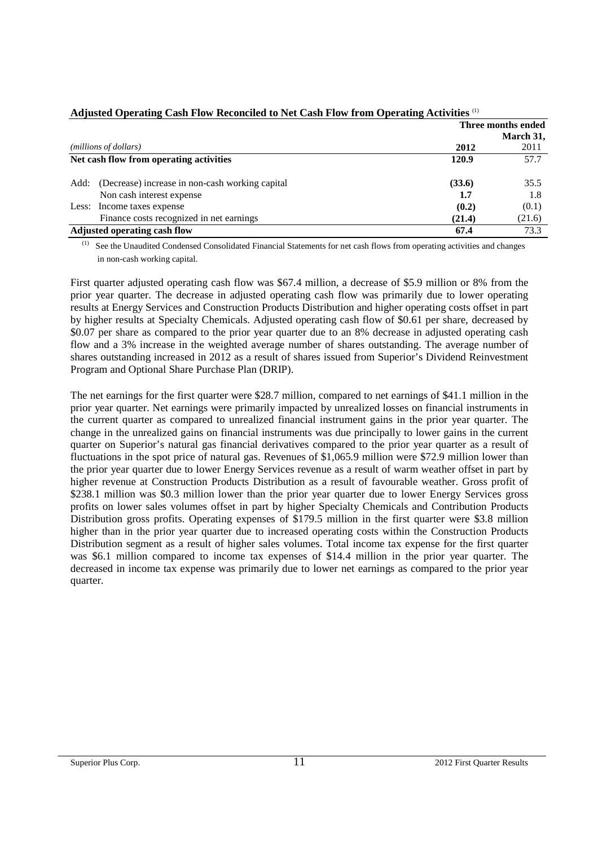|       |                                                 |        | Three months ended |
|-------|-------------------------------------------------|--------|--------------------|
|       |                                                 |        | March 31,          |
|       | (millions of dollars)                           | 2012   | 2011               |
|       | Net cash flow from operating activities         | 120.9  | 57.7               |
| Add:  | (Decrease) increase in non-cash working capital | (33.6) | 35.5               |
|       | Non cash interest expense                       | 1.7    | 1.8                |
| Less: | Income taxes expense                            | (0.2)  | (0.1)              |
|       | Finance costs recognized in net earnings        | (21.4) | (21.6)             |
|       | <b>Adjusted operating cash flow</b>             | 67.4   | 73.3               |

# **Adjusted Operating Cash Flow Reconciled to Net Cash Flow from Operating Activities** (1)

(1) See the Unaudited Condensed Consolidated Financial Statements for net cash flows from operating activities and changes in non-cash working capital.

First quarter adjusted operating cash flow was \$67.4 million, a decrease of \$5.9 million or 8% from the prior year quarter. The decrease in adjusted operating cash flow was primarily due to lower operating results at Energy Services and Construction Products Distribution and higher operating costs offset in part by higher results at Specialty Chemicals. Adjusted operating cash flow of \$0.61 per share, decreased by \$0.07 per share as compared to the prior year quarter due to an 8% decrease in adjusted operating cash flow and a 3% increase in the weighted average number of shares outstanding. The average number of shares outstanding increased in 2012 as a result of shares issued from Superior's Dividend Reinvestment Program and Optional Share Purchase Plan (DRIP).

The net earnings for the first quarter were \$28.7 million, compared to net earnings of \$41.1 million in the prior year quarter. Net earnings were primarily impacted by unrealized losses on financial instruments in the current quarter as compared to unrealized financial instrument gains in the prior year quarter. The change in the unrealized gains on financial instruments was due principally to lower gains in the current quarter on Superior's natural gas financial derivatives compared to the prior year quarter as a result of fluctuations in the spot price of natural gas. Revenues of \$1,065.9 million were \$72.9 million lower than the prior year quarter due to lower Energy Services revenue as a result of warm weather offset in part by higher revenue at Construction Products Distribution as a result of favourable weather. Gross profit of \$238.1 million was \$0.3 million lower than the prior year quarter due to lower Energy Services gross profits on lower sales volumes offset in part by higher Specialty Chemicals and Contribution Products Distribution gross profits. Operating expenses of \$179.5 million in the first quarter were \$3.8 million higher than in the prior year quarter due to increased operating costs within the Construction Products Distribution segment as a result of higher sales volumes. Total income tax expense for the first quarter was \$6.1 million compared to income tax expenses of \$14.4 million in the prior year quarter. The decreased in income tax expense was primarily due to lower net earnings as compared to the prior year quarter.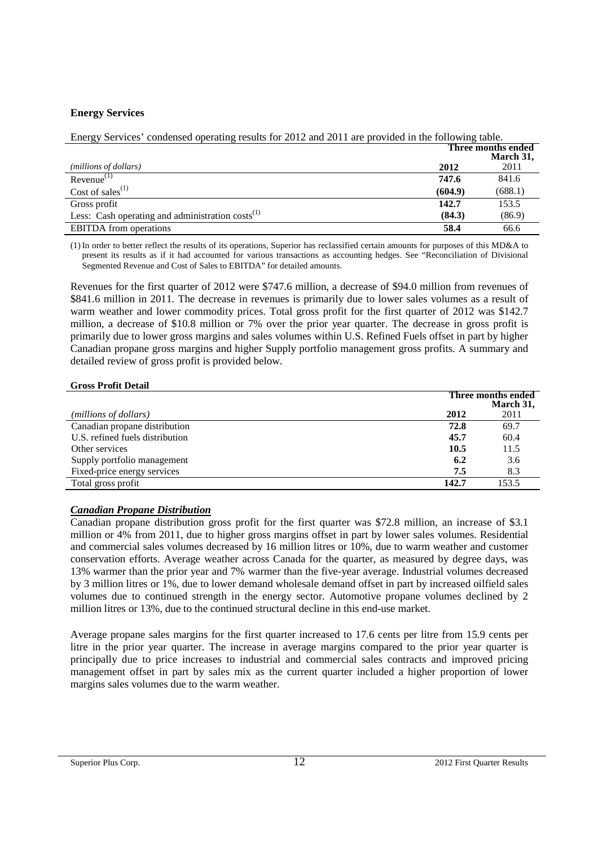### **Energy Services**

Energy Services' condensed operating results for 2012 and 2011 are provided in the following table.

|                                                       | Three months ended |           |
|-------------------------------------------------------|--------------------|-----------|
|                                                       |                    | March 31, |
| (millions of dollars)                                 | 2012               | 2011      |
| $Revenue^{(1)}$                                       | 747.6              | 841.6     |
| Cost of sales <sup><math>(1)</math></sup>             | (604.9)            | (688.1)   |
| Gross profit                                          | 142.7              | 153.5     |
| Less: Cash operating and administration $costs^{(1)}$ | (84.3)             | (86.9)    |
| <b>EBITDA</b> from operations                         | 58.4               | 66.6      |

(1)In order to better reflect the results of its operations, Superior has reclassified certain amounts for purposes of this MD&A to present its results as if it had accounted for various transactions as accounting hedges. See "Reconciliation of Divisional Segmented Revenue and Cost of Sales to EBITDA" for detailed amounts.

Revenues for the first quarter of 2012 were \$747.6 million, a decrease of \$94.0 million from revenues of \$841.6 million in 2011. The decrease in revenues is primarily due to lower sales volumes as a result of warm weather and lower commodity prices. Total gross profit for the first quarter of 2012 was \$142.7 million, a decrease of \$10.8 million or 7% over the prior year quarter. The decrease in gross profit is primarily due to lower gross margins and sales volumes within U.S. Refined Fuels offset in part by higher Canadian propane gross margins and higher Supply portfolio management gross profits. A summary and detailed review of gross profit is provided below.

### **Gross Profit Detail**

|                                 | Three months ended<br>March 31, |       |
|---------------------------------|---------------------------------|-------|
| (millions of dollars)           | 2012                            | 2011  |
| Canadian propane distribution   | 72.8                            | 69.7  |
| U.S. refined fuels distribution | 45.7                            | 60.4  |
| Other services                  | 10.5                            | 11.5  |
| Supply portfolio management     | 6.2                             | 3.6   |
| Fixed-price energy services     | 7.5                             | 8.3   |
| Total gross profit              | 142.7                           | 153.5 |

### *Canadian Propane Distribution*

Canadian propane distribution gross profit for the first quarter was \$72.8 million, an increase of \$3.1 million or 4% from 2011, due to higher gross margins offset in part by lower sales volumes. Residential and commercial sales volumes decreased by 16 million litres or 10%, due to warm weather and customer conservation efforts. Average weather across Canada for the quarter, as measured by degree days, was 13% warmer than the prior year and 7% warmer than the five-year average. Industrial volumes decreased by 3 million litres or 1%, due to lower demand wholesale demand offset in part by increased oilfield sales volumes due to continued strength in the energy sector. Automotive propane volumes declined by 2 million litres or 13%, due to the continued structural decline in this end-use market.

Average propane sales margins for the first quarter increased to 17.6 cents per litre from 15.9 cents per litre in the prior year quarter. The increase in average margins compared to the prior year quarter is principally due to price increases to industrial and commercial sales contracts and improved pricing management offset in part by sales mix as the current quarter included a higher proportion of lower margins sales volumes due to the warm weather.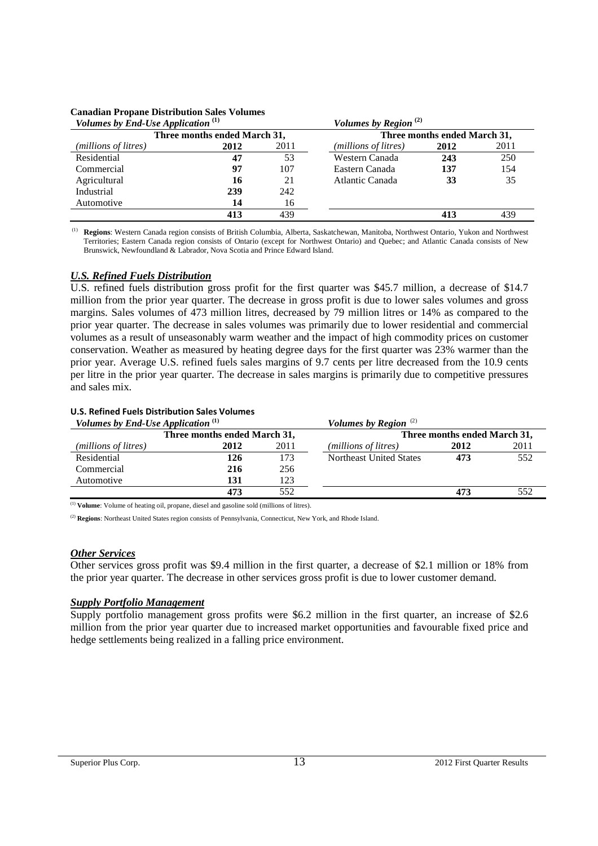|                               | Volumes by End-Use Application $(1)$ |      | Volumes by Region <sup>(2)</sup> |      |      |
|-------------------------------|--------------------------------------|------|----------------------------------|------|------|
| Three months ended March 31,  |                                      |      | Three months ended March 31,     |      |      |
| ( <i>millions of litres</i> ) | 2012                                 | 2011 | (millions of litres)             | 2012 | 2011 |
| Residential                   | 47                                   | 53   | Western Canada                   | 243  | 250  |
| Commercial                    | 97                                   | 107  | Eastern Canada                   | 137  | 154  |
| Agricultural                  | 16                                   | 21   | Atlantic Canada                  | 33   | 35   |
| Industrial                    | 239                                  | 242  |                                  |      |      |
| Automotive                    | 14                                   | 16   |                                  |      |      |
|                               | 413                                  | 439  |                                  | 413  | 439  |

### **Canadian Propane Distribution Sales Volumes**

(1) **Regions**: Western Canada region consists of British Columbia, Alberta, Saskatchewan, Manitoba, Northwest Ontario, Yukon and Northwest Territories; Eastern Canada region consists of Ontario (except for Northwest Ontario) and Quebec; and Atlantic Canada consists of New Brunswick, Newfoundland & Labrador, Nova Scotia and Prince Edward Island.

## *U.S. Refined Fuels Distribution*

U.S. refined fuels distribution gross profit for the first quarter was \$45.7 million, a decrease of \$14.7 million from the prior year quarter. The decrease in gross profit is due to lower sales volumes and gross margins. Sales volumes of 473 million litres, decreased by 79 million litres or 14% as compared to the prior year quarter. The decrease in sales volumes was primarily due to lower residential and commercial volumes as a result of unseasonably warm weather and the impact of high commodity prices on customer conservation. Weather as measured by heating degree days for the first quarter was 23% warmer than the prior year. Average U.S. refined fuels sales margins of 9.7 cents per litre decreased from the 10.9 cents per litre in the prior year quarter. The decrease in sales margins is primarily due to competitive pressures and sales mix.

### **U.S. Refined Fuels Distribution Sales Volumes**

| Volumes by End-Use Application $(1)$ |      |      | Volumes by Region $(2)$        |      |      |
|--------------------------------------|------|------|--------------------------------|------|------|
| Three months ended March 31,         |      |      | Three months ended March 31,   |      |      |
| (millions of litres)                 | 2012 | 2011 | ( <i>millions of litres</i> )  | 2012 | 2011 |
| Residential                          | 126  | 173  | <b>Northeast United States</b> | 473  | 552  |
| Commercial                           | 216  | 256  |                                |      |      |
| Automotive                           | 131  | 123  |                                |      |      |
|                                      | 473  | 552  |                                | 473  | 552  |
| <b>1999 11:53 11:53 11:53</b>        |      |      |                                |      |      |

(1) **Volume**: Volume of heating oil, propane, diesel and gasoline sold (millions of litres).

<sup>(2)</sup> **Regions**: Northeast United States region consists of Pennsylvania, Connecticut, New York, and Rhode Island.

### *Other Services*

Other services gross profit was \$9.4 million in the first quarter, a decrease of \$2.1 million or 18% from the prior year quarter. The decrease in other services gross profit is due to lower customer demand.

### *Supply Portfolio Management*

Supply portfolio management gross profits were \$6.2 million in the first quarter, an increase of \$2.6 million from the prior year quarter due to increased market opportunities and favourable fixed price and hedge settlements being realized in a falling price environment.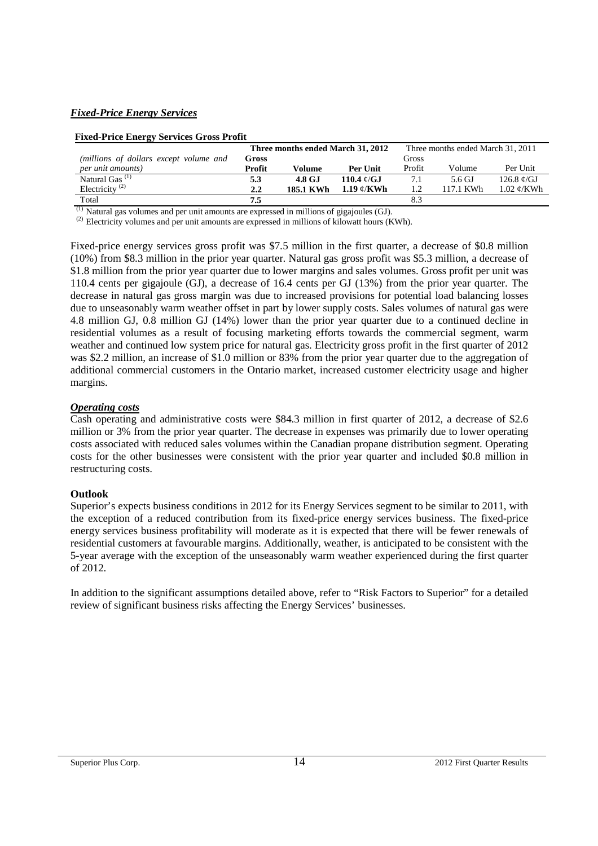## *Fixed-Price Energy Services*

|                                         | Three months ended March 31, 2012 |                  |                        |        | Three months ended March 31, 2011 |                               |
|-----------------------------------------|-----------------------------------|------------------|------------------------|--------|-----------------------------------|-------------------------------|
| (millions of dollars except volume and  | Gross                             |                  |                        | Gross  |                                   |                               |
| per unit amounts)                       | <b>Profit</b>                     | Volume           | Per Unit               | Profit | Volume                            | Per Unit                      |
| Natural Gas $(1)$                       | 5.3                               | 4.8 G.I          | 110.4 $c/GJ$           | 7.1    | 5.6 GJ                            | 126.8 $\mathcal{C}/\text{GJ}$ |
| Electricity <sup><math>(2)</math></sup> | 2.2                               | <b>185.1 KWh</b> | 1.19 $\mathcal{C}/KWh$ | 1.2    | 117.1 KWh                         | 1.02 $\epsilon$ /KWh          |
| Total                                   | 7.5                               |                  |                        | 8.3    |                                   |                               |

**Fixed-Price Energy Services Gross Profit** 

(1) Natural gas volumes and per unit amounts are expressed in millions of gigajoules (GJ).

<sup>(2)</sup> Electricity volumes and per unit amounts are expressed in millions of kilowatt hours (KWh).

Fixed-price energy services gross profit was \$7.5 million in the first quarter, a decrease of \$0.8 million (10%) from \$8.3 million in the prior year quarter. Natural gas gross profit was \$5.3 million, a decrease of \$1.8 million from the prior year quarter due to lower margins and sales volumes. Gross profit per unit was 110.4 cents per gigajoule (GJ), a decrease of 16.4 cents per GJ (13%) from the prior year quarter. The decrease in natural gas gross margin was due to increased provisions for potential load balancing losses due to unseasonably warm weather offset in part by lower supply costs. Sales volumes of natural gas were 4.8 million GJ, 0.8 million GJ (14%) lower than the prior year quarter due to a continued decline in residential volumes as a result of focusing marketing efforts towards the commercial segment, warm weather and continued low system price for natural gas. Electricity gross profit in the first quarter of 2012 was \$2.2 million, an increase of \$1.0 million or 83% from the prior year quarter due to the aggregation of additional commercial customers in the Ontario market, increased customer electricity usage and higher margins.

### *Operating costs*

Cash operating and administrative costs were \$84.3 million in first quarter of 2012, a decrease of \$2.6 million or 3% from the prior year quarter. The decrease in expenses was primarily due to lower operating costs associated with reduced sales volumes within the Canadian propane distribution segment. Operating costs for the other businesses were consistent with the prior year quarter and included \$0.8 million in restructuring costs.

# **Outlook**

Superior's expects business conditions in 2012 for its Energy Services segment to be similar to 2011, with the exception of a reduced contribution from its fixed-price energy services business. The fixed-price energy services business profitability will moderate as it is expected that there will be fewer renewals of residential customers at favourable margins. Additionally, weather, is anticipated to be consistent with the 5-year average with the exception of the unseasonably warm weather experienced during the first quarter of 2012.

In addition to the significant assumptions detailed above, refer to "Risk Factors to Superior" for a detailed review of significant business risks affecting the Energy Services' businesses.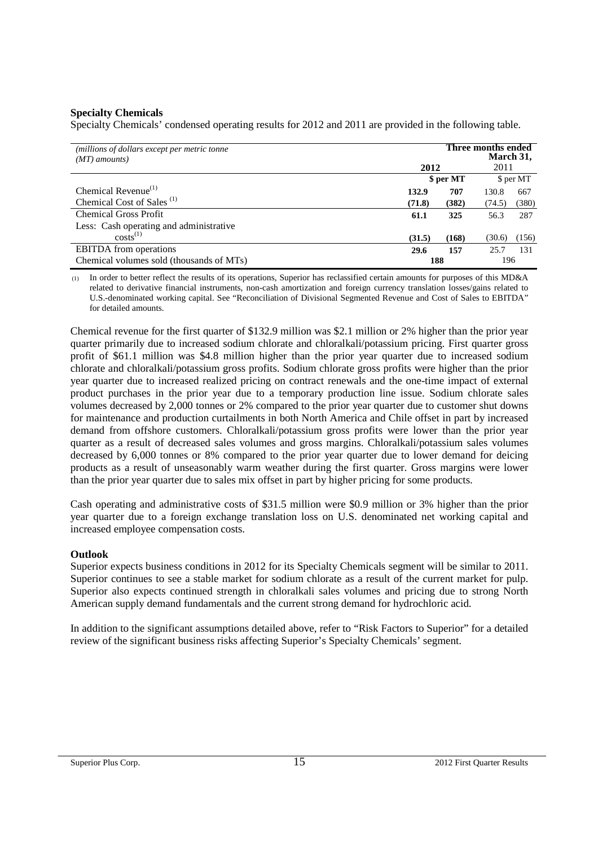### **Specialty Chemicals**

Specialty Chemicals' condensed operating results for 2012 and 2011 are provided in the following table.

| (millions of dollars except per metric tonne<br>$(MT)$ amounts) |        | Three months ended<br>March 31,<br>2011<br>2012 |        |           |  |
|-----------------------------------------------------------------|--------|-------------------------------------------------|--------|-----------|--|
|                                                                 |        |                                                 |        |           |  |
|                                                                 |        | \$ per MT                                       |        | \$ per MT |  |
| Chemical Revenue $^{(1)}$                                       | 132.9  | 707                                             | 130.8  | 667       |  |
| Chemical Cost of Sales <sup>(1)</sup>                           | (71.8) | (382)                                           | (74.5) | (380)     |  |
| <b>Chemical Gross Profit</b>                                    | 61.1   | 325                                             | 56.3   | 287       |  |
| Less: Cash operating and administrative                         |        |                                                 |        |           |  |
| $costs^{(1)}$                                                   | (31.5) | (168)                                           | (30.6) | (156)     |  |
| <b>EBITDA</b> from operations                                   | 29.6   | 157                                             | 25.7   | 131       |  |
| Chemical volumes sold (thousands of MTs)                        |        | 188                                             |        | 196       |  |

(1) In order to better reflect the results of its operations, Superior has reclassified certain amounts for purposes of this MD&A related to derivative financial instruments, non-cash amortization and foreign currency translation losses/gains related to U.S.-denominated working capital. See "Reconciliation of Divisional Segmented Revenue and Cost of Sales to EBITDA" for detailed amounts.

Chemical revenue for the first quarter of \$132.9 million was \$2.1 million or 2% higher than the prior year quarter primarily due to increased sodium chlorate and chloralkali/potassium pricing. First quarter gross profit of \$61.1 million was \$4.8 million higher than the prior year quarter due to increased sodium chlorate and chloralkali/potassium gross profits. Sodium chlorate gross profits were higher than the prior year quarter due to increased realized pricing on contract renewals and the one-time impact of external product purchases in the prior year due to a temporary production line issue. Sodium chlorate sales volumes decreased by 2,000 tonnes or 2% compared to the prior year quarter due to customer shut downs for maintenance and production curtailments in both North America and Chile offset in part by increased demand from offshore customers. Chloralkali/potassium gross profits were lower than the prior year quarter as a result of decreased sales volumes and gross margins. Chloralkali/potassium sales volumes decreased by 6,000 tonnes or 8% compared to the prior year quarter due to lower demand for deicing products as a result of unseasonably warm weather during the first quarter. Gross margins were lower than the prior year quarter due to sales mix offset in part by higher pricing for some products.

Cash operating and administrative costs of \$31.5 million were \$0.9 million or 3% higher than the prior year quarter due to a foreign exchange translation loss on U.S. denominated net working capital and increased employee compensation costs.

# **Outlook**

Superior expects business conditions in 2012 for its Specialty Chemicals segment will be similar to 2011. Superior continues to see a stable market for sodium chlorate as a result of the current market for pulp. Superior also expects continued strength in chloralkali sales volumes and pricing due to strong North American supply demand fundamentals and the current strong demand for hydrochloric acid.

In addition to the significant assumptions detailed above, refer to "Risk Factors to Superior" for a detailed review of the significant business risks affecting Superior's Specialty Chemicals' segment.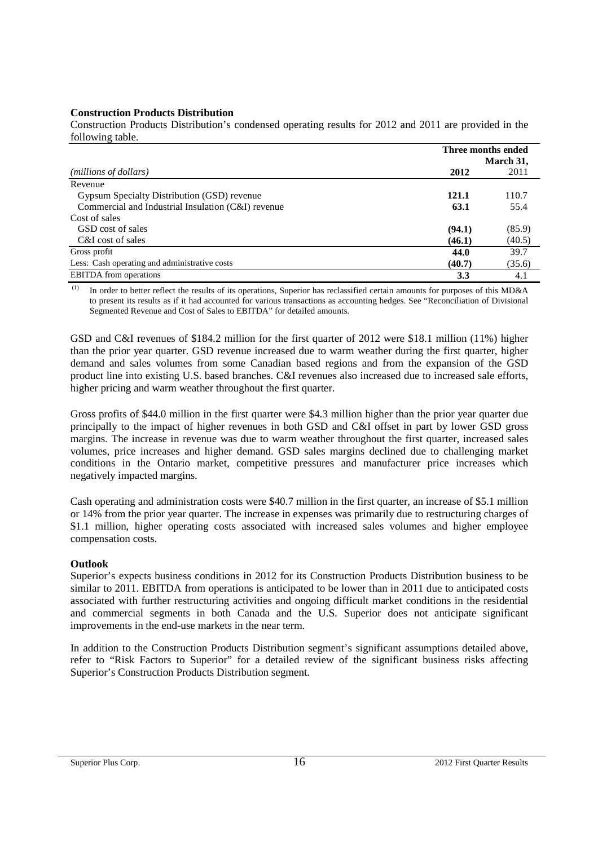### **Construction Products Distribution**

Construction Products Distribution's condensed operating results for 2012 and 2011 are provided in the following table.

|                                                    | Three months ended |           |  |
|----------------------------------------------------|--------------------|-----------|--|
|                                                    |                    | March 31, |  |
| ( <i>millions of dollars</i> )                     | 2012               | 2011      |  |
| Revenue                                            |                    |           |  |
| Gypsum Specialty Distribution (GSD) revenue        | 121.1              | 110.7     |  |
| Commercial and Industrial Insulation (C&I) revenue | 63.1               | 55.4      |  |
| Cost of sales                                      |                    |           |  |
| GSD cost of sales                                  | (94.1)             | (85.9)    |  |
| C&I cost of sales                                  | (46.1)             | (40.5)    |  |
| Gross profit                                       | 44.0               | 39.7      |  |
| Less: Cash operating and administrative costs      | (40.7)             | (35.6)    |  |
| <b>EBITDA</b> from operations                      | 3.3                | 4.1       |  |

In order to better reflect the results of its operations, Superior has reclassified certain amounts for purposes of this MD&A to present its results as if it had accounted for various transactions as accounting hedges. See "Reconciliation of Divisional Segmented Revenue and Cost of Sales to EBITDA" for detailed amounts.

GSD and C&I revenues of \$184.2 million for the first quarter of 2012 were \$18.1 million (11%) higher than the prior year quarter. GSD revenue increased due to warm weather during the first quarter, higher demand and sales volumes from some Canadian based regions and from the expansion of the GSD product line into existing U.S. based branches. C&I revenues also increased due to increased sale efforts, higher pricing and warm weather throughout the first quarter.

Gross profits of \$44.0 million in the first quarter were \$4.3 million higher than the prior year quarter due principally to the impact of higher revenues in both GSD and C&I offset in part by lower GSD gross margins. The increase in revenue was due to warm weather throughout the first quarter, increased sales volumes, price increases and higher demand. GSD sales margins declined due to challenging market conditions in the Ontario market, competitive pressures and manufacturer price increases which negatively impacted margins.

Cash operating and administration costs were \$40.7 million in the first quarter, an increase of \$5.1 million or 14% from the prior year quarter. The increase in expenses was primarily due to restructuring charges of \$1.1 million, higher operating costs associated with increased sales volumes and higher employee compensation costs.

# **Outlook**

Superior's expects business conditions in 2012 for its Construction Products Distribution business to be similar to 2011. EBITDA from operations is anticipated to be lower than in 2011 due to anticipated costs associated with further restructuring activities and ongoing difficult market conditions in the residential and commercial segments in both Canada and the U.S. Superior does not anticipate significant improvements in the end-use markets in the near term.

In addition to the Construction Products Distribution segment's significant assumptions detailed above, refer to "Risk Factors to Superior" for a detailed review of the significant business risks affecting Superior's Construction Products Distribution segment.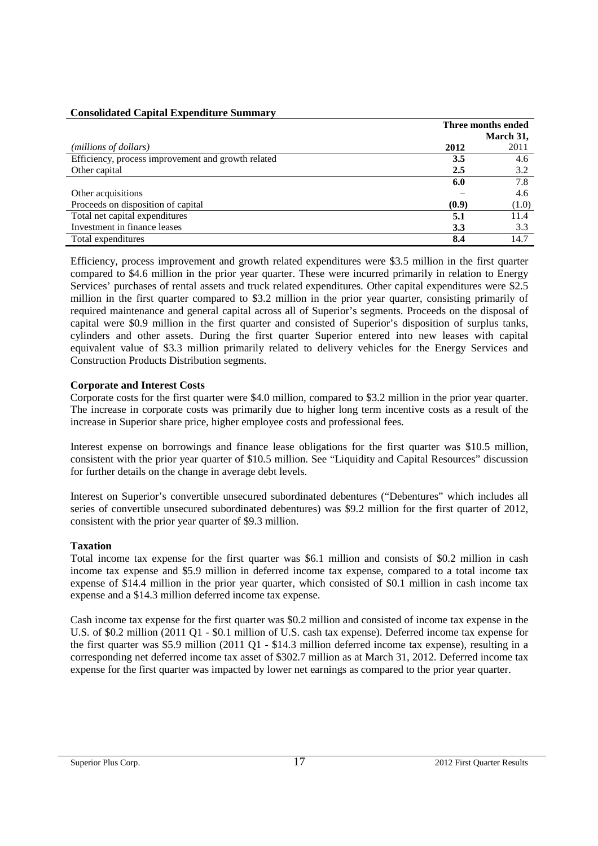## **Consolidated Capital Expenditure Summary**

|                                                    | Three months ended |           |
|----------------------------------------------------|--------------------|-----------|
|                                                    |                    | March 31, |
| (millions of dollars)                              | 2012               | 2011      |
| Efficiency, process improvement and growth related | 3.5                | 4.6       |
| Other capital                                      | 2.5                | 3.2       |
|                                                    | 6.0                | 7.8       |
| Other acquisitions                                 |                    | 4.6       |
| Proceeds on disposition of capital                 | (0.9)              | (1.0)     |
| Total net capital expenditures                     | 5.1                | 11.4      |
| Investment in finance leases                       | 3.3                | 3.3       |
| Total expenditures                                 | 8.4                | 14.7      |

Efficiency, process improvement and growth related expenditures were \$3.5 million in the first quarter compared to \$4.6 million in the prior year quarter. These were incurred primarily in relation to Energy Services' purchases of rental assets and truck related expenditures. Other capital expenditures were \$2.5 million in the first quarter compared to \$3.2 million in the prior year quarter, consisting primarily of required maintenance and general capital across all of Superior's segments. Proceeds on the disposal of capital were \$0.9 million in the first quarter and consisted of Superior's disposition of surplus tanks, cylinders and other assets. During the first quarter Superior entered into new leases with capital equivalent value of \$3.3 million primarily related to delivery vehicles for the Energy Services and Construction Products Distribution segments.

## **Corporate and Interest Costs**

Corporate costs for the first quarter were \$4.0 million, compared to \$3.2 million in the prior year quarter. The increase in corporate costs was primarily due to higher long term incentive costs as a result of the increase in Superior share price, higher employee costs and professional fees.

Interest expense on borrowings and finance lease obligations for the first quarter was \$10.5 million, consistent with the prior year quarter of \$10.5 million. See "Liquidity and Capital Resources" discussion for further details on the change in average debt levels.

Interest on Superior's convertible unsecured subordinated debentures ("Debentures" which includes all series of convertible unsecured subordinated debentures) was \$9.2 million for the first quarter of 2012, consistent with the prior year quarter of \$9.3 million.

### **Taxation**

Total income tax expense for the first quarter was \$6.1 million and consists of \$0.2 million in cash income tax expense and \$5.9 million in deferred income tax expense, compared to a total income tax expense of \$14.4 million in the prior year quarter, which consisted of \$0.1 million in cash income tax expense and a \$14.3 million deferred income tax expense.

Cash income tax expense for the first quarter was \$0.2 million and consisted of income tax expense in the U.S. of \$0.2 million (2011 Q1 - \$0.1 million of U.S. cash tax expense). Deferred income tax expense for the first quarter was \$5.9 million (2011 Q1 - \$14.3 million deferred income tax expense), resulting in a corresponding net deferred income tax asset of \$302.7 million as at March 31, 2012. Deferred income tax expense for the first quarter was impacted by lower net earnings as compared to the prior year quarter.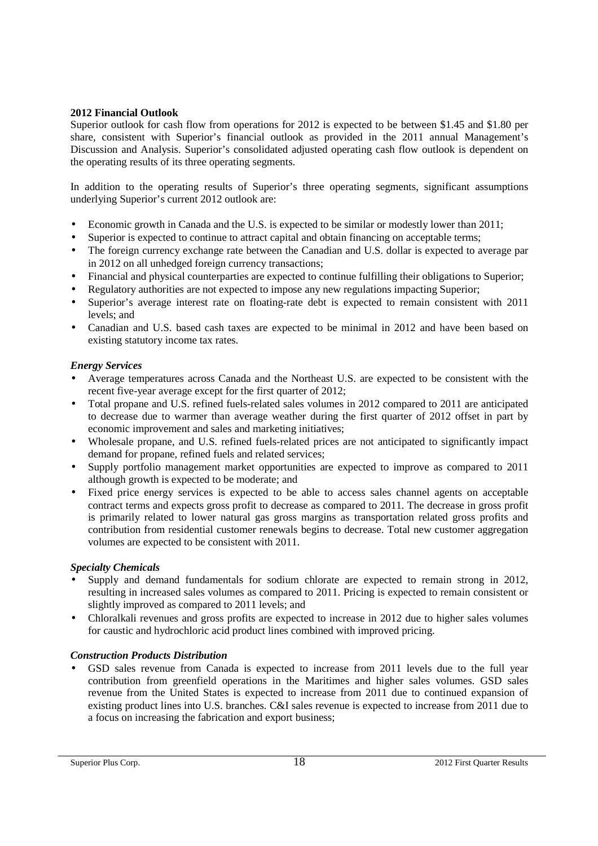# **2012 Financial Outlook**

Superior outlook for cash flow from operations for 2012 is expected to be between \$1.45 and \$1.80 per share, consistent with Superior's financial outlook as provided in the 2011 annual Management's Discussion and Analysis. Superior's consolidated adjusted operating cash flow outlook is dependent on the operating results of its three operating segments.

In addition to the operating results of Superior's three operating segments, significant assumptions underlying Superior's current 2012 outlook are:

- Economic growth in Canada and the U.S. is expected to be similar or modestly lower than 2011;
- Superior is expected to continue to attract capital and obtain financing on acceptable terms;
- The foreign currency exchange rate between the Canadian and U.S. dollar is expected to average par in 2012 on all unhedged foreign currency transactions;
- Financial and physical counterparties are expected to continue fulfilling their obligations to Superior;
- Regulatory authorities are not expected to impose any new regulations impacting Superior;
- Superior's average interest rate on floating-rate debt is expected to remain consistent with 2011 levels; and
- Canadian and U.S. based cash taxes are expected to be minimal in 2012 and have been based on existing statutory income tax rates.

## *Energy Services*

- Average temperatures across Canada and the Northeast U.S. are expected to be consistent with the recent five-year average except for the first quarter of 2012;
- Total propane and U.S. refined fuels-related sales volumes in 2012 compared to 2011 are anticipated to decrease due to warmer than average weather during the first quarter of 2012 offset in part by economic improvement and sales and marketing initiatives;
- Wholesale propane, and U.S. refined fuels-related prices are not anticipated to significantly impact demand for propane, refined fuels and related services;
- Supply portfolio management market opportunities are expected to improve as compared to 2011 although growth is expected to be moderate; and
- Fixed price energy services is expected to be able to access sales channel agents on acceptable contract terms and expects gross profit to decrease as compared to 2011. The decrease in gross profit is primarily related to lower natural gas gross margins as transportation related gross profits and contribution from residential customer renewals begins to decrease. Total new customer aggregation volumes are expected to be consistent with 2011.

### *Specialty Chemicals*

- Supply and demand fundamentals for sodium chlorate are expected to remain strong in 2012, resulting in increased sales volumes as compared to 2011. Pricing is expected to remain consistent or slightly improved as compared to 2011 levels; and
- Chloralkali revenues and gross profits are expected to increase in 2012 due to higher sales volumes for caustic and hydrochloric acid product lines combined with improved pricing.

# *Construction Products Distribution*

GSD sales revenue from Canada is expected to increase from 2011 levels due to the full year contribution from greenfield operations in the Maritimes and higher sales volumes. GSD sales revenue from the United States is expected to increase from 2011 due to continued expansion of existing product lines into U.S. branches. C&I sales revenue is expected to increase from 2011 due to a focus on increasing the fabrication and export business;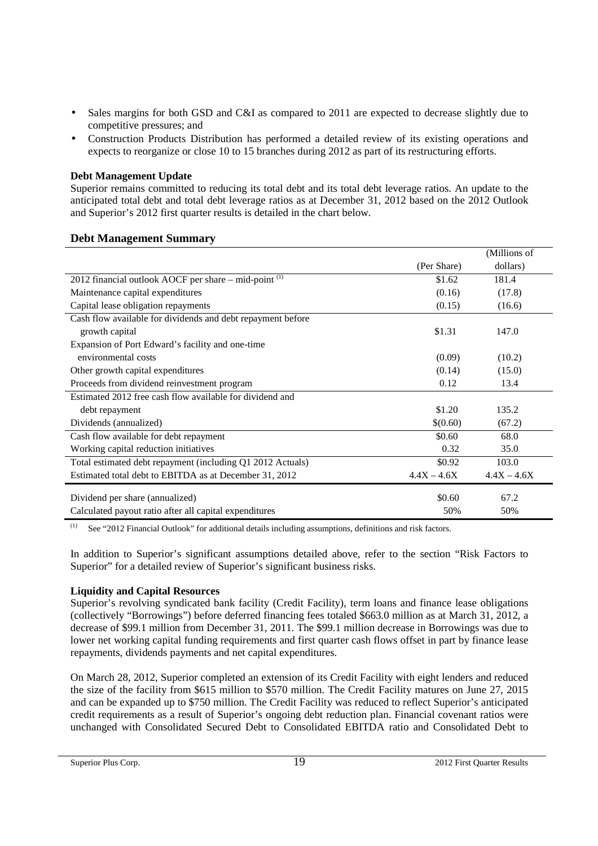- Sales margins for both GSD and C&I as compared to 2011 are expected to decrease slightly due to competitive pressures; and
- Construction Products Distribution has performed a detailed review of its existing operations and expects to reorganize or close 10 to 15 branches during 2012 as part of its restructuring efforts.

# **Debt Management Update**

Superior remains committed to reducing its total debt and its total debt leverage ratios. An update to the anticipated total debt and total debt leverage ratios as at December 31, 2012 based on the 2012 Outlook and Superior's 2012 first quarter results is detailed in the chart below.

|                                                             |               | (Millions of  |
|-------------------------------------------------------------|---------------|---------------|
|                                                             | (Per Share)   | dollars)      |
| 2012 financial outlook AOCF per share – mid-point $(1)$     | \$1.62        | 181.4         |
| Maintenance capital expenditures                            | (0.16)        | (17.8)        |
| Capital lease obligation repayments                         | (0.15)        | (16.6)        |
| Cash flow available for dividends and debt repayment before |               |               |
| growth capital                                              | \$1.31        | 147.0         |
| Expansion of Port Edward's facility and one-time            |               |               |
| environmental costs                                         | (0.09)        | (10.2)        |
| Other growth capital expenditures                           | (0.14)        | (15.0)        |
| Proceeds from dividend reinvestment program                 | 0.12          | 13.4          |
| Estimated 2012 free cash flow available for dividend and    |               |               |
| debt repayment                                              | \$1.20        | 135.2         |
| Dividends (annualized)                                      | \$(0.60)      | (67.2)        |
| Cash flow available for debt repayment                      | \$0.60        | 68.0          |
| Working capital reduction initiatives                       | 0.32          | 35.0          |
| Total estimated debt repayment (including Q1 2012 Actuals)  | \$0.92        | 103.0         |
| Estimated total debt to EBITDA as at December 31, 2012      | $4.4X - 4.6X$ | $4.4X - 4.6X$ |
| Dividend per share (annualized)                             | \$0.60        | 67.2          |
| Calculated payout ratio after all capital expenditures      | 50%           | 50%           |

## **Debt Management Summary**

(1) See "2012 Financial Outlook" for additional details including assumptions, definitions and risk factors.

In addition to Superior's significant assumptions detailed above, refer to the section "Risk Factors to Superior" for a detailed review of Superior's significant business risks.

### **Liquidity and Capital Resources**

Superior's revolving syndicated bank facility (Credit Facility), term loans and finance lease obligations (collectively "Borrowings") before deferred financing fees totaled \$663.0 million as at March 31, 2012, a decrease of \$99.1 million from December 31, 2011. The \$99.1 million decrease in Borrowings was due to lower net working capital funding requirements and first quarter cash flows offset in part by finance lease repayments, dividends payments and net capital expenditures.

On March 28, 2012, Superior completed an extension of its Credit Facility with eight lenders and reduced the size of the facility from \$615 million to \$570 million. The Credit Facility matures on June 27, 2015 and can be expanded up to \$750 million. The Credit Facility was reduced to reflect Superior's anticipated credit requirements as a result of Superior's ongoing debt reduction plan. Financial covenant ratios were unchanged with Consolidated Secured Debt to Consolidated EBITDA ratio and Consolidated Debt to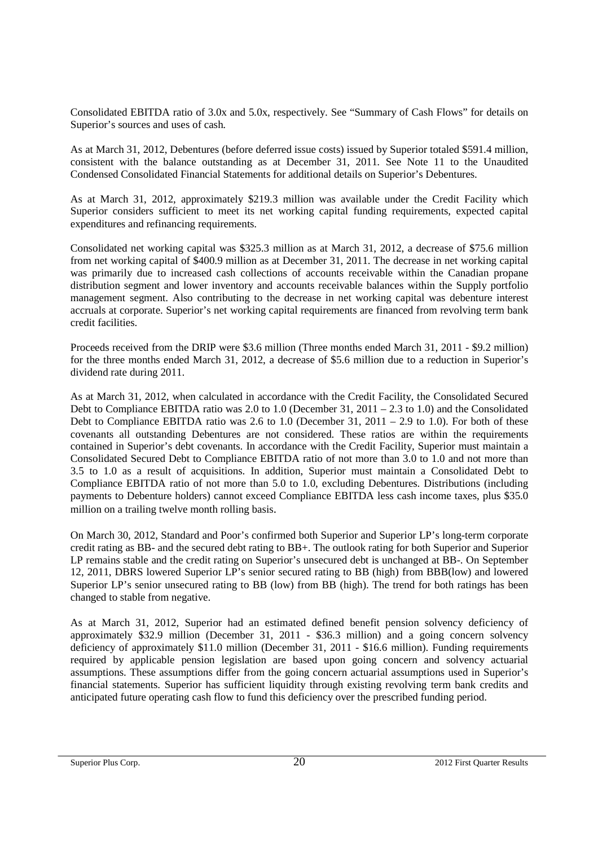Consolidated EBITDA ratio of 3.0x and 5.0x, respectively. See "Summary of Cash Flows" for details on Superior's sources and uses of cash.

As at March 31, 2012, Debentures (before deferred issue costs) issued by Superior totaled \$591.4 million, consistent with the balance outstanding as at December 31, 2011. See Note 11 to the Unaudited Condensed Consolidated Financial Statements for additional details on Superior's Debentures.

As at March 31, 2012, approximately \$219.3 million was available under the Credit Facility which Superior considers sufficient to meet its net working capital funding requirements, expected capital expenditures and refinancing requirements.

Consolidated net working capital was \$325.3 million as at March 31, 2012, a decrease of \$75.6 million from net working capital of \$400.9 million as at December 31, 2011. The decrease in net working capital was primarily due to increased cash collections of accounts receivable within the Canadian propane distribution segment and lower inventory and accounts receivable balances within the Supply portfolio management segment. Also contributing to the decrease in net working capital was debenture interest accruals at corporate. Superior's net working capital requirements are financed from revolving term bank credit facilities.

Proceeds received from the DRIP were \$3.6 million (Three months ended March 31, 2011 - \$9.2 million) for the three months ended March 31, 2012, a decrease of \$5.6 million due to a reduction in Superior's dividend rate during 2011.

As at March 31, 2012, when calculated in accordance with the Credit Facility, the Consolidated Secured Debt to Compliance EBITDA ratio was 2.0 to 1.0 (December 31, 2011 – 2.3 to 1.0) and the Consolidated Debt to Compliance EBITDA ratio was 2.6 to 1.0 (December 31,  $2011 - 2.9$  to 1.0). For both of these covenants all outstanding Debentures are not considered. These ratios are within the requirements contained in Superior's debt covenants. In accordance with the Credit Facility, Superior must maintain a Consolidated Secured Debt to Compliance EBITDA ratio of not more than 3.0 to 1.0 and not more than 3.5 to 1.0 as a result of acquisitions. In addition, Superior must maintain a Consolidated Debt to Compliance EBITDA ratio of not more than 5.0 to 1.0, excluding Debentures. Distributions (including payments to Debenture holders) cannot exceed Compliance EBITDA less cash income taxes, plus \$35.0 million on a trailing twelve month rolling basis.

On March 30, 2012, Standard and Poor's confirmed both Superior and Superior LP's long-term corporate credit rating as BB- and the secured debt rating to BB+. The outlook rating for both Superior and Superior LP remains stable and the credit rating on Superior's unsecured debt is unchanged at BB-. On September 12, 2011, DBRS lowered Superior LP's senior secured rating to BB (high) from BBB(low) and lowered Superior LP's senior unsecured rating to BB (low) from BB (high). The trend for both ratings has been changed to stable from negative.

As at March 31, 2012, Superior had an estimated defined benefit pension solvency deficiency of approximately \$32.9 million (December 31, 2011 - \$36.3 million) and a going concern solvency deficiency of approximately \$11.0 million (December 31, 2011 - \$16.6 million). Funding requirements required by applicable pension legislation are based upon going concern and solvency actuarial assumptions. These assumptions differ from the going concern actuarial assumptions used in Superior's financial statements. Superior has sufficient liquidity through existing revolving term bank credits and anticipated future operating cash flow to fund this deficiency over the prescribed funding period.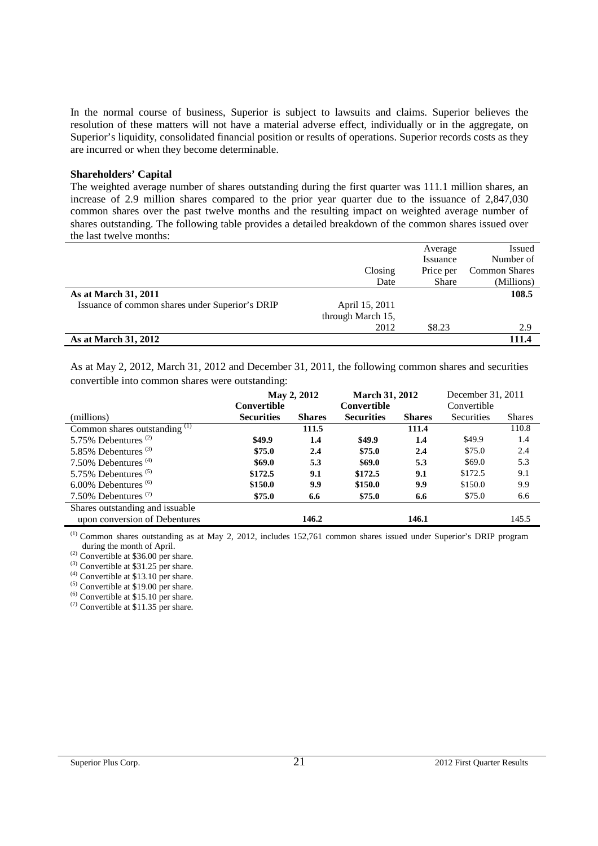In the normal course of business, Superior is subject to lawsuits and claims. Superior believes the resolution of these matters will not have a material adverse effect, individually or in the aggregate, on Superior's liquidity, consolidated financial position or results of operations. Superior records costs as they are incurred or when they become determinable.

# **Shareholders' Capital**

The weighted average number of shares outstanding during the first quarter was 111.1 million shares, an increase of 2.9 million shares compared to the prior year quarter due to the issuance of 2,847,030 common shares over the past twelve months and the resulting impact on weighted average number of shares outstanding. The following table provides a detailed breakdown of the common shares issued over the last twelve months:

|                                                 |                   | Average      | <b>Issued</b>        |
|-------------------------------------------------|-------------------|--------------|----------------------|
|                                                 |                   | Issuance     | Number of            |
|                                                 | Closing           | Price per    | <b>Common Shares</b> |
|                                                 | Date              | <b>Share</b> | (Millions)           |
| As at March 31, 2011                            |                   |              | 108.5                |
| Issuance of common shares under Superior's DRIP | April 15, 2011    |              |                      |
|                                                 | through March 15, |              |                      |
|                                                 | 2012              | \$8.23       | 2.9                  |
| As at March 31, 2012                            |                   |              | 111.4                |

As at May 2, 2012, March 31, 2012 and December 31, 2011, the following common shares and securities convertible into common shares were outstanding:

|                                                 | <b>March 31, 2012</b><br>May 2, 2012<br><b>Convertible</b><br>Convertible |               |                   | December 31, 2011<br>Convertible |                   |               |
|-------------------------------------------------|---------------------------------------------------------------------------|---------------|-------------------|----------------------------------|-------------------|---------------|
| (millions)                                      | <b>Securities</b>                                                         | <b>Shares</b> | <b>Securities</b> | <b>Shares</b>                    | <b>Securities</b> | <b>Shares</b> |
| Common shares outstanding $(1)$                 |                                                                           | 111.5         |                   | 111.4                            |                   | 110.8         |
| 5.75% Debentures $(2)$                          | \$49.9                                                                    | 1.4           | \$49.9            | 1.4                              | \$49.9            | 1.4           |
| 5.85% Debentures $(3)$                          | \$75.0                                                                    | 2.4           | \$75.0            | 2.4                              | \$75.0            | 2.4           |
| 7.50% Debentures $(4)$                          | \$69.0                                                                    | 5.3           | \$69.0\$          | 5.3                              | \$69.0            | 5.3           |
| 5.75% Debentures <sup>(5)</sup>                 | \$172.5                                                                   | 9.1           | \$172.5           | 9.1                              | \$172.5           | 9.1           |
| $6.00\%$ Debentures <sup><math>(6)</math></sup> | \$150.0                                                                   | 9,9           | \$150.0           | 9.9                              | \$150.0           | 9.9           |
| 7.50% Debentures $(7)$                          | \$75.0                                                                    | 6.6           | \$75.0            | 6.6                              | \$75.0            | 6.6           |
| Shares outstanding and issuable                 |                                                                           |               |                   |                                  |                   |               |
| upon conversion of Debentures                   |                                                                           | 146.2         |                   | 146.1                            |                   | 145.5         |

(1) Common shares outstanding as at May 2, 2012, includes 152,761 common shares issued under Superior's DRIP program during the month of April.

(2) Convertible at \$36.00 per share.

 $^{(3)}$  Convertible at \$31.25 per share.

 $^{(4)}$  Convertible at \$13.10 per share.

 $(5)$  Convertible at \$19.00 per share.

(6) Convertible at \$15.10 per share.

 $(7)$  Convertible at \$11.35 per share.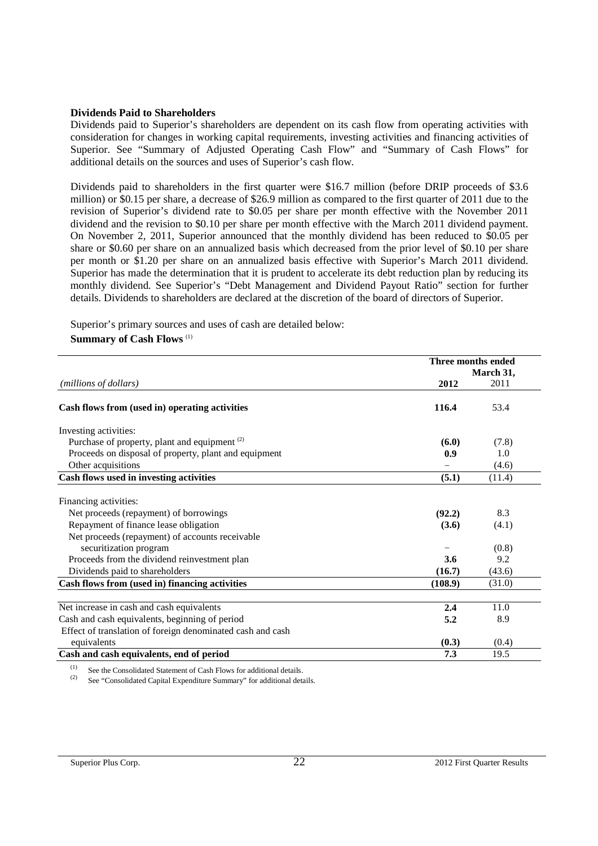### **Dividends Paid to Shareholders**

Dividends paid to Superior's shareholders are dependent on its cash flow from operating activities with consideration for changes in working capital requirements, investing activities and financing activities of Superior. See "Summary of Adjusted Operating Cash Flow" and "Summary of Cash Flows" for additional details on the sources and uses of Superior's cash flow.

Dividends paid to shareholders in the first quarter were \$16.7 million (before DRIP proceeds of \$3.6 million) or \$0.15 per share, a decrease of \$26.9 million as compared to the first quarter of 2011 due to the revision of Superior's dividend rate to \$0.05 per share per month effective with the November 2011 dividend and the revision to \$0.10 per share per month effective with the March 2011 dividend payment. On November 2, 2011, Superior announced that the monthly dividend has been reduced to \$0.05 per share or \$0.60 per share on an annualized basis which decreased from the prior level of \$0.10 per share per month or \$1.20 per share on an annualized basis effective with Superior's March 2011 dividend. Superior has made the determination that it is prudent to accelerate its debt reduction plan by reducing its monthly dividend. See Superior's "Debt Management and Dividend Payout Ratio" section for further details. Dividends to shareholders are declared at the discretion of the board of directors of Superior.

Superior's primary sources and uses of cash are detailed below: **Summary of Cash Flows** (1)

|                                                            | Three months ended |           |
|------------------------------------------------------------|--------------------|-----------|
|                                                            |                    | March 31, |
| (millions of dollars)                                      | 2012               | 2011      |
| Cash flows from (used in) operating activities             | 116.4              | 53.4      |
| Investing activities:                                      |                    |           |
| Purchase of property, plant and equipment <sup>(2)</sup>   | (6.0)              | (7.8)     |
| Proceeds on disposal of property, plant and equipment      | 0.9                | 1.0       |
| Other acquisitions                                         |                    | (4.6)     |
| Cash flows used in investing activities                    | (5.1)              | (11.4)    |
| Financing activities:                                      |                    |           |
| Net proceeds (repayment) of borrowings                     | (92.2)             | 8.3       |
| Repayment of finance lease obligation                      | (3.6)              | (4.1)     |
| Net proceeds (repayment) of accounts receivable            |                    |           |
| securitization program                                     |                    | (0.8)     |
| Proceeds from the dividend reinvestment plan               | 3.6                | 9.2       |
| Dividends paid to shareholders                             | (16.7)             | (43.6)    |
| Cash flows from (used in) financing activities             | (108.9)            | (31.0)    |
| Net increase in cash and cash equivalents                  | 2.4                | 11.0      |
| Cash and cash equivalents, beginning of period             | 5.2                | 8.9       |
| Effect of translation of foreign denominated cash and cash |                    |           |
| equivalents                                                | (0.3)              | (0.4)     |
| Cash and cash equivalents, end of period                   | 7.3                | 19.5      |
|                                                            |                    |           |

 $(1)$  See the Consolidated Statement of Cash Flows for additional details.

(2) See "Consolidated Capital Expenditure Summary" for additional details.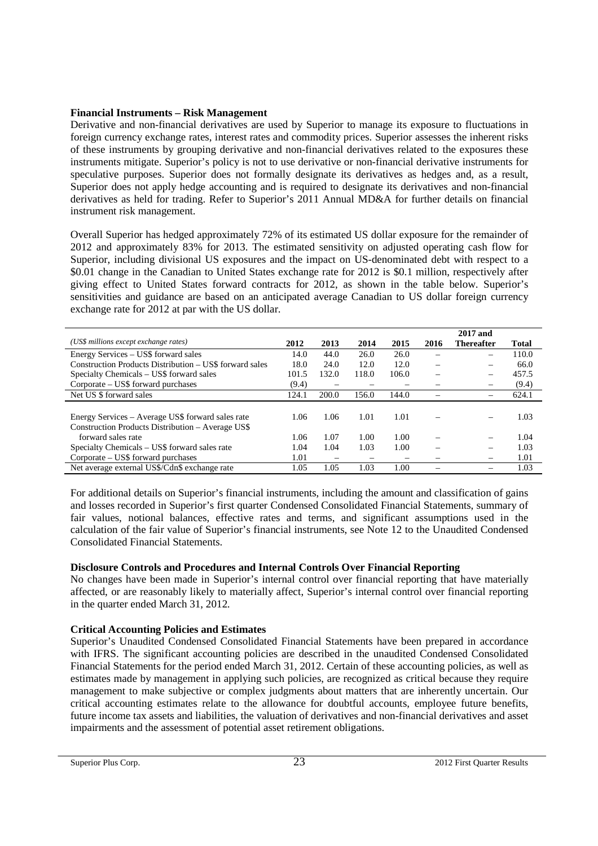### **Financial Instruments – Risk Management**

Derivative and non-financial derivatives are used by Superior to manage its exposure to fluctuations in foreign currency exchange rates, interest rates and commodity prices. Superior assesses the inherent risks of these instruments by grouping derivative and non-financial derivatives related to the exposures these instruments mitigate. Superior's policy is not to use derivative or non-financial derivative instruments for speculative purposes. Superior does not formally designate its derivatives as hedges and, as a result, Superior does not apply hedge accounting and is required to designate its derivatives and non-financial derivatives as held for trading. Refer to Superior's 2011 Annual MD&A for further details on financial instrument risk management.

Overall Superior has hedged approximately 72% of its estimated US dollar exposure for the remainder of 2012 and approximately 83% for 2013. The estimated sensitivity on adjusted operating cash flow for Superior, including divisional US exposures and the impact on US-denominated debt with respect to a \$0.01 change in the Canadian to United States exchange rate for 2012 is \$0.1 million, respectively after giving effect to United States forward contracts for 2012, as shown in the table below. Superior's sensitivities and guidance are based on an anticipated average Canadian to US dollar foreign currency exchange rate for 2012 at par with the US dollar.

|                                                         |       |       |       |       |                          | 2017 and                 |              |
|---------------------------------------------------------|-------|-------|-------|-------|--------------------------|--------------------------|--------------|
| (US\$ millions except exchange rates)                   | 2012  | 2013  | 2014  | 2015  | 2016                     | <b>Thereafter</b>        | <b>Total</b> |
| Energy Services – US\$ forward sales                    | 14.0  | 44.0  | 26.0  | 26.0  |                          | -                        | 110.0        |
| Construction Products Distribution - US\$ forward sales | 18.0  | 24.0  | 12.0  | 12.0  | $\overline{\phantom{0}}$ | -                        | 66.0         |
| Specialty Chemicals – US\$ forward sales                | 101.5 | 132.0 | 118.0 | 106.0 |                          | $\overline{\phantom{0}}$ | 457.5        |
| Corporate – US\$ forward purchases                      | (9.4) | -     |       |       |                          | $\overline{\phantom{0}}$ | (9.4)        |
| Net US \$ forward sales                                 | 124.1 | 200.0 | 156.0 | 144.0 |                          |                          | 624.1        |
|                                                         |       |       |       |       |                          |                          |              |
| Energy Services – Average US\$ forward sales rate       | 1.06  | 1.06  | 1.01  | 1.01  |                          |                          | 1.03         |
| Construction Products Distribution – Average US\$       |       |       |       |       |                          |                          |              |
| forward sales rate                                      | 1.06  | 1.07  | 1.00  | 1.00  | -                        | -                        | 1.04         |
| Specialty Chemicals – US\$ forward sales rate           | 1.04  | 1.04  | 1.03  | 1.00  |                          | -                        | 1.03         |
| Corporate – US\$ forward purchases                      | 1.01  | -     |       |       |                          | $\overline{\phantom{0}}$ | 1.01         |
| Net average external US\$/Cdn\$ exchange rate           | 1.05  | 1.05  | 1.03  | 1.00  |                          |                          | 1.03         |

For additional details on Superior's financial instruments, including the amount and classification of gains and losses recorded in Superior's first quarter Condensed Consolidated Financial Statements, summary of fair values, notional balances, effective rates and terms, and significant assumptions used in the calculation of the fair value of Superior's financial instruments, see Note 12 to the Unaudited Condensed Consolidated Financial Statements.

### **Disclosure Controls and Procedures and Internal Controls Over Financial Reporting**

No changes have been made in Superior's internal control over financial reporting that have materially affected, or are reasonably likely to materially affect, Superior's internal control over financial reporting in the quarter ended March 31, 2012.

# **Critical Accounting Policies and Estimates**

Superior's Unaudited Condensed Consolidated Financial Statements have been prepared in accordance with IFRS. The significant accounting policies are described in the unaudited Condensed Consolidated Financial Statements for the period ended March 31, 2012. Certain of these accounting policies, as well as estimates made by management in applying such policies, are recognized as critical because they require management to make subjective or complex judgments about matters that are inherently uncertain. Our critical accounting estimates relate to the allowance for doubtful accounts, employee future benefits, future income tax assets and liabilities, the valuation of derivatives and non-financial derivatives and asset impairments and the assessment of potential asset retirement obligations.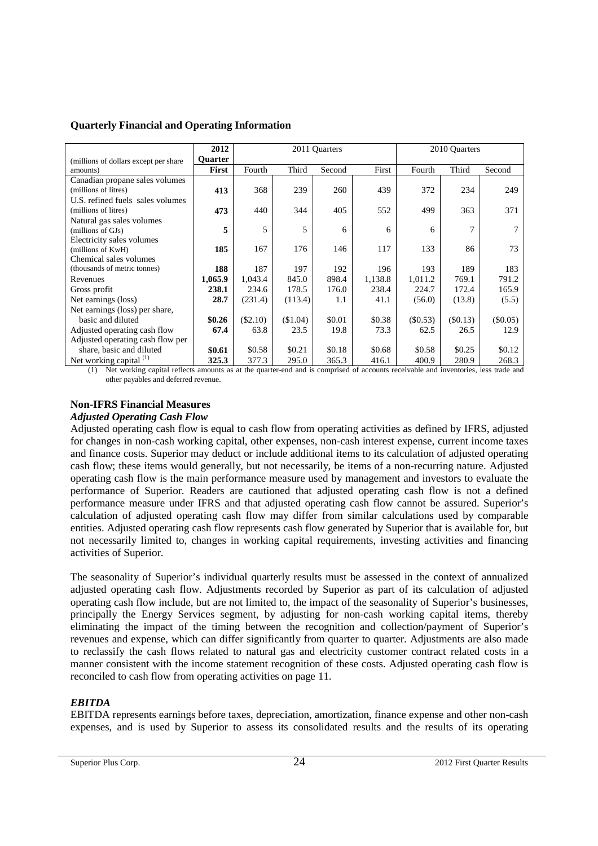### **Quarterly Financial and Operating Information**

|                                        | 2012    | 2011 Quarters |          |        |         | 2010 Quarters |                |            |
|----------------------------------------|---------|---------------|----------|--------|---------|---------------|----------------|------------|
| (millions of dollars except per share) | Ouarter |               |          |        |         |               |                |            |
| amounts)                               | First   | Fourth        | Third    | Second | First   | Fourth        | Third          | Second     |
| Canadian propane sales volumes         |         |               |          |        |         |               |                |            |
| (millions of litres)                   | 413     | 368           | 239      | 260    | 439     | 372           | 234            | 249        |
| U.S. refined fuels sales volumes       |         |               |          |        |         |               |                |            |
| (millions of litres)                   | 473     | 440           | 344      | 405    | 552     | 499           | 363            | 371        |
| Natural gas sales volumes              |         |               |          |        |         |               |                |            |
| (millions of GJs)                      | 5       | 5             | 5        | 6      | 6       | 6             | $\overline{7}$ |            |
| Electricity sales volumes              |         |               |          |        |         |               |                |            |
| (millions of KwH)                      | 185     | 167           | 176      | 146    | 117     | 133           | 86             | 73         |
| Chemical sales volumes                 |         |               |          |        |         |               |                |            |
| (thousands of metric tonnes)           | 188     | 187           | 197      | 192    | 196     | 193           | 189            | 183        |
| Revenues                               | 1,065.9 | 1,043.4       | 845.0    | 898.4  | 1,138.8 | 1,011.2       | 769.1          | 791.2      |
| Gross profit                           | 238.1   | 234.6         | 178.5    | 176.0  | 238.4   | 224.7         | 172.4          | 165.9      |
| Net earnings (loss)                    | 28.7    | (231.4)       | (113.4)  | 1.1    | 41.1    | (56.0)        | (13.8)         | (5.5)      |
| Net earnings (loss) per share,         |         |               |          |        |         |               |                |            |
| basic and diluted                      | \$0.26  | (\$2.10)      | (\$1.04) | \$0.01 | \$0.38  | (S0.53)       | $(\$0.13)$     | $(\$0.05)$ |
| Adjusted operating cash flow           | 67.4    | 63.8          | 23.5     | 19.8   | 73.3    | 62.5          | 26.5           | 12.9       |
| Adjusted operating cash flow per       |         |               |          |        |         |               |                |            |
| share, basic and diluted               | \$0.61  | \$0.58        | \$0.21   | \$0.18 | \$0.68  | \$0.58        | \$0.25         | \$0.12     |
| Net working capital $(1)$              | 325.3   | 377.3         | 295.0    | 365.3  | 416.1   | 400.9         | 280.9          | 268.3      |

(1) Net working capital reflects amounts as at the quarter-end and is comprised of accounts receivable and inventories, less trade and other payables and deferred revenue.

#### **Non-IFRS Financial Measures**  *Adjusted Operating Cash Flow*

Adjusted operating cash flow is equal to cash flow from operating activities as defined by IFRS, adjusted for changes in non-cash working capital, other expenses, non-cash interest expense, current income taxes and finance costs. Superior may deduct or include additional items to its calculation of adjusted operating cash flow; these items would generally, but not necessarily, be items of a non-recurring nature. Adjusted operating cash flow is the main performance measure used by management and investors to evaluate the performance of Superior. Readers are cautioned that adjusted operating cash flow is not a defined performance measure under IFRS and that adjusted operating cash flow cannot be assured. Superior's calculation of adjusted operating cash flow may differ from similar calculations used by comparable entities. Adjusted operating cash flow represents cash flow generated by Superior that is available for, but not necessarily limited to, changes in working capital requirements, investing activities and financing activities of Superior.

The seasonality of Superior's individual quarterly results must be assessed in the context of annualized adjusted operating cash flow. Adjustments recorded by Superior as part of its calculation of adjusted operating cash flow include, but are not limited to, the impact of the seasonality of Superior's businesses, principally the Energy Services segment, by adjusting for non-cash working capital items, thereby eliminating the impact of the timing between the recognition and collection/payment of Superior's revenues and expense, which can differ significantly from quarter to quarter. Adjustments are also made to reclassify the cash flows related to natural gas and electricity customer contract related costs in a manner consistent with the income statement recognition of these costs. Adjusted operating cash flow is reconciled to cash flow from operating activities on page 11.

# *EBITDA*

EBITDA represents earnings before taxes, depreciation, amortization, finance expense and other non-cash expenses, and is used by Superior to assess its consolidated results and the results of its operating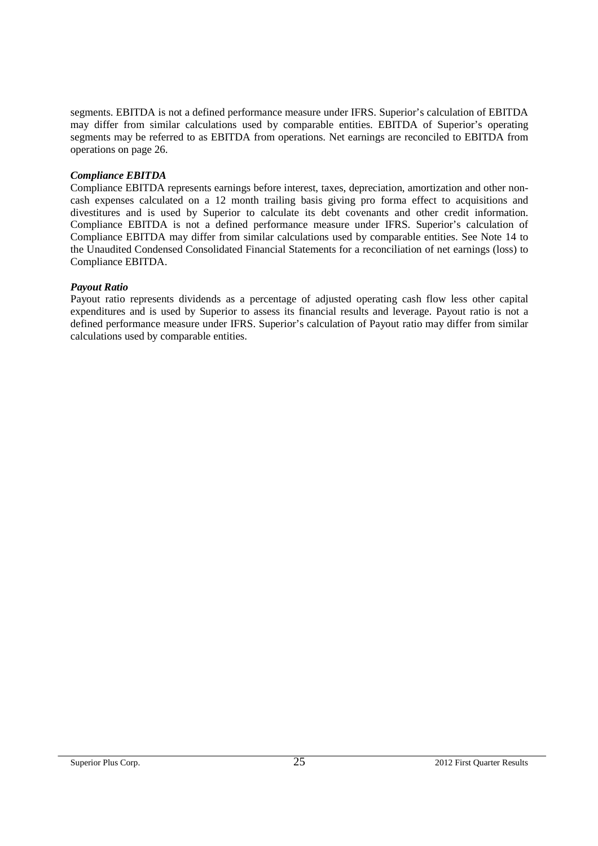segments. EBITDA is not a defined performance measure under IFRS. Superior's calculation of EBITDA may differ from similar calculations used by comparable entities. EBITDA of Superior's operating segments may be referred to as EBITDA from operations. Net earnings are reconciled to EBITDA from operations on page 26.

## *Compliance EBITDA*

Compliance EBITDA represents earnings before interest, taxes, depreciation, amortization and other noncash expenses calculated on a 12 month trailing basis giving pro forma effect to acquisitions and divestitures and is used by Superior to calculate its debt covenants and other credit information. Compliance EBITDA is not a defined performance measure under IFRS. Superior's calculation of Compliance EBITDA may differ from similar calculations used by comparable entities. See Note 14 to the Unaudited Condensed Consolidated Financial Statements for a reconciliation of net earnings (loss) to Compliance EBITDA.

### *Payout Ratio*

Payout ratio represents dividends as a percentage of adjusted operating cash flow less other capital expenditures and is used by Superior to assess its financial results and leverage. Payout ratio is not a defined performance measure under IFRS. Superior's calculation of Payout ratio may differ from similar calculations used by comparable entities.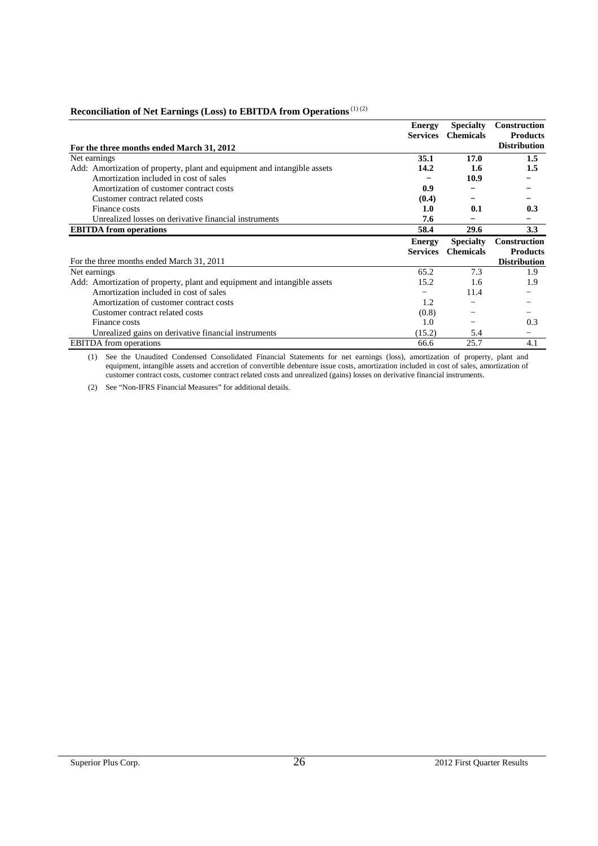| For the three months ended March 31, 2012                                | <b>Energy</b><br><b>Services</b> | <b>Specialty</b><br><b>Chemicals</b> | Construction<br><b>Products</b><br><b>Distribution</b> |
|--------------------------------------------------------------------------|----------------------------------|--------------------------------------|--------------------------------------------------------|
| Net earnings                                                             | 35.1                             | 17.0                                 | $1.5\,$                                                |
| Add: Amortization of property, plant and equipment and intangible assets | 14.2                             | 1.6                                  | 1.5                                                    |
| Amortization included in cost of sales                                   |                                  | 10.9                                 |                                                        |
| Amortization of customer contract costs                                  | 0.9                              |                                      |                                                        |
| Customer contract related costs                                          | (0.4)                            |                                      |                                                        |
| Finance costs                                                            | 1.0                              | 0.1                                  | 0.3                                                    |
| Unrealized losses on derivative financial instruments                    | 7.6                              |                                      |                                                        |
| <b>EBITDA</b> from operations                                            | 58.4                             | 29.6                                 | 3.3                                                    |
|                                                                          | <b>Energy</b><br><b>Services</b> | <b>Specialty</b>                     | Construction<br><b>Products</b>                        |
| For the three months ended March 31, 2011                                |                                  | <b>Chemicals</b>                     | <b>Distribution</b>                                    |
|                                                                          |                                  |                                      |                                                        |
| Net earnings                                                             | 65.2                             | 7.3                                  | 1.9                                                    |
| Add: Amortization of property, plant and equipment and intangible assets | 15.2                             | 1.6                                  | 1.9                                                    |
| Amortization included in cost of sales                                   |                                  | 11.4                                 |                                                        |
| Amortization of customer contract costs                                  | 1.2                              |                                      |                                                        |
| Customer contract related costs                                          | (0.8)                            |                                      |                                                        |
| Finance costs                                                            | 1.0                              |                                      | 0.3                                                    |
| Unrealized gains on derivative financial instruments                     | (15.2)                           | 5.4                                  |                                                        |
|                                                                          |                                  |                                      |                                                        |

# **Reconciliation of Net Earnings (Loss) to EBITDA from Operations** (1) (2)

(1) See the Unaudited Condensed Consolidated Financial Statements for net earnings (loss), amortization of property, plant and equipment, intangible assets and accretion of convertible debenture issue costs, amortization included in cost of sales, amortization of customer contract costs, customer contract related costs and unrealized (gains) losses on derivative financial instruments.

(2) See "Non-IFRS Financial Measures" for additional details.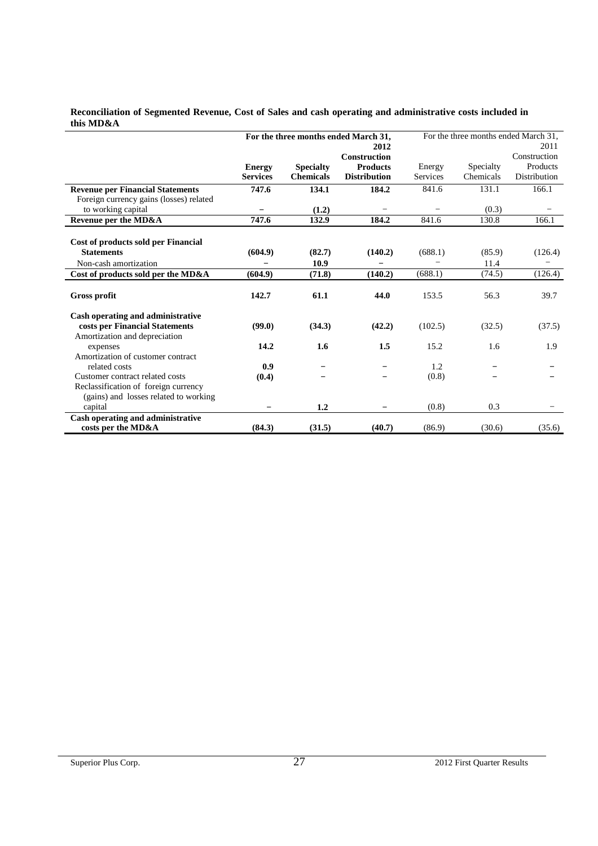|                                                                 | For the three months ended March 31, |                  |                     | For the three months ended March 31, |           |              |  |
|-----------------------------------------------------------------|--------------------------------------|------------------|---------------------|--------------------------------------|-----------|--------------|--|
|                                                                 |                                      |                  | 2012                | 2011                                 |           |              |  |
|                                                                 |                                      |                  | <b>Construction</b> |                                      |           | Construction |  |
|                                                                 | <b>Energy</b>                        | <b>Specialty</b> | <b>Products</b>     | Energy                               | Specialty | Products     |  |
|                                                                 | <b>Services</b>                      | <b>Chemicals</b> | <b>Distribution</b> | <b>Services</b>                      | Chemicals | Distribution |  |
| <b>Revenue per Financial Statements</b>                         | 747.6                                | 134.1            | 184.2               | 841.6                                | 131.1     | 166.1        |  |
| Foreign currency gains (losses) related                         |                                      |                  |                     |                                      |           |              |  |
| to working capital                                              |                                      | (1.2)            |                     |                                      | (0.3)     |              |  |
| Revenue per the MD&A                                            | 747.6                                | 132.9            | 184.2               | 841.6                                | 130.8     | 166.1        |  |
|                                                                 |                                      |                  |                     |                                      |           |              |  |
| Cost of products sold per Financial                             |                                      |                  |                     |                                      |           |              |  |
| <b>Statements</b>                                               | (604.9)                              | (82.7)           | (140.2)             | (688.1)                              | (85.9)    | (126.4)      |  |
| Non-cash amortization                                           |                                      | 10.9             |                     |                                      | 11.4      |              |  |
| Cost of products sold per the MD&A                              | (604.9)                              | (71.8)           | (140.2)             | (688.1)                              | (74.5)    | (126.4)      |  |
| <b>Gross profit</b>                                             | 142.7                                | 61.1             | 44.0                | 153.5                                | 56.3      | 39.7         |  |
| Cash operating and administrative                               |                                      |                  |                     |                                      |           |              |  |
| costs per Financial Statements<br>Amortization and depreciation | (99.0)                               | (34.3)           | (42.2)              | (102.5)                              | (32.5)    | (37.5)       |  |
| expenses                                                        | 14.2                                 | 1.6              | 1.5                 | 15.2                                 | 1.6       | 1.9          |  |
| Amortization of customer contract                               |                                      |                  |                     |                                      |           |              |  |
| related costs                                                   | 0.9                                  |                  |                     | 1.2                                  |           |              |  |
| Customer contract related costs                                 | (0.4)                                |                  |                     | (0.8)                                |           |              |  |
| Reclassification of foreign currency                            |                                      |                  |                     |                                      |           |              |  |
| (gains) and losses related to working                           |                                      |                  |                     |                                      |           |              |  |
| capital                                                         |                                      | $1.2\,$          |                     | (0.8)                                | 0.3       |              |  |
| Cash operating and administrative                               |                                      |                  |                     |                                      |           |              |  |
| costs per the MD&A                                              | (84.3)                               | (31.5)           | (40.7)              | (86.9)                               | (30.6)    | (35.6)       |  |

#### **Reconciliation of Segmented Revenue, Cost of Sales and cash operating and administrative costs included in this MD&A**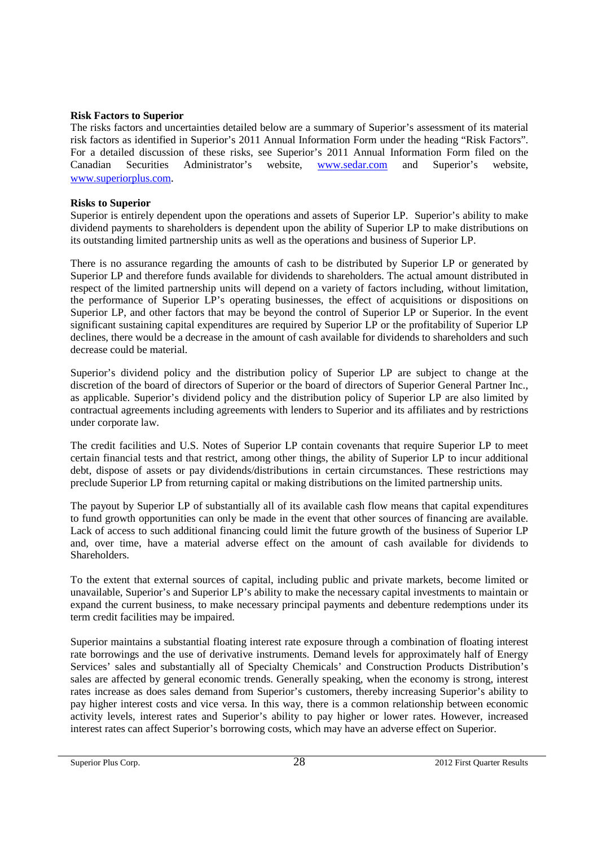### **Risk Factors to Superior**

The risks factors and uncertainties detailed below are a summary of Superior's assessment of its material risk factors as identified in Superior's 2011 Annual Information Form under the heading "Risk Factors". For a detailed discussion of these risks, see Superior's 2011 Annual Information Form filed on the Canadian Securities Administrator's website, www.sedar.com and Superior's website, www.superiorplus.com.

## **Risks to Superior**

Superior is entirely dependent upon the operations and assets of Superior LP. Superior's ability to make dividend payments to shareholders is dependent upon the ability of Superior LP to make distributions on its outstanding limited partnership units as well as the operations and business of Superior LP.

There is no assurance regarding the amounts of cash to be distributed by Superior LP or generated by Superior LP and therefore funds available for dividends to shareholders. The actual amount distributed in respect of the limited partnership units will depend on a variety of factors including, without limitation, the performance of Superior LP's operating businesses, the effect of acquisitions or dispositions on Superior LP, and other factors that may be beyond the control of Superior LP or Superior. In the event significant sustaining capital expenditures are required by Superior LP or the profitability of Superior LP declines, there would be a decrease in the amount of cash available for dividends to shareholders and such decrease could be material.

Superior's dividend policy and the distribution policy of Superior LP are subject to change at the discretion of the board of directors of Superior or the board of directors of Superior General Partner Inc., as applicable. Superior's dividend policy and the distribution policy of Superior LP are also limited by contractual agreements including agreements with lenders to Superior and its affiliates and by restrictions under corporate law.

The credit facilities and U.S. Notes of Superior LP contain covenants that require Superior LP to meet certain financial tests and that restrict, among other things, the ability of Superior LP to incur additional debt, dispose of assets or pay dividends/distributions in certain circumstances. These restrictions may preclude Superior LP from returning capital or making distributions on the limited partnership units.

The payout by Superior LP of substantially all of its available cash flow means that capital expenditures to fund growth opportunities can only be made in the event that other sources of financing are available. Lack of access to such additional financing could limit the future growth of the business of Superior LP and, over time, have a material adverse effect on the amount of cash available for dividends to Shareholders.

To the extent that external sources of capital, including public and private markets, become limited or unavailable, Superior's and Superior LP's ability to make the necessary capital investments to maintain or expand the current business, to make necessary principal payments and debenture redemptions under its term credit facilities may be impaired.

Superior maintains a substantial floating interest rate exposure through a combination of floating interest rate borrowings and the use of derivative instruments. Demand levels for approximately half of Energy Services' sales and substantially all of Specialty Chemicals' and Construction Products Distribution's sales are affected by general economic trends. Generally speaking, when the economy is strong, interest rates increase as does sales demand from Superior's customers, thereby increasing Superior's ability to pay higher interest costs and vice versa. In this way, there is a common relationship between economic activity levels, interest rates and Superior's ability to pay higher or lower rates. However, increased interest rates can affect Superior's borrowing costs, which may have an adverse effect on Superior.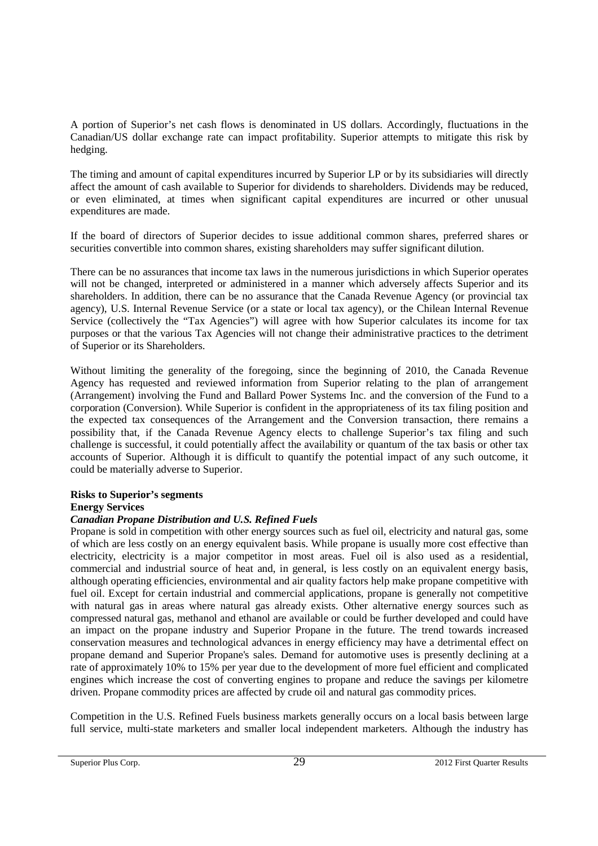A portion of Superior's net cash flows is denominated in US dollars. Accordingly, fluctuations in the Canadian/US dollar exchange rate can impact profitability. Superior attempts to mitigate this risk by hedging.

The timing and amount of capital expenditures incurred by Superior LP or by its subsidiaries will directly affect the amount of cash available to Superior for dividends to shareholders. Dividends may be reduced, or even eliminated, at times when significant capital expenditures are incurred or other unusual expenditures are made.

If the board of directors of Superior decides to issue additional common shares, preferred shares or securities convertible into common shares, existing shareholders may suffer significant dilution.

There can be no assurances that income tax laws in the numerous jurisdictions in which Superior operates will not be changed, interpreted or administered in a manner which adversely affects Superior and its shareholders. In addition, there can be no assurance that the Canada Revenue Agency (or provincial tax agency), U.S. Internal Revenue Service (or a state or local tax agency), or the Chilean Internal Revenue Service (collectively the "Tax Agencies") will agree with how Superior calculates its income for tax purposes or that the various Tax Agencies will not change their administrative practices to the detriment of Superior or its Shareholders.

Without limiting the generality of the foregoing, since the beginning of 2010, the Canada Revenue Agency has requested and reviewed information from Superior relating to the plan of arrangement (Arrangement) involving the Fund and Ballard Power Systems Inc. and the conversion of the Fund to a corporation (Conversion). While Superior is confident in the appropriateness of its tax filing position and the expected tax consequences of the Arrangement and the Conversion transaction, there remains a possibility that, if the Canada Revenue Agency elects to challenge Superior's tax filing and such challenge is successful, it could potentially affect the availability or quantum of the tax basis or other tax accounts of Superior. Although it is difficult to quantify the potential impact of any such outcome, it could be materially adverse to Superior.

# **Risks to Superior's segments**

### **Energy Services**

# *Canadian Propane Distribution and U.S. Refined Fuels*

Propane is sold in competition with other energy sources such as fuel oil, electricity and natural gas, some of which are less costly on an energy equivalent basis. While propane is usually more cost effective than electricity, electricity is a major competitor in most areas. Fuel oil is also used as a residential, commercial and industrial source of heat and, in general, is less costly on an equivalent energy basis, although operating efficiencies, environmental and air quality factors help make propane competitive with fuel oil. Except for certain industrial and commercial applications, propane is generally not competitive with natural gas in areas where natural gas already exists. Other alternative energy sources such as compressed natural gas, methanol and ethanol are available or could be further developed and could have an impact on the propane industry and Superior Propane in the future. The trend towards increased conservation measures and technological advances in energy efficiency may have a detrimental effect on propane demand and Superior Propane's sales. Demand for automotive uses is presently declining at a rate of approximately 10% to 15% per year due to the development of more fuel efficient and complicated engines which increase the cost of converting engines to propane and reduce the savings per kilometre driven. Propane commodity prices are affected by crude oil and natural gas commodity prices.

Competition in the U.S. Refined Fuels business markets generally occurs on a local basis between large full service, multi-state marketers and smaller local independent marketers. Although the industry has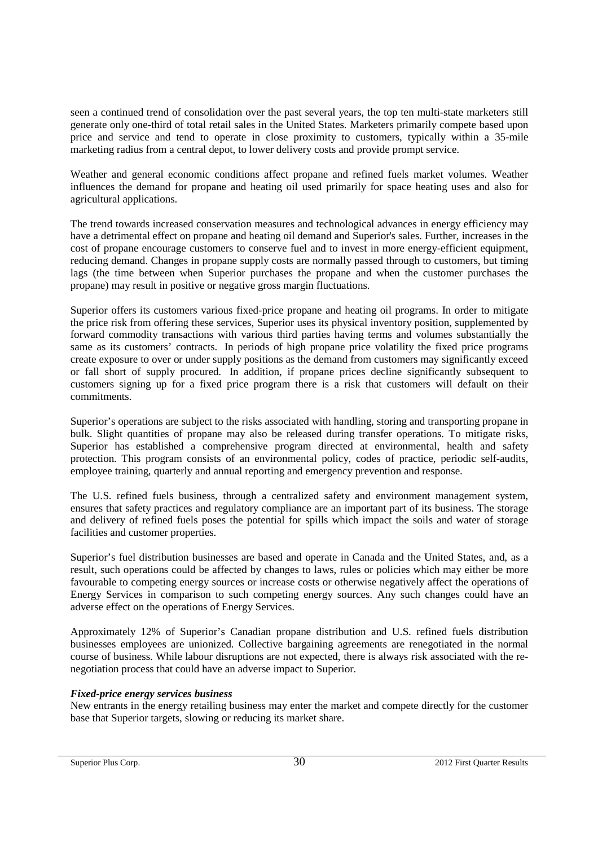seen a continued trend of consolidation over the past several years, the top ten multi-state marketers still generate only one-third of total retail sales in the United States. Marketers primarily compete based upon price and service and tend to operate in close proximity to customers, typically within a 35-mile marketing radius from a central depot, to lower delivery costs and provide prompt service.

Weather and general economic conditions affect propane and refined fuels market volumes. Weather influences the demand for propane and heating oil used primarily for space heating uses and also for agricultural applications.

The trend towards increased conservation measures and technological advances in energy efficiency may have a detrimental effect on propane and heating oil demand and Superior's sales. Further, increases in the cost of propane encourage customers to conserve fuel and to invest in more energy-efficient equipment, reducing demand. Changes in propane supply costs are normally passed through to customers, but timing lags (the time between when Superior purchases the propane and when the customer purchases the propane) may result in positive or negative gross margin fluctuations.

Superior offers its customers various fixed-price propane and heating oil programs. In order to mitigate the price risk from offering these services, Superior uses its physical inventory position, supplemented by forward commodity transactions with various third parties having terms and volumes substantially the same as its customers' contracts. In periods of high propane price volatility the fixed price programs create exposure to over or under supply positions as the demand from customers may significantly exceed or fall short of supply procured. In addition, if propane prices decline significantly subsequent to customers signing up for a fixed price program there is a risk that customers will default on their commitments.

Superior's operations are subject to the risks associated with handling, storing and transporting propane in bulk. Slight quantities of propane may also be released during transfer operations. To mitigate risks, Superior has established a comprehensive program directed at environmental, health and safety protection. This program consists of an environmental policy, codes of practice, periodic self-audits, employee training, quarterly and annual reporting and emergency prevention and response.

The U.S. refined fuels business, through a centralized safety and environment management system, ensures that safety practices and regulatory compliance are an important part of its business. The storage and delivery of refined fuels poses the potential for spills which impact the soils and water of storage facilities and customer properties.

Superior's fuel distribution businesses are based and operate in Canada and the United States, and, as a result, such operations could be affected by changes to laws, rules or policies which may either be more favourable to competing energy sources or increase costs or otherwise negatively affect the operations of Energy Services in comparison to such competing energy sources. Any such changes could have an adverse effect on the operations of Energy Services.

Approximately 12% of Superior's Canadian propane distribution and U.S. refined fuels distribution businesses employees are unionized. Collective bargaining agreements are renegotiated in the normal course of business. While labour disruptions are not expected, there is always risk associated with the renegotiation process that could have an adverse impact to Superior.

# *Fixed-price energy services business*

New entrants in the energy retailing business may enter the market and compete directly for the customer base that Superior targets, slowing or reducing its market share.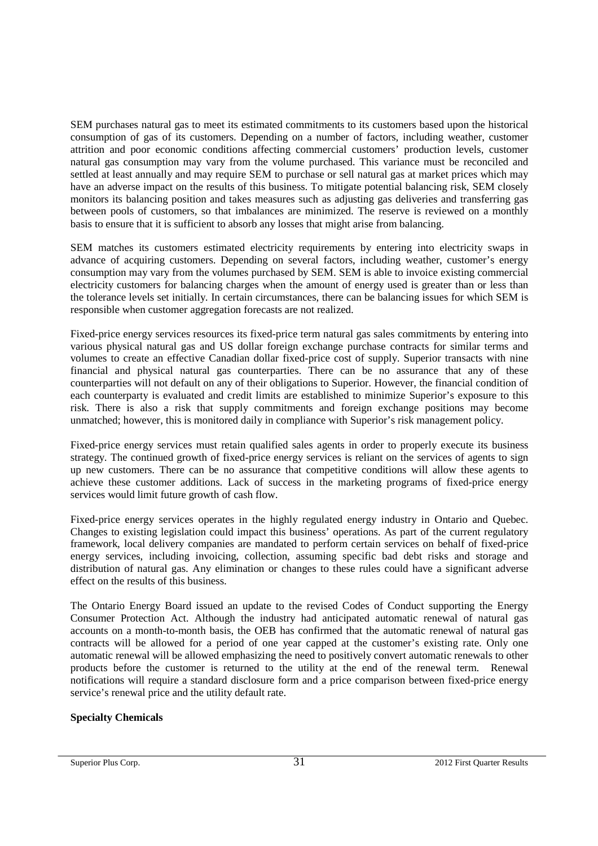SEM purchases natural gas to meet its estimated commitments to its customers based upon the historical consumption of gas of its customers. Depending on a number of factors, including weather, customer attrition and poor economic conditions affecting commercial customers' production levels, customer natural gas consumption may vary from the volume purchased. This variance must be reconciled and settled at least annually and may require SEM to purchase or sell natural gas at market prices which may have an adverse impact on the results of this business. To mitigate potential balancing risk, SEM closely monitors its balancing position and takes measures such as adjusting gas deliveries and transferring gas between pools of customers, so that imbalances are minimized. The reserve is reviewed on a monthly basis to ensure that it is sufficient to absorb any losses that might arise from balancing.

SEM matches its customers estimated electricity requirements by entering into electricity swaps in advance of acquiring customers. Depending on several factors, including weather, customer's energy consumption may vary from the volumes purchased by SEM. SEM is able to invoice existing commercial electricity customers for balancing charges when the amount of energy used is greater than or less than the tolerance levels set initially. In certain circumstances, there can be balancing issues for which SEM is responsible when customer aggregation forecasts are not realized.

Fixed-price energy services resources its fixed-price term natural gas sales commitments by entering into various physical natural gas and US dollar foreign exchange purchase contracts for similar terms and volumes to create an effective Canadian dollar fixed-price cost of supply. Superior transacts with nine financial and physical natural gas counterparties. There can be no assurance that any of these counterparties will not default on any of their obligations to Superior. However, the financial condition of each counterparty is evaluated and credit limits are established to minimize Superior's exposure to this risk. There is also a risk that supply commitments and foreign exchange positions may become unmatched; however, this is monitored daily in compliance with Superior's risk management policy.

Fixed-price energy services must retain qualified sales agents in order to properly execute its business strategy. The continued growth of fixed-price energy services is reliant on the services of agents to sign up new customers. There can be no assurance that competitive conditions will allow these agents to achieve these customer additions. Lack of success in the marketing programs of fixed-price energy services would limit future growth of cash flow.

Fixed-price energy services operates in the highly regulated energy industry in Ontario and Quebec. Changes to existing legislation could impact this business' operations. As part of the current regulatory framework, local delivery companies are mandated to perform certain services on behalf of fixed-price energy services, including invoicing, collection, assuming specific bad debt risks and storage and distribution of natural gas. Any elimination or changes to these rules could have a significant adverse effect on the results of this business.

The Ontario Energy Board issued an update to the revised Codes of Conduct supporting the Energy Consumer Protection Act. Although the industry had anticipated automatic renewal of natural gas accounts on a month-to-month basis, the OEB has confirmed that the automatic renewal of natural gas contracts will be allowed for a period of one year capped at the customer's existing rate. Only one automatic renewal will be allowed emphasizing the need to positively convert automatic renewals to other products before the customer is returned to the utility at the end of the renewal term. Renewal notifications will require a standard disclosure form and a price comparison between fixed-price energy service's renewal price and the utility default rate.

# **Specialty Chemicals**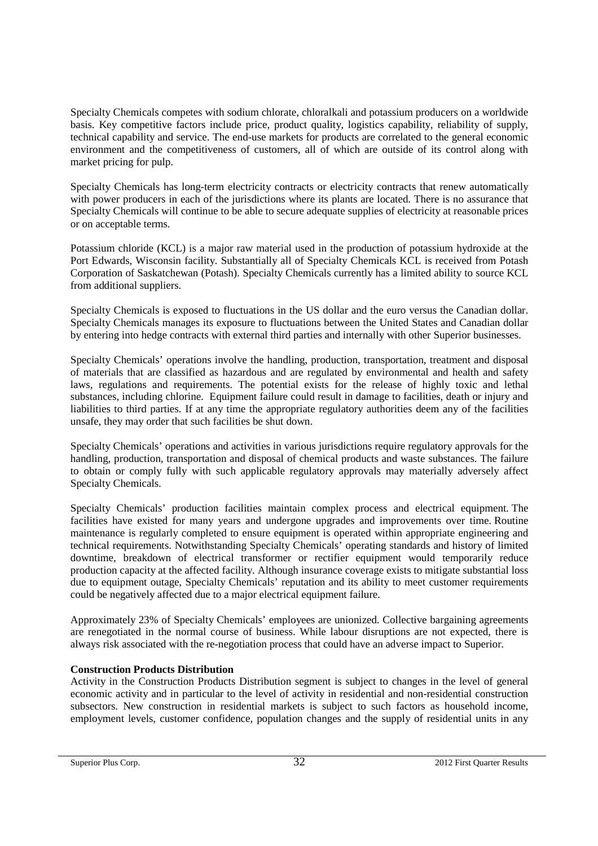Specialty Chemicals competes with sodium chlorate, chloralkali and potassium producers on a worldwide basis. Key competitive factors include price, product quality, logistics capability, reliability of supply, technical capability and service. The end-use markets for products are correlated to the general economic environment and the competitiveness of customers, all of which are outside of its control along with market pricing for pulp.

Specialty Chemicals has long-term electricity contracts or electricity contracts that renew automatically with power producers in each of the jurisdictions where its plants are located. There is no assurance that Specialty Chemicals will continue to be able to secure adequate supplies of electricity at reasonable prices or on acceptable terms.

Potassium chloride (KCL) is a major raw material used in the production of potassium hydroxide at the Port Edwards, Wisconsin facility. Substantially all of Specialty Chemicals KCL is received from Potash Corporation of Saskatchewan (Potash). Specialty Chemicals currently has a limited ability to source KCL from additional suppliers.

Specialty Chemicals is exposed to fluctuations in the US dollar and the euro versus the Canadian dollar. Specialty Chemicals manages its exposure to fluctuations between the United States and Canadian dollar by entering into hedge contracts with external third parties and internally with other Superior businesses.

Specialty Chemicals' operations involve the handling, production, transportation, treatment and disposal of materials that are classified as hazardous and are regulated by environmental and health and safety laws, regulations and requirements. The potential exists for the release of highly toxic and lethal substances, including chlorine. Equipment failure could result in damage to facilities, death or injury and liabilities to third parties. If at any time the appropriate regulatory authorities deem any of the facilities unsafe, they may order that such facilities be shut down.

Specialty Chemicals' operations and activities in various jurisdictions require regulatory approvals for the handling, production, transportation and disposal of chemical products and waste substances. The failure to obtain or comply fully with such applicable regulatory approvals may materially adversely affect Specialty Chemicals.

Specialty Chemicals' production facilities maintain complex process and electrical equipment. The facilities have existed for many years and undergone upgrades and improvements over time. Routine maintenance is regularly completed to ensure equipment is operated within appropriate engineering and technical requirements. Notwithstanding Specialty Chemicals' operating standards and history of limited downtime, breakdown of electrical transformer or rectifier equipment would temporarily reduce production capacity at the affected facility. Although insurance coverage exists to mitigate substantial loss due to equipment outage, Specialty Chemicals' reputation and its ability to meet customer requirements could be negatively affected due to a major electrical equipment failure.

Approximately 23% of Specialty Chemicals' employees are unionized. Collective bargaining agreements are renegotiated in the normal course of business. While labour disruptions are not expected, there is always risk associated with the re-negotiation process that could have an adverse impact to Superior.

# **Construction Products Distribution**

Activity in the Construction Products Distribution segment is subject to changes in the level of general economic activity and in particular to the level of activity in residential and non-residential construction subsectors. New construction in residential markets is subject to such factors as household income, employment levels, customer confidence, population changes and the supply of residential units in any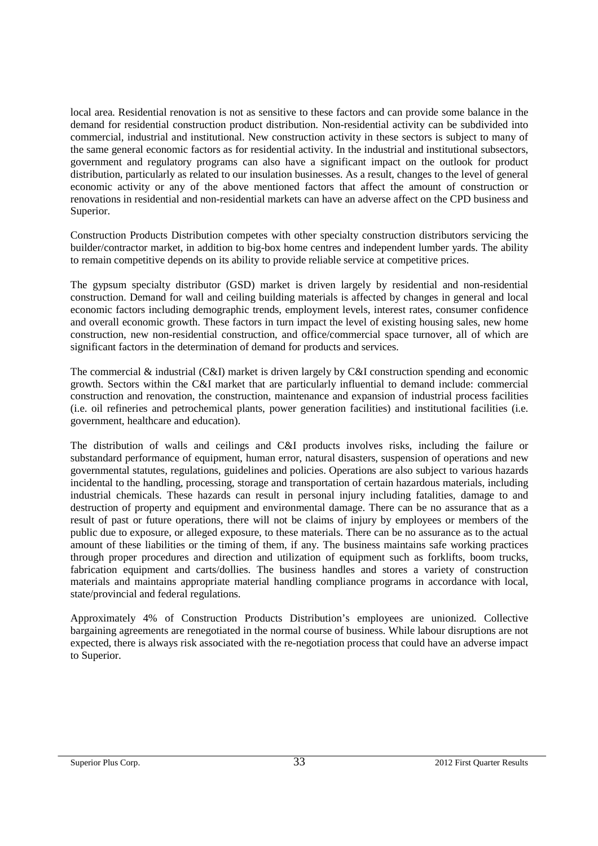local area. Residential renovation is not as sensitive to these factors and can provide some balance in the demand for residential construction product distribution. Non-residential activity can be subdivided into commercial, industrial and institutional. New construction activity in these sectors is subject to many of the same general economic factors as for residential activity. In the industrial and institutional subsectors, government and regulatory programs can also have a significant impact on the outlook for product distribution, particularly as related to our insulation businesses. As a result, changes to the level of general economic activity or any of the above mentioned factors that affect the amount of construction or renovations in residential and non-residential markets can have an adverse affect on the CPD business and Superior.

Construction Products Distribution competes with other specialty construction distributors servicing the builder/contractor market, in addition to big-box home centres and independent lumber yards. The ability to remain competitive depends on its ability to provide reliable service at competitive prices.

The gypsum specialty distributor (GSD) market is driven largely by residential and non-residential construction. Demand for wall and ceiling building materials is affected by changes in general and local economic factors including demographic trends, employment levels, interest rates, consumer confidence and overall economic growth. These factors in turn impact the level of existing housing sales, new home construction, new non-residential construction, and office/commercial space turnover, all of which are significant factors in the determination of demand for products and services.

The commercial  $\&$  industrial (C&I) market is driven largely by C&I construction spending and economic growth. Sectors within the C&I market that are particularly influential to demand include: commercial construction and renovation, the construction, maintenance and expansion of industrial process facilities (i.e. oil refineries and petrochemical plants, power generation facilities) and institutional facilities (i.e. government, healthcare and education).

The distribution of walls and ceilings and C&I products involves risks, including the failure or substandard performance of equipment, human error, natural disasters, suspension of operations and new governmental statutes, regulations, guidelines and policies. Operations are also subject to various hazards incidental to the handling, processing, storage and transportation of certain hazardous materials, including industrial chemicals. These hazards can result in personal injury including fatalities, damage to and destruction of property and equipment and environmental damage. There can be no assurance that as a result of past or future operations, there will not be claims of injury by employees or members of the public due to exposure, or alleged exposure, to these materials. There can be no assurance as to the actual amount of these liabilities or the timing of them, if any. The business maintains safe working practices through proper procedures and direction and utilization of equipment such as forklifts, boom trucks, fabrication equipment and carts/dollies. The business handles and stores a variety of construction materials and maintains appropriate material handling compliance programs in accordance with local, state/provincial and federal regulations.

Approximately 4% of Construction Products Distribution's employees are unionized. Collective bargaining agreements are renegotiated in the normal course of business. While labour disruptions are not expected, there is always risk associated with the re-negotiation process that could have an adverse impact to Superior.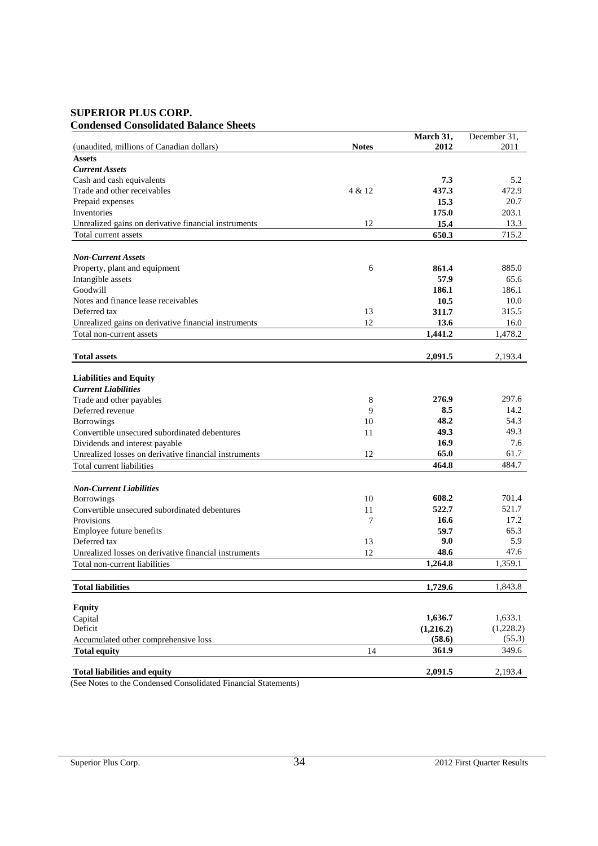# **SUPERIOR PLUS CORP.**

## **Condensed Consolidated Balance Sheets**

|                                                       |              | March 31, | December 31, |
|-------------------------------------------------------|--------------|-----------|--------------|
| (unaudited, millions of Canadian dollars)             | <b>Notes</b> | 2012      | 2011         |
| <b>Assets</b>                                         |              |           |              |
| <b>Current Assets</b>                                 |              |           |              |
| Cash and cash equivalents                             |              | 7.3       | 5.2          |
| Trade and other receivables                           | 4 & 12       | 437.3     | 472.9        |
| Prepaid expenses                                      |              | 15.3      | 20.7         |
| Inventories                                           |              | 175.0     | 203.1        |
| Unrealized gains on derivative financial instruments  | 12           | 15.4      | 13.3         |
| Total current assets                                  |              | 650.3     | 715.2        |
|                                                       |              |           |              |
| <b>Non-Current Assets</b>                             |              |           |              |
| Property, plant and equipment                         | 6            | 861.4     | 885.0        |
| Intangible assets                                     |              | 57.9      | 65.6         |
| Goodwill                                              |              | 186.1     | 186.1        |
| Notes and finance lease receivables                   |              | 10.5      | 10.0         |
| Deferred tax                                          | 13           | 311.7     | 315.5        |
| Unrealized gains on derivative financial instruments  | 12           | 13.6      | 16.0         |
| Total non-current assets                              |              | 1,441.2   | 1,478.2      |
|                                                       |              |           |              |
| <b>Total assets</b>                                   |              | 2,091.5   | 2,193.4      |
|                                                       |              |           |              |
| <b>Liabilities and Equity</b>                         |              |           |              |
| <b>Current Liabilities</b>                            |              |           |              |
| Trade and other payables                              | 8            | 276.9     | 297.6        |
| Deferred revenue                                      | 9            | 8.5       | 14.2         |
| <b>Borrowings</b>                                     | 10           | 48.2      | 54.3         |
| Convertible unsecured subordinated debentures         | 11           | 49.3      | 49.3         |
| Dividends and interest payable                        |              | 16.9      | 7.6          |
| Unrealized losses on derivative financial instruments | 12           | 65.0      | 61.7         |
| Total current liabilities                             |              | 464.8     | 484.7        |
|                                                       |              |           |              |
| <b>Non-Current Liabilities</b>                        |              |           |              |
| <b>Borrowings</b>                                     | 10           | 608.2     | 701.4        |
| Convertible unsecured subordinated debentures         | 11           | 522.7     | 521.7        |
| Provisions                                            | 7            | 16.6      | 17.2         |
| Employee future benefits                              |              | 59.7      | 65.3         |
| Deferred tax                                          | 13           | 9.0       | 5.9          |
| Unrealized losses on derivative financial instruments | 12           | 48.6      | 47.6         |
| Total non-current liabilities                         |              | 1,264.8   | 1,359.1      |
|                                                       |              |           |              |
| <b>Total liabilities</b>                              |              | 1,729.6   | 1,843.8      |
| <b>Equity</b>                                         |              |           |              |
| Capital                                               |              | 1,636.7   | 1,633.1      |
| Deficit                                               |              | (1,216.2) | (1,228.2)    |
| Accumulated other comprehensive loss                  |              | (58.6)    | (55.3)       |
| <b>Total equity</b>                                   | 14           | 361.9     | 349.6        |
|                                                       |              |           |              |
| <b>Total liabilities and equity</b>                   |              | 2,091.5   | 2,193.4      |

(See Notes to the Condensed Consolidated Financial Statements)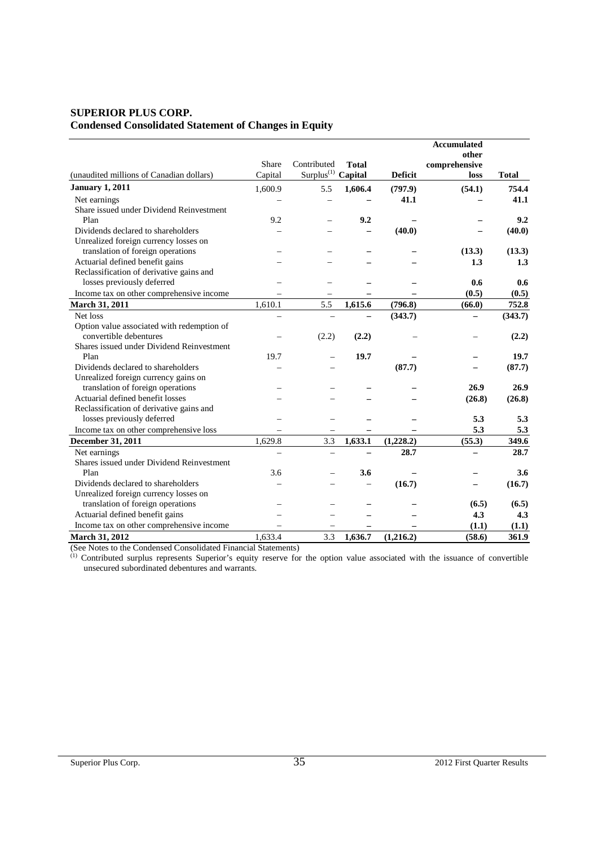# **SUPERIOR PLUS CORP. Condensed Consolidated Statement of Changes in Equity**

|                                            |                          |                 |                          |                | <b>Accumulated</b><br>other |              |
|--------------------------------------------|--------------------------|-----------------|--------------------------|----------------|-----------------------------|--------------|
|                                            | Share                    | Contributed     | <b>Total</b>             |                | comprehensive               |              |
| (unaudited millions of Canadian dollars)   | Capital                  | $Surplus^{(1)}$ | Capital                  | <b>Deficit</b> | loss                        | <b>Total</b> |
| <b>January 1, 2011</b>                     | 1,600.9                  | 5.5             | 1,606.4                  | (797.9)        | (54.1)                      | 754.4        |
| Net earnings                               |                          |                 |                          | 41.1           |                             | 41.1         |
| Share issued under Dividend Reinvestment   |                          |                 |                          |                |                             |              |
| Plan                                       | 9.2                      |                 | 9.2                      |                |                             | 9.2          |
| Dividends declared to shareholders         |                          |                 |                          | (40.0)         |                             | (40.0)       |
| Unrealized foreign currency losses on      |                          |                 |                          |                |                             |              |
| translation of foreign operations          |                          |                 |                          |                | (13.3)                      | (13.3)       |
| Actuarial defined benefit gains            |                          |                 |                          |                | 1.3                         | 1.3          |
| Reclassification of derivative gains and   |                          |                 |                          |                |                             |              |
| losses previously deferred                 |                          |                 |                          |                | 0.6                         | 0.6          |
| Income tax on other comprehensive income   |                          |                 |                          |                | (0.5)                       | (0.5)        |
| <b>March 31, 2011</b>                      | 1,610.1                  | 5.5             | 1,615.6                  | (796.8)        | (66.0)                      | 752.8        |
| Net loss                                   |                          |                 |                          | (343.7)        |                             | (343.7)      |
| Option value associated with redemption of |                          |                 |                          |                |                             |              |
| convertible debentures                     |                          | (2.2)           | (2.2)                    |                |                             | (2.2)        |
| Shares issued under Dividend Reinvestment  |                          |                 |                          |                |                             |              |
| Plan                                       | 19.7                     |                 | 19.7                     |                |                             | 19.7         |
| Dividends declared to shareholders         |                          |                 |                          | (87.7)         |                             | (87.7)       |
| Unrealized foreign currency gains on       |                          |                 |                          |                |                             |              |
| translation of foreign operations          |                          |                 |                          |                | 26.9                        | 26.9         |
| Actuarial defined benefit losses           |                          |                 |                          |                | (26.8)                      | (26.8)       |
| Reclassification of derivative gains and   |                          |                 |                          |                |                             |              |
| losses previously deferred                 |                          |                 |                          |                | 5.3                         | 5.3          |
| Income tax on other comprehensive loss     |                          |                 |                          |                | 5.3                         | 5.3          |
| December 31, 2011                          | 1,629.8                  | 3.3             | 1,633.1                  | (1,228.2)      | (55.3)                      | 349.6        |
| Net earnings                               | $\overline{\phantom{0}}$ |                 |                          | 28.7           |                             | 28.7         |
| Shares issued under Dividend Reinvestment  |                          |                 |                          |                |                             |              |
| Plan                                       | 3.6                      |                 | 3.6                      |                |                             | 3.6          |
| Dividends declared to shareholders         |                          |                 | $\overline{\phantom{0}}$ | (16.7)         |                             | (16.7)       |
| Unrealized foreign currency losses on      |                          |                 |                          |                |                             |              |
| translation of foreign operations          |                          |                 |                          |                | (6.5)                       | (6.5)        |
| Actuarial defined benefit gains            |                          |                 |                          |                | 4.3                         | 4.3          |
| Income tax on other comprehensive income   |                          |                 |                          |                | (1.1)                       | (1.1)        |
| <b>March 31, 2012</b>                      | 1.633.4                  | 3.3             | 1,636.7                  | (1,216.2)      | (58.6)                      | 361.9        |

(See Notes to the Condensed Consolidated Financial Statements)

(1) Contributed surplus represents Superior's equity reserve for the option value associated with the issuance of convertible unsecured subordinated debentures and warrants.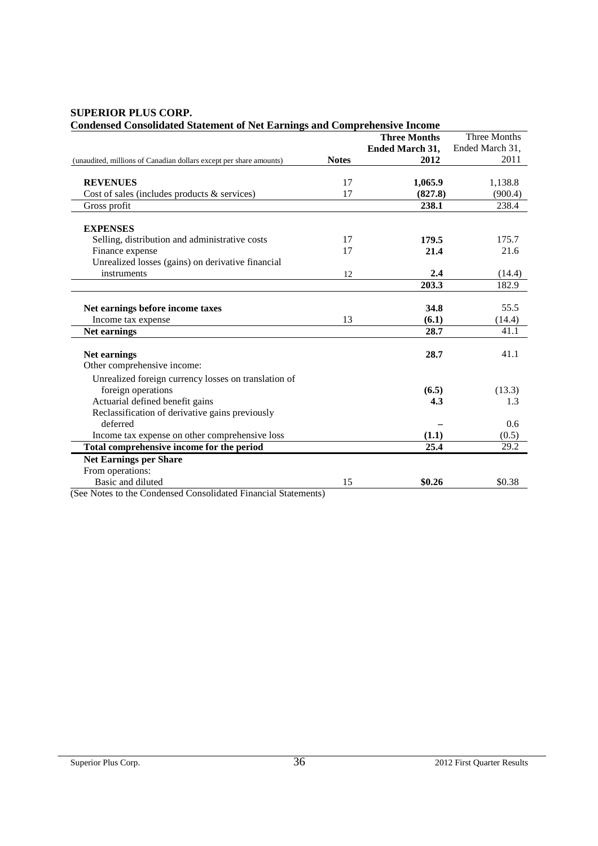# **SUPERIOR PLUS CORP.**

| <b>Condensed Consolidated Statement of Net Earnings and Comprehensive Income</b> |              |                        |                 |
|----------------------------------------------------------------------------------|--------------|------------------------|-----------------|
|                                                                                  |              | <b>Three Months</b>    | Three Months    |
|                                                                                  |              | <b>Ended March 31,</b> | Ended March 31, |
| (unaudited, millions of Canadian dollars except per share amounts)               | <b>Notes</b> | 2012                   | 2011            |
| <b>REVENUES</b>                                                                  | 17           | 1,065.9                | 1,138.8         |
| Cost of sales (includes products & services)                                     | 17           | (827.8)                | (900.4)         |
| Gross profit                                                                     |              | 238.1                  | 238.4           |
|                                                                                  |              |                        |                 |
| <b>EXPENSES</b>                                                                  |              |                        |                 |
| Selling, distribution and administrative costs                                   | 17           | 179.5                  | 175.7           |
| Finance expense                                                                  | 17           | 21.4                   | 21.6            |
| Unrealized losses (gains) on derivative financial                                |              |                        |                 |
| instruments                                                                      | 12           | 2.4                    | (14.4)          |
|                                                                                  |              | 203.3                  | 182.9           |
| Net earnings before income taxes                                                 |              | 34.8                   | 55.5            |
| Income tax expense                                                               | 13           | (6.1)                  | (14.4)          |
| Net earnings                                                                     |              | 28.7                   | 41.1            |
|                                                                                  |              |                        |                 |
| Net earnings                                                                     |              | 28.7                   | 41.1            |
| Other comprehensive income:                                                      |              |                        |                 |
| Unrealized foreign currency losses on translation of                             |              |                        |                 |
| foreign operations                                                               |              | (6.5)                  | (13.3)          |
| Actuarial defined benefit gains                                                  |              | 4.3                    | 1.3             |
| Reclassification of derivative gains previously                                  |              |                        |                 |
| deferred                                                                         |              |                        | 0.6             |
| Income tax expense on other comprehensive loss                                   |              | (1.1)                  | (0.5)           |
| Total comprehensive income for the period                                        |              | 25.4                   | 29.2            |
| <b>Net Earnings per Share</b>                                                    |              |                        |                 |
| From operations:                                                                 |              |                        |                 |
| Basic and diluted                                                                | 15           | \$0.26                 | \$0.38          |
| (See Notes to the Condensed Consolidated Financial Statements)                   |              |                        |                 |

(See Notes to the Condensed Consolidated Financial Statements)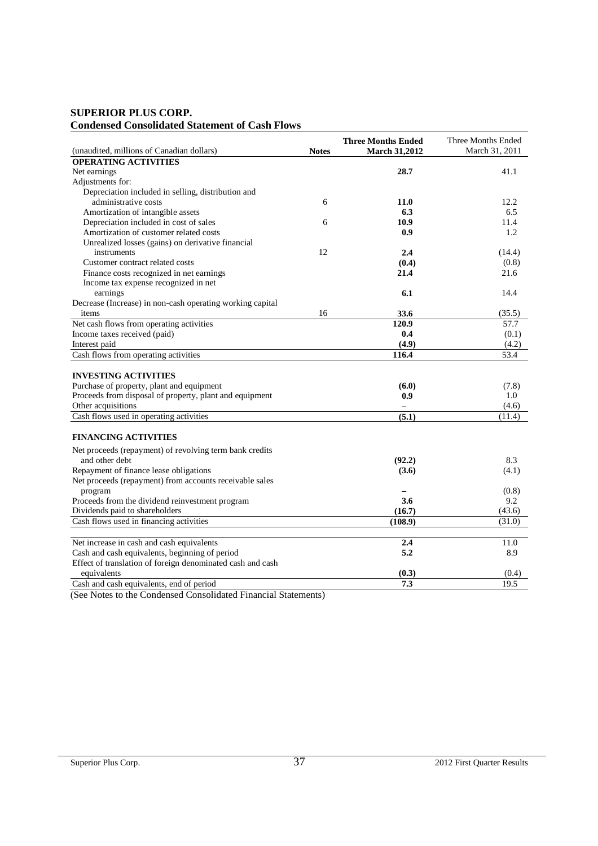# **SUPERIOR PLUS CORP.**

# **Condensed Consolidated Statement of Cash Flows**

| (unaudited, millions of Canadian dollars)<br>March 31, 2011<br><b>Notes</b><br><b>March 31.2012</b><br><b>OPERATING ACTIVITIES</b><br>41.1<br>Net earnings<br>28.7<br>Adjustments for:<br>Depreciation included in selling, distribution and<br>administrative costs<br>12.2<br>6<br>11.0<br>Amortization of intangible assets<br>6.3<br>6.5<br>Depreciation included in cost of sales<br>6<br>10.9<br>11.4<br>Amortization of customer related costs<br>1.2<br>0.9<br>Unrealized losses (gains) on derivative financial<br>12<br>instruments<br>2.4<br>(14.4)<br>Customer contract related costs<br>(0.8)<br>(0.4)<br>Finance costs recognized in net earnings<br>21.4<br>21.6<br>Income tax expense recognized in net<br>6.1<br>earnings<br>14.4<br>Decrease (Increase) in non-cash operating working capital<br>33.6<br>items<br>16<br>(35.5)<br>120.9<br>57.7<br>Income taxes received (paid)<br>0.4<br>(0.1)<br>Interest paid<br>(4.9)<br>(4.2)<br>Cash flows from operating activities<br>116.4<br>53.4<br><b>INVESTING ACTIVITIES</b><br>Purchase of property, plant and equipment<br>(6.0)<br>(7.8)<br>1.0<br>Proceeds from disposal of property, plant and equipment<br>0.9<br>Other acquisitions<br>(4.6)<br>$\overline{\phantom{0}}$<br>Cash flows used in operating activities<br>(5.1)<br>(11.4)<br><b>FINANCING ACTIVITIES</b><br>Net proceeds (repayment) of revolving term bank credits<br>8.3<br>and other debt<br>(92.2)<br>Repayment of finance lease obligations<br>(3.6)<br>(4.1)<br>Net proceeds (repayment) from accounts receivable sales<br>program<br>(0.8)<br>-<br>Proceeds from the dividend reinvestment program<br>3.6<br>9.2<br>Dividends paid to shareholders<br>(43.6)<br>(16.7)<br>Cash flows used in financing activities<br>(108.9)<br>(31.0)<br>Net increase in cash and cash equivalents<br>2.4<br>11.0<br>Cash and cash equivalents, beginning of period<br>5.2<br>8.9<br>Effect of translation of foreign denominated cash and cash<br>equivalents<br>(0.3)<br>(0.4) |                                          | <b>Three Months Ended</b> | Three Months Ended |
|--------------------------------------------------------------------------------------------------------------------------------------------------------------------------------------------------------------------------------------------------------------------------------------------------------------------------------------------------------------------------------------------------------------------------------------------------------------------------------------------------------------------------------------------------------------------------------------------------------------------------------------------------------------------------------------------------------------------------------------------------------------------------------------------------------------------------------------------------------------------------------------------------------------------------------------------------------------------------------------------------------------------------------------------------------------------------------------------------------------------------------------------------------------------------------------------------------------------------------------------------------------------------------------------------------------------------------------------------------------------------------------------------------------------------------------------------------------------------------------------------------------------------------------------------------------------------------------------------------------------------------------------------------------------------------------------------------------------------------------------------------------------------------------------------------------------------------------------------------------------------------------------------------------------------------------------------------------------------------------------------------------|------------------------------------------|---------------------------|--------------------|
|                                                                                                                                                                                                                                                                                                                                                                                                                                                                                                                                                                                                                                                                                                                                                                                                                                                                                                                                                                                                                                                                                                                                                                                                                                                                                                                                                                                                                                                                                                                                                                                                                                                                                                                                                                                                                                                                                                                                                                                                              |                                          |                           |                    |
|                                                                                                                                                                                                                                                                                                                                                                                                                                                                                                                                                                                                                                                                                                                                                                                                                                                                                                                                                                                                                                                                                                                                                                                                                                                                                                                                                                                                                                                                                                                                                                                                                                                                                                                                                                                                                                                                                                                                                                                                              |                                          |                           |                    |
|                                                                                                                                                                                                                                                                                                                                                                                                                                                                                                                                                                                                                                                                                                                                                                                                                                                                                                                                                                                                                                                                                                                                                                                                                                                                                                                                                                                                                                                                                                                                                                                                                                                                                                                                                                                                                                                                                                                                                                                                              |                                          |                           |                    |
|                                                                                                                                                                                                                                                                                                                                                                                                                                                                                                                                                                                                                                                                                                                                                                                                                                                                                                                                                                                                                                                                                                                                                                                                                                                                                                                                                                                                                                                                                                                                                                                                                                                                                                                                                                                                                                                                                                                                                                                                              |                                          |                           |                    |
|                                                                                                                                                                                                                                                                                                                                                                                                                                                                                                                                                                                                                                                                                                                                                                                                                                                                                                                                                                                                                                                                                                                                                                                                                                                                                                                                                                                                                                                                                                                                                                                                                                                                                                                                                                                                                                                                                                                                                                                                              |                                          |                           |                    |
|                                                                                                                                                                                                                                                                                                                                                                                                                                                                                                                                                                                                                                                                                                                                                                                                                                                                                                                                                                                                                                                                                                                                                                                                                                                                                                                                                                                                                                                                                                                                                                                                                                                                                                                                                                                                                                                                                                                                                                                                              |                                          |                           |                    |
|                                                                                                                                                                                                                                                                                                                                                                                                                                                                                                                                                                                                                                                                                                                                                                                                                                                                                                                                                                                                                                                                                                                                                                                                                                                                                                                                                                                                                                                                                                                                                                                                                                                                                                                                                                                                                                                                                                                                                                                                              |                                          |                           |                    |
|                                                                                                                                                                                                                                                                                                                                                                                                                                                                                                                                                                                                                                                                                                                                                                                                                                                                                                                                                                                                                                                                                                                                                                                                                                                                                                                                                                                                                                                                                                                                                                                                                                                                                                                                                                                                                                                                                                                                                                                                              |                                          |                           |                    |
|                                                                                                                                                                                                                                                                                                                                                                                                                                                                                                                                                                                                                                                                                                                                                                                                                                                                                                                                                                                                                                                                                                                                                                                                                                                                                                                                                                                                                                                                                                                                                                                                                                                                                                                                                                                                                                                                                                                                                                                                              |                                          |                           |                    |
|                                                                                                                                                                                                                                                                                                                                                                                                                                                                                                                                                                                                                                                                                                                                                                                                                                                                                                                                                                                                                                                                                                                                                                                                                                                                                                                                                                                                                                                                                                                                                                                                                                                                                                                                                                                                                                                                                                                                                                                                              |                                          |                           |                    |
|                                                                                                                                                                                                                                                                                                                                                                                                                                                                                                                                                                                                                                                                                                                                                                                                                                                                                                                                                                                                                                                                                                                                                                                                                                                                                                                                                                                                                                                                                                                                                                                                                                                                                                                                                                                                                                                                                                                                                                                                              |                                          |                           |                    |
|                                                                                                                                                                                                                                                                                                                                                                                                                                                                                                                                                                                                                                                                                                                                                                                                                                                                                                                                                                                                                                                                                                                                                                                                                                                                                                                                                                                                                                                                                                                                                                                                                                                                                                                                                                                                                                                                                                                                                                                                              |                                          |                           |                    |
|                                                                                                                                                                                                                                                                                                                                                                                                                                                                                                                                                                                                                                                                                                                                                                                                                                                                                                                                                                                                                                                                                                                                                                                                                                                                                                                                                                                                                                                                                                                                                                                                                                                                                                                                                                                                                                                                                                                                                                                                              |                                          |                           |                    |
|                                                                                                                                                                                                                                                                                                                                                                                                                                                                                                                                                                                                                                                                                                                                                                                                                                                                                                                                                                                                                                                                                                                                                                                                                                                                                                                                                                                                                                                                                                                                                                                                                                                                                                                                                                                                                                                                                                                                                                                                              |                                          |                           |                    |
|                                                                                                                                                                                                                                                                                                                                                                                                                                                                                                                                                                                                                                                                                                                                                                                                                                                                                                                                                                                                                                                                                                                                                                                                                                                                                                                                                                                                                                                                                                                                                                                                                                                                                                                                                                                                                                                                                                                                                                                                              |                                          |                           |                    |
|                                                                                                                                                                                                                                                                                                                                                                                                                                                                                                                                                                                                                                                                                                                                                                                                                                                                                                                                                                                                                                                                                                                                                                                                                                                                                                                                                                                                                                                                                                                                                                                                                                                                                                                                                                                                                                                                                                                                                                                                              |                                          |                           |                    |
|                                                                                                                                                                                                                                                                                                                                                                                                                                                                                                                                                                                                                                                                                                                                                                                                                                                                                                                                                                                                                                                                                                                                                                                                                                                                                                                                                                                                                                                                                                                                                                                                                                                                                                                                                                                                                                                                                                                                                                                                              |                                          |                           |                    |
|                                                                                                                                                                                                                                                                                                                                                                                                                                                                                                                                                                                                                                                                                                                                                                                                                                                                                                                                                                                                                                                                                                                                                                                                                                                                                                                                                                                                                                                                                                                                                                                                                                                                                                                                                                                                                                                                                                                                                                                                              | Net cash flows from operating activities |                           |                    |
|                                                                                                                                                                                                                                                                                                                                                                                                                                                                                                                                                                                                                                                                                                                                                                                                                                                                                                                                                                                                                                                                                                                                                                                                                                                                                                                                                                                                                                                                                                                                                                                                                                                                                                                                                                                                                                                                                                                                                                                                              |                                          |                           |                    |
|                                                                                                                                                                                                                                                                                                                                                                                                                                                                                                                                                                                                                                                                                                                                                                                                                                                                                                                                                                                                                                                                                                                                                                                                                                                                                                                                                                                                                                                                                                                                                                                                                                                                                                                                                                                                                                                                                                                                                                                                              |                                          |                           |                    |
|                                                                                                                                                                                                                                                                                                                                                                                                                                                                                                                                                                                                                                                                                                                                                                                                                                                                                                                                                                                                                                                                                                                                                                                                                                                                                                                                                                                                                                                                                                                                                                                                                                                                                                                                                                                                                                                                                                                                                                                                              |                                          |                           |                    |
|                                                                                                                                                                                                                                                                                                                                                                                                                                                                                                                                                                                                                                                                                                                                                                                                                                                                                                                                                                                                                                                                                                                                                                                                                                                                                                                                                                                                                                                                                                                                                                                                                                                                                                                                                                                                                                                                                                                                                                                                              |                                          |                           |                    |
|                                                                                                                                                                                                                                                                                                                                                                                                                                                                                                                                                                                                                                                                                                                                                                                                                                                                                                                                                                                                                                                                                                                                                                                                                                                                                                                                                                                                                                                                                                                                                                                                                                                                                                                                                                                                                                                                                                                                                                                                              |                                          |                           |                    |
|                                                                                                                                                                                                                                                                                                                                                                                                                                                                                                                                                                                                                                                                                                                                                                                                                                                                                                                                                                                                                                                                                                                                                                                                                                                                                                                                                                                                                                                                                                                                                                                                                                                                                                                                                                                                                                                                                                                                                                                                              |                                          |                           |                    |
|                                                                                                                                                                                                                                                                                                                                                                                                                                                                                                                                                                                                                                                                                                                                                                                                                                                                                                                                                                                                                                                                                                                                                                                                                                                                                                                                                                                                                                                                                                                                                                                                                                                                                                                                                                                                                                                                                                                                                                                                              |                                          |                           |                    |
|                                                                                                                                                                                                                                                                                                                                                                                                                                                                                                                                                                                                                                                                                                                                                                                                                                                                                                                                                                                                                                                                                                                                                                                                                                                                                                                                                                                                                                                                                                                                                                                                                                                                                                                                                                                                                                                                                                                                                                                                              |                                          |                           |                    |
|                                                                                                                                                                                                                                                                                                                                                                                                                                                                                                                                                                                                                                                                                                                                                                                                                                                                                                                                                                                                                                                                                                                                                                                                                                                                                                                                                                                                                                                                                                                                                                                                                                                                                                                                                                                                                                                                                                                                                                                                              |                                          |                           |                    |
|                                                                                                                                                                                                                                                                                                                                                                                                                                                                                                                                                                                                                                                                                                                                                                                                                                                                                                                                                                                                                                                                                                                                                                                                                                                                                                                                                                                                                                                                                                                                                                                                                                                                                                                                                                                                                                                                                                                                                                                                              |                                          |                           |                    |
|                                                                                                                                                                                                                                                                                                                                                                                                                                                                                                                                                                                                                                                                                                                                                                                                                                                                                                                                                                                                                                                                                                                                                                                                                                                                                                                                                                                                                                                                                                                                                                                                                                                                                                                                                                                                                                                                                                                                                                                                              |                                          |                           |                    |
|                                                                                                                                                                                                                                                                                                                                                                                                                                                                                                                                                                                                                                                                                                                                                                                                                                                                                                                                                                                                                                                                                                                                                                                                                                                                                                                                                                                                                                                                                                                                                                                                                                                                                                                                                                                                                                                                                                                                                                                                              |                                          |                           |                    |
|                                                                                                                                                                                                                                                                                                                                                                                                                                                                                                                                                                                                                                                                                                                                                                                                                                                                                                                                                                                                                                                                                                                                                                                                                                                                                                                                                                                                                                                                                                                                                                                                                                                                                                                                                                                                                                                                                                                                                                                                              |                                          |                           |                    |
|                                                                                                                                                                                                                                                                                                                                                                                                                                                                                                                                                                                                                                                                                                                                                                                                                                                                                                                                                                                                                                                                                                                                                                                                                                                                                                                                                                                                                                                                                                                                                                                                                                                                                                                                                                                                                                                                                                                                                                                                              |                                          |                           |                    |
|                                                                                                                                                                                                                                                                                                                                                                                                                                                                                                                                                                                                                                                                                                                                                                                                                                                                                                                                                                                                                                                                                                                                                                                                                                                                                                                                                                                                                                                                                                                                                                                                                                                                                                                                                                                                                                                                                                                                                                                                              |                                          |                           |                    |
|                                                                                                                                                                                                                                                                                                                                                                                                                                                                                                                                                                                                                                                                                                                                                                                                                                                                                                                                                                                                                                                                                                                                                                                                                                                                                                                                                                                                                                                                                                                                                                                                                                                                                                                                                                                                                                                                                                                                                                                                              |                                          |                           |                    |
|                                                                                                                                                                                                                                                                                                                                                                                                                                                                                                                                                                                                                                                                                                                                                                                                                                                                                                                                                                                                                                                                                                                                                                                                                                                                                                                                                                                                                                                                                                                                                                                                                                                                                                                                                                                                                                                                                                                                                                                                              |                                          |                           |                    |
|                                                                                                                                                                                                                                                                                                                                                                                                                                                                                                                                                                                                                                                                                                                                                                                                                                                                                                                                                                                                                                                                                                                                                                                                                                                                                                                                                                                                                                                                                                                                                                                                                                                                                                                                                                                                                                                                                                                                                                                                              |                                          |                           |                    |
|                                                                                                                                                                                                                                                                                                                                                                                                                                                                                                                                                                                                                                                                                                                                                                                                                                                                                                                                                                                                                                                                                                                                                                                                                                                                                                                                                                                                                                                                                                                                                                                                                                                                                                                                                                                                                                                                                                                                                                                                              |                                          |                           |                    |
|                                                                                                                                                                                                                                                                                                                                                                                                                                                                                                                                                                                                                                                                                                                                                                                                                                                                                                                                                                                                                                                                                                                                                                                                                                                                                                                                                                                                                                                                                                                                                                                                                                                                                                                                                                                                                                                                                                                                                                                                              |                                          |                           |                    |
|                                                                                                                                                                                                                                                                                                                                                                                                                                                                                                                                                                                                                                                                                                                                                                                                                                                                                                                                                                                                                                                                                                                                                                                                                                                                                                                                                                                                                                                                                                                                                                                                                                                                                                                                                                                                                                                                                                                                                                                                              |                                          |                           |                    |
|                                                                                                                                                                                                                                                                                                                                                                                                                                                                                                                                                                                                                                                                                                                                                                                                                                                                                                                                                                                                                                                                                                                                                                                                                                                                                                                                                                                                                                                                                                                                                                                                                                                                                                                                                                                                                                                                                                                                                                                                              |                                          |                           |                    |
|                                                                                                                                                                                                                                                                                                                                                                                                                                                                                                                                                                                                                                                                                                                                                                                                                                                                                                                                                                                                                                                                                                                                                                                                                                                                                                                                                                                                                                                                                                                                                                                                                                                                                                                                                                                                                                                                                                                                                                                                              |                                          |                           |                    |
|                                                                                                                                                                                                                                                                                                                                                                                                                                                                                                                                                                                                                                                                                                                                                                                                                                                                                                                                                                                                                                                                                                                                                                                                                                                                                                                                                                                                                                                                                                                                                                                                                                                                                                                                                                                                                                                                                                                                                                                                              |                                          |                           |                    |
| 7.3<br>Cash and cash equivalents, end of period<br>19.5                                                                                                                                                                                                                                                                                                                                                                                                                                                                                                                                                                                                                                                                                                                                                                                                                                                                                                                                                                                                                                                                                                                                                                                                                                                                                                                                                                                                                                                                                                                                                                                                                                                                                                                                                                                                                                                                                                                                                      |                                          |                           |                    |

(See Notes to the Condensed Consolidated Financial Statements)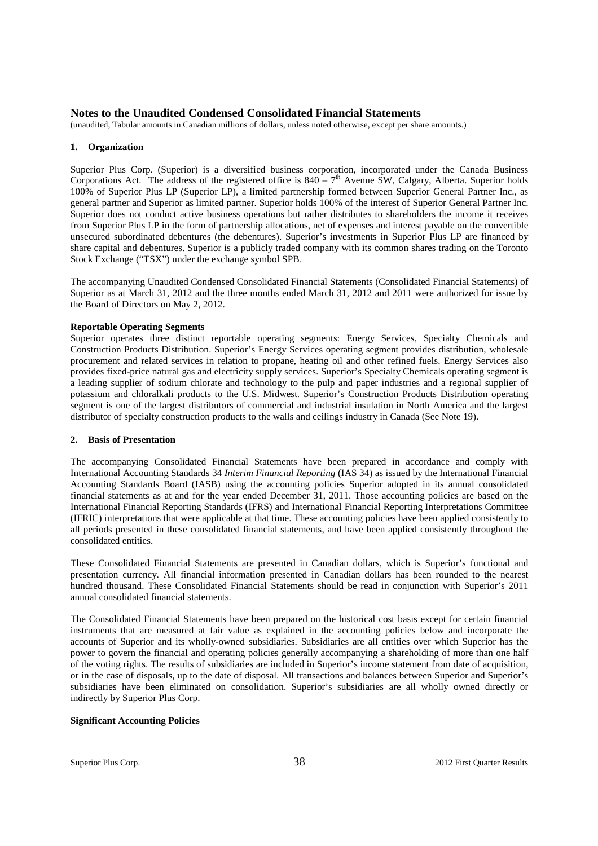# **Notes to the Unaudited Condensed Consolidated Financial Statements**

(unaudited, Tabular amounts in Canadian millions of dollars, unless noted otherwise, except per share amounts.)

#### **1. Organization**

Superior Plus Corp. (Superior) is a diversified business corporation, incorporated under the Canada Business Corporations Act. The address of the registered office is  $840 - 7<sup>th</sup>$  Avenue SW, Calgary, Alberta. Superior holds 100% of Superior Plus LP (Superior LP), a limited partnership formed between Superior General Partner Inc., as general partner and Superior as limited partner. Superior holds 100% of the interest of Superior General Partner Inc. Superior does not conduct active business operations but rather distributes to shareholders the income it receives from Superior Plus LP in the form of partnership allocations, net of expenses and interest payable on the convertible unsecured subordinated debentures (the debentures). Superior's investments in Superior Plus LP are financed by share capital and debentures. Superior is a publicly traded company with its common shares trading on the Toronto Stock Exchange ("TSX") under the exchange symbol SPB.

The accompanying Unaudited Condensed Consolidated Financial Statements (Consolidated Financial Statements) of Superior as at March 31, 2012 and the three months ended March 31, 2012 and 2011 were authorized for issue by the Board of Directors on May 2, 2012.

#### **Reportable Operating Segments**

Superior operates three distinct reportable operating segments: Energy Services, Specialty Chemicals and Construction Products Distribution. Superior's Energy Services operating segment provides distribution, wholesale procurement and related services in relation to propane, heating oil and other refined fuels. Energy Services also provides fixed-price natural gas and electricity supply services. Superior's Specialty Chemicals operating segment is a leading supplier of sodium chlorate and technology to the pulp and paper industries and a regional supplier of potassium and chloralkali products to the U.S. Midwest. Superior's Construction Products Distribution operating segment is one of the largest distributors of commercial and industrial insulation in North America and the largest distributor of specialty construction products to the walls and ceilings industry in Canada (See Note 19).

#### **2. Basis of Presentation**

The accompanying Consolidated Financial Statements have been prepared in accordance and comply with International Accounting Standards 34 *Interim Financial Reporting* (IAS 34) as issued by the International Financial Accounting Standards Board (IASB) using the accounting policies Superior adopted in its annual consolidated financial statements as at and for the year ended December 31, 2011. Those accounting policies are based on the International Financial Reporting Standards (IFRS) and International Financial Reporting Interpretations Committee (IFRIC) interpretations that were applicable at that time. These accounting policies have been applied consistently to all periods presented in these consolidated financial statements, and have been applied consistently throughout the consolidated entities.

These Consolidated Financial Statements are presented in Canadian dollars, which is Superior's functional and presentation currency. All financial information presented in Canadian dollars has been rounded to the nearest hundred thousand. These Consolidated Financial Statements should be read in conjunction with Superior's 2011 annual consolidated financial statements.

The Consolidated Financial Statements have been prepared on the historical cost basis except for certain financial instruments that are measured at fair value as explained in the accounting policies below and incorporate the accounts of Superior and its wholly-owned subsidiaries. Subsidiaries are all entities over which Superior has the power to govern the financial and operating policies generally accompanying a shareholding of more than one half of the voting rights. The results of subsidiaries are included in Superior's income statement from date of acquisition, or in the case of disposals, up to the date of disposal. All transactions and balances between Superior and Superior's subsidiaries have been eliminated on consolidation. Superior's subsidiaries are all wholly owned directly or indirectly by Superior Plus Corp.

#### **Significant Accounting Policies**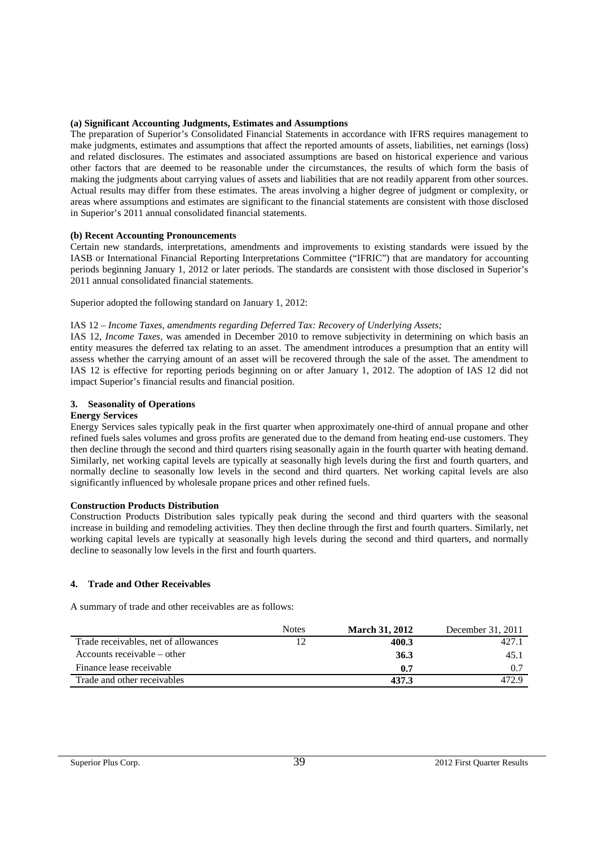#### **(a) Significant Accounting Judgments, Estimates and Assumptions**

The preparation of Superior's Consolidated Financial Statements in accordance with IFRS requires management to make judgments, estimates and assumptions that affect the reported amounts of assets, liabilities, net earnings (loss) and related disclosures. The estimates and associated assumptions are based on historical experience and various other factors that are deemed to be reasonable under the circumstances, the results of which form the basis of making the judgments about carrying values of assets and liabilities that are not readily apparent from other sources. Actual results may differ from these estimates. The areas involving a higher degree of judgment or complexity, or areas where assumptions and estimates are significant to the financial statements are consistent with those disclosed in Superior's 2011 annual consolidated financial statements.

#### **(b) Recent Accounting Pronouncements**

Certain new standards, interpretations, amendments and improvements to existing standards were issued by the IASB or International Financial Reporting Interpretations Committee ("IFRIC") that are mandatory for accounting periods beginning January 1, 2012 or later periods. The standards are consistent with those disclosed in Superior's 2011 annual consolidated financial statements.

Superior adopted the following standard on January 1, 2012:

#### IAS 12 – *Income Taxes, amendments regarding Deferred Tax: Recovery of Underlying Assets;*

IAS 12, *Income Taxes,* was amended in December 2010 to remove subjectivity in determining on which basis an entity measures the deferred tax relating to an asset. The amendment introduces a presumption that an entity will assess whether the carrying amount of an asset will be recovered through the sale of the asset. The amendment to IAS 12 is effective for reporting periods beginning on or after January 1, 2012. The adoption of IAS 12 did not impact Superior's financial results and financial position.

### **3. Seasonality of Operations**

### **Energy Services**

Energy Services sales typically peak in the first quarter when approximately one-third of annual propane and other refined fuels sales volumes and gross profits are generated due to the demand from heating end-use customers. They then decline through the second and third quarters rising seasonally again in the fourth quarter with heating demand. Similarly, net working capital levels are typically at seasonally high levels during the first and fourth quarters, and normally decline to seasonally low levels in the second and third quarters. Net working capital levels are also significantly influenced by wholesale propane prices and other refined fuels.

#### **Construction Products Distribution**

Construction Products Distribution sales typically peak during the second and third quarters with the seasonal increase in building and remodeling activities. They then decline through the first and fourth quarters. Similarly, net working capital levels are typically at seasonally high levels during the second and third quarters, and normally decline to seasonally low levels in the first and fourth quarters.

#### **4. Trade and Other Receivables**

A summary of trade and other receivables are as follows:

|                                      | Notes | <b>March 31, 2012</b> | December 31, 2011 |
|--------------------------------------|-------|-----------------------|-------------------|
| Trade receivables, net of allowances |       | 400.3                 | 427.1             |
| Accounts receivable – other          |       | 36.3                  | 45.1              |
| Finance lease receivable             |       | 0.7                   | 0.7               |
| Trade and other receivables          |       | 437.3                 | 472.9             |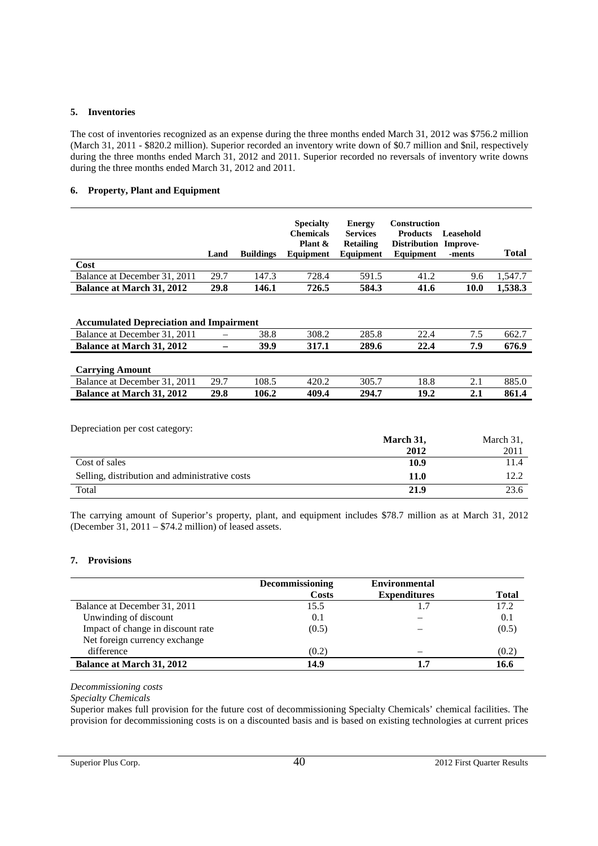#### **5. Inventories**

The cost of inventories recognized as an expense during the three months ended March 31, 2012 was \$756.2 million (March 31, 2011 - \$820.2 million). Superior recorded an inventory write down of \$0.7 million and \$nil, respectively during the three months ended March 31, 2012 and 2011. Superior recorded no reversals of inventory write downs during the three months ended March 31, 2012 and 2011.

### **6. Property, Plant and Equipment**

|                                                                                |      |                  | <b>Specialty</b><br><b>Chemicals</b><br>Plant & | <b>Energy</b><br><b>Services</b><br><b>Retailing</b> | <b>Construction</b><br><b>Products</b><br>Distribution Improve- | Leasehold   | <b>Total</b> |
|--------------------------------------------------------------------------------|------|------------------|-------------------------------------------------|------------------------------------------------------|-----------------------------------------------------------------|-------------|--------------|
| Cost                                                                           | Land | <b>Buildings</b> | Equipment                                       | Equipment                                            | Equipment                                                       | -ments      |              |
| Balance at December 31, 2011                                                   | 29.7 | 147.3            | 728.4                                           | 591.5                                                | 41.2                                                            | 9.6         | 1,547.7      |
| <b>Balance at March 31, 2012</b>                                               | 29.8 | 146.1            | 726.5                                           | 584.3                                                | 41.6                                                            | <b>10.0</b> | 1,538.3      |
| <b>Accumulated Depreciation and Impairment</b><br>Balance at December 31, 2011 |      | 38.8             | 308.2                                           | 285.8                                                | 22.4                                                            | 7.5         | 662.7        |
| <b>Balance at March 31, 2012</b>                                               |      | 39.9             | 317.1                                           | 289.6                                                | 22.4                                                            | 7.9         | 676.9        |
| <b>Carrying Amount</b>                                                         |      |                  |                                                 |                                                      |                                                                 |             |              |
| Balance at December 31, 2011                                                   | 29.7 | 108.5            | 420.2                                           | 305.7                                                | 18.8                                                            | 2.1         | 885.0        |
| <b>Balance at March 31, 2012</b>                                               | 29.8 | 106.2            | 409.4                                           | 294.7                                                | 19.2                                                            | 2.1         | 861.4        |

Depreciation per cost category:

|                                                | March 31, | March 31, |
|------------------------------------------------|-----------|-----------|
|                                                | 2012      | 2011      |
| Cost of sales                                  | 10.9      | 11.4      |
| Selling, distribution and administrative costs | 11.0      | 12.2      |
| Total                                          | 21.9      | 23.6      |

The carrying amount of Superior's property, plant, and equipment includes \$78.7 million as at March 31, 2012 (December 31, 2011 – \$74.2 million) of leased assets.

#### **7. Provisions**

|                                   | Decommissioning<br><b>Costs</b> | <b>Environmental</b><br><b>Expenditures</b> | <b>Total</b> |
|-----------------------------------|---------------------------------|---------------------------------------------|--------------|
| Balance at December 31, 2011      | 15.5                            |                                             | 17.2         |
| Unwinding of discount             | 0.1                             |                                             | 0.1          |
| Impact of change in discount rate | (0.5)                           |                                             | (0.5)        |
| Net foreign currency exchange     |                                 |                                             |              |
| difference                        | (0.2)                           |                                             | (0.2)        |
| <b>Balance at March 31, 2012</b>  | 14.9                            |                                             |              |

*Decommissioning costs* 

#### *Specialty Chemicals*

Superior makes full provision for the future cost of decommissioning Specialty Chemicals' chemical facilities. The provision for decommissioning costs is on a discounted basis and is based on existing technologies at current prices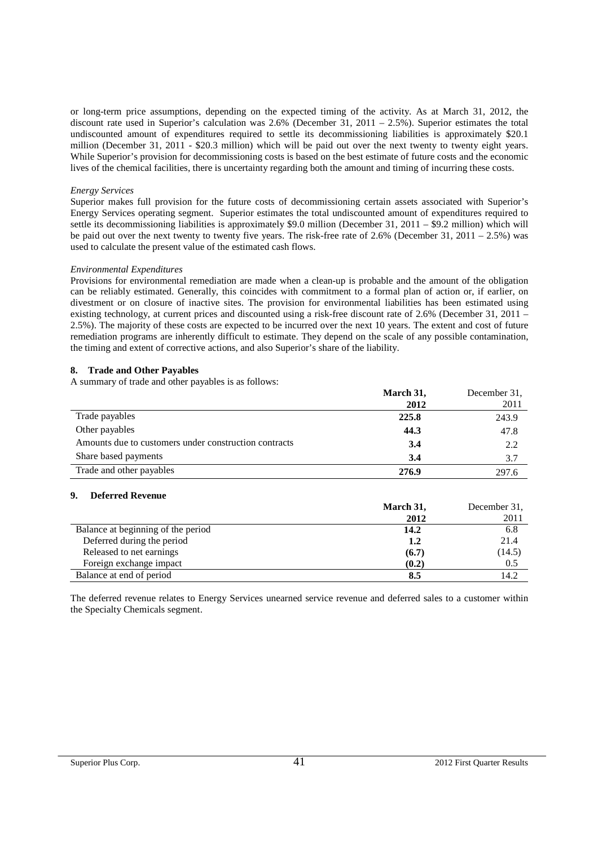or long-term price assumptions, depending on the expected timing of the activity. As at March 31, 2012, the discount rate used in Superior's calculation was 2.6% (December 31, 2011 – 2.5%). Superior estimates the total undiscounted amount of expenditures required to settle its decommissioning liabilities is approximately \$20.1 million (December 31, 2011 - \$20.3 million) which will be paid out over the next twenty to twenty eight years. While Superior's provision for decommissioning costs is based on the best estimate of future costs and the economic lives of the chemical facilities, there is uncertainty regarding both the amount and timing of incurring these costs.

#### *Energy Services*

Superior makes full provision for the future costs of decommissioning certain assets associated with Superior's Energy Services operating segment. Superior estimates the total undiscounted amount of expenditures required to settle its decommissioning liabilities is approximately \$9.0 million (December 31, 2011 – \$9.2 million) which will be paid out over the next twenty to twenty five years. The risk-free rate of 2.6% (December 31, 2011 – 2.5%) was used to calculate the present value of the estimated cash flows.

#### *Environmental Expenditures*

Provisions for environmental remediation are made when a clean-up is probable and the amount of the obligation can be reliably estimated. Generally, this coincides with commitment to a formal plan of action or, if earlier, on divestment or on closure of inactive sites. The provision for environmental liabilities has been estimated using existing technology, at current prices and discounted using a risk-free discount rate of 2.6% (December 31, 2011 – 2.5%). The majority of these costs are expected to be incurred over the next 10 years. The extent and cost of future remediation programs are inherently difficult to estimate. They depend on the scale of any possible contamination, the timing and extent of corrective actions, and also Superior's share of the liability.

### **8. Trade and Other Payables**

A summary of trade and other payables is as follows:

|                                                       | March 31, | December 31. |
|-------------------------------------------------------|-----------|--------------|
|                                                       | 2012      | 2011         |
| Trade payables                                        | 225.8     | 243.9        |
| Other payables                                        | 44.3      | 47.8         |
| Amounts due to customers under construction contracts | 3.4       | 2.2          |
| Share based payments                                  | 3.4       | 3.7          |
| Trade and other payables                              | 276.9     | 297.6        |

### **9. Deferred Revenue**

|                                    | March 31, | December 31. |
|------------------------------------|-----------|--------------|
|                                    | 2012      | 2011         |
| Balance at beginning of the period | 14.2      | 6.8          |
| Deferred during the period         | 1.2       | 21.4         |
| Released to net earnings           | (6.7)     | (14.5)       |
| Foreign exchange impact            | (0.2)     | 0.5          |
| Balance at end of period           | 8.5       | 14.2         |

The deferred revenue relates to Energy Services unearned service revenue and deferred sales to a customer within the Specialty Chemicals segment.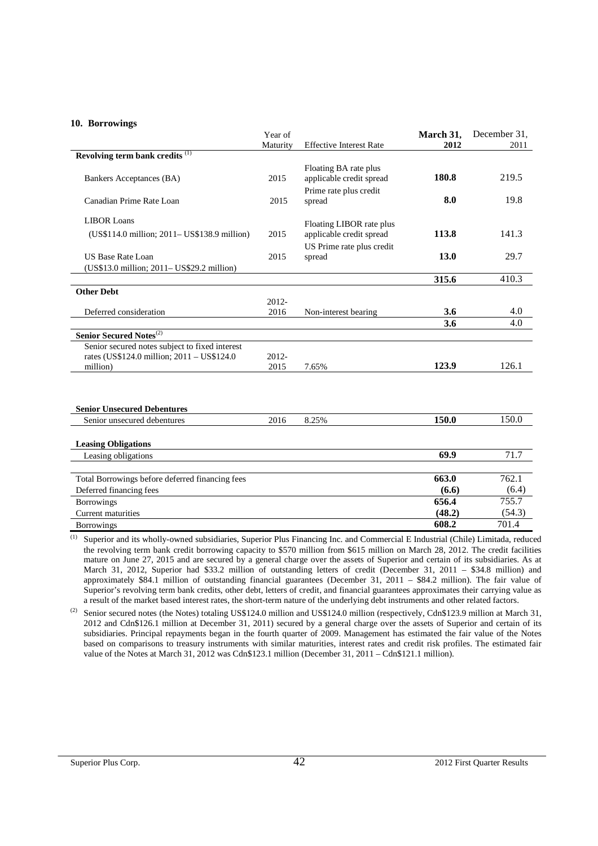#### **10. Borrowings**

|                                                                        | Year of  |                                                      | March 31, | December 31, |
|------------------------------------------------------------------------|----------|------------------------------------------------------|-----------|--------------|
|                                                                        | Maturity | <b>Effective Interest Rate</b>                       | 2012      | 2011         |
| Revolving term bank credits <sup>(1)</sup>                             |          |                                                      |           |              |
| Bankers Acceptances (BA)                                               | 2015     | Floating BA rate plus<br>applicable credit spread    | 180.8     | 219.5        |
| Canadian Prime Rate Loan                                               | 2015     | Prime rate plus credit<br>spread                     | 8.0       | 19.8         |
| <b>LIBOR Loans</b>                                                     |          |                                                      |           |              |
| (US\$114.0 million; 2011– US\$138.9 million)                           | 2015     | Floating LIBOR rate plus<br>applicable credit spread | 113.8     | 141.3        |
| <b>US Base Rate Loan</b><br>(US\$13.0 million; 2011– US\$29.2 million) | 2015     | US Prime rate plus credit<br>spread                  | 13.0      | 29.7         |
|                                                                        |          |                                                      | 315.6     | 410.3        |
| <b>Other Debt</b>                                                      |          |                                                      |           |              |
|                                                                        | 2012-    |                                                      |           |              |
| Deferred consideration                                                 | 2016     | Non-interest bearing                                 | 3.6       | 4.0          |
|                                                                        |          |                                                      | 3.6       | 4.0          |
| Senior Secured Notes <sup>(2)</sup>                                    |          |                                                      |           |              |
| Senior secured notes subject to fixed interest                         |          |                                                      |           |              |
| rates (US\$124.0 million; 2011 - US\$124.0                             | 2012-    |                                                      |           |              |
| million)                                                               | 2015     | 7.65%                                                | 123.9     | 126.1        |
| <b>Senior Unsecured Debentures</b><br>Senior unsecured debentures      | 2016     | 8.25%                                                | 150.0     | 150.0        |
| <b>Leasing Obligations</b>                                             |          |                                                      |           |              |
| Leasing obligations                                                    |          |                                                      | 69.9      | 71.7         |
|                                                                        |          |                                                      |           |              |
| Total Borrowings before deferred financing fees                        |          |                                                      | 663.0     | 762.1        |
| Deferred financing fees                                                |          |                                                      | (6.6)     | (6.4)        |
| <b>Borrowings</b>                                                      |          |                                                      | 656.4     | 755.7        |
| Current maturities                                                     |          |                                                      | (48.2)    | (54.3)       |
| <b>Borrowings</b>                                                      |          |                                                      | 608.2     | 701.4        |
|                                                                        |          |                                                      |           |              |

(1) Superior and its wholly-owned subsidiaries, Superior Plus Financing Inc. and Commercial E Industrial (Chile) Limitada, reduced the revolving term bank credit borrowing capacity to \$570 million from \$615 million on March 28, 2012. The credit facilities mature on June 27, 2015 and are secured by a general charge over the assets of Superior and certain of its subsidiaries. As at March 31, 2012, Superior had \$33.2 million of outstanding letters of credit (December 31, 2011 – \$34.8 million) and approximately \$84.1 million of outstanding financial guarantees (December 31, 2011 – \$84.2 million). The fair value of Superior's revolving term bank credits, other debt, letters of credit, and financial guarantees approximates their carrying value as a result of the market based interest rates, the short-term nature of the underlying debt instruments and other related factors.

<sup>(2)</sup> Senior secured notes (the Notes) totaling US\$124.0 million and US\$124.0 million (respectively, Cdn\$123.9 million at March 31, 2012 and Cdn\$126.1 million at December 31, 2011) secured by a general charge over the assets of Superior and certain of its subsidiaries. Principal repayments began in the fourth quarter of 2009. Management has estimated the fair value of the Notes based on comparisons to treasury instruments with similar maturities, interest rates and credit risk profiles. The estimated fair value of the Notes at March 31, 2012 was Cdn\$123.1 million (December 31, 2011 – Cdn\$121.1 million).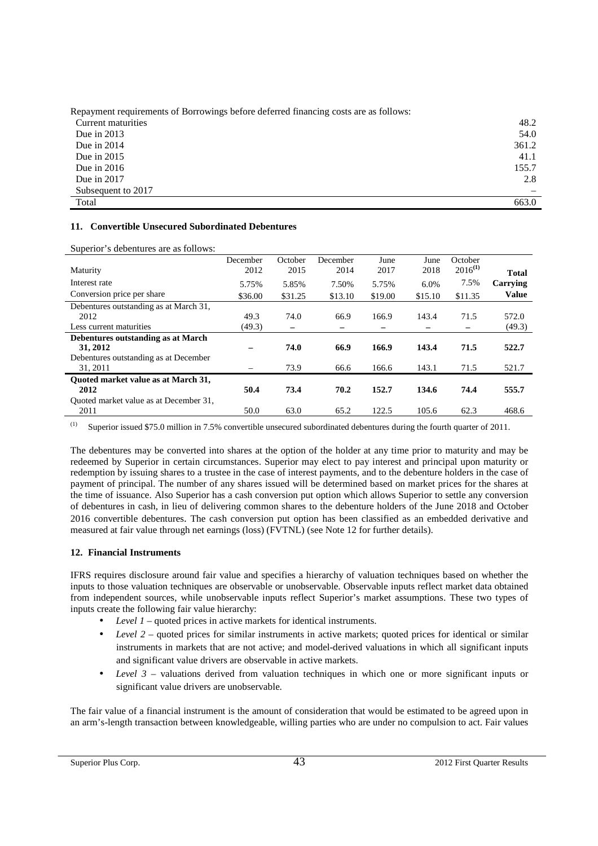| Repayment requirements of Borrowings before deferred financing costs are as follows: |       |
|--------------------------------------------------------------------------------------|-------|
| Current maturities                                                                   | 48.2  |
| Due in $2013$                                                                        | 54.0  |
| Due in $2014$                                                                        | 361.2 |
| Due in $2015$                                                                        | 41.1  |
| Due in $2016$                                                                        | 155.7 |
| Due in $2017$                                                                        | 2.8   |
| Subsequent to 2017                                                                   |       |
| Total                                                                                | 663.0 |

### **11. Convertible Unsecured Subordinated Debentures**

| Superior s dependities are as follows.     |                  |                          |                  |              |              |                         |              |
|--------------------------------------------|------------------|--------------------------|------------------|--------------|--------------|-------------------------|--------------|
| Maturity                                   | December<br>2012 | October<br>2015          | December<br>2014 | June<br>2017 | June<br>2018 | October<br>$2016^{(1)}$ | <b>Total</b> |
| Interest rate                              | 5.75%            | 5.85%                    | 7.50%            | 5.75%        | 6.0%         | 7.5%                    | Carrying     |
| Conversion price per share                 | \$36.00          | \$31.25                  | \$13.10          | \$19.00      | \$15.10      | \$11.35                 | <b>Value</b> |
| Debentures outstanding as at March 31,     |                  |                          |                  |              |              |                         |              |
| 2012                                       | 49.3             | 74.0                     | 66.9             | 166.9        | 143.4        | 71.5                    | 572.0        |
| Less current maturities                    | (49.3)           | $\overline{\phantom{0}}$ |                  |              |              |                         | (49.3)       |
| Debentures outstanding as at March         |                  |                          |                  |              |              |                         |              |
| 31, 2012                                   | -                | 74.0                     | 66.9             | 166.9        | 143.4        | 71.5                    | 522.7        |
| Debentures outstanding as at December      |                  |                          |                  |              |              |                         |              |
| 31, 2011                                   |                  | 73.9                     | 66.6             | 166.6        | 143.1        | 71.5                    | 521.7        |
| <b>Ouoted market value as at March 31,</b> |                  |                          |                  |              |              |                         |              |
| 2012                                       | 50.4             | 73.4                     | 70.2             | 152.7        | 134.6        | 74.4                    | 555.7        |
| Quoted market value as at December 31,     |                  |                          |                  |              |              |                         |              |
| 2011                                       | 50.0             | 63.0                     | 65.2             | 122.5        | 105.6        | 62.3                    | 468.6        |
|                                            |                  |                          |                  |              |              |                         |              |

Superior's debentures are as follows:

(1) Superior issued \$75.0 million in 7.5% convertible unsecured subordinated debentures during the fourth quarter of 2011.

The debentures may be converted into shares at the option of the holder at any time prior to maturity and may be redeemed by Superior in certain circumstances. Superior may elect to pay interest and principal upon maturity or redemption by issuing shares to a trustee in the case of interest payments, and to the debenture holders in the case of payment of principal. The number of any shares issued will be determined based on market prices for the shares at the time of issuance. Also Superior has a cash conversion put option which allows Superior to settle any conversion of debentures in cash, in lieu of delivering common shares to the debenture holders of the June 2018 and October 2016 convertible debentures. The cash conversion put option has been classified as an embedded derivative and measured at fair value through net earnings (loss) (FVTNL) (see Note 12 for further details).

#### **12. Financial Instruments**

IFRS requires disclosure around fair value and specifies a hierarchy of valuation techniques based on whether the inputs to those valuation techniques are observable or unobservable. Observable inputs reflect market data obtained from independent sources, while unobservable inputs reflect Superior's market assumptions. These two types of inputs create the following fair value hierarchy:

- *Level 1* quoted prices in active markets for identical instruments.
- *Level 2* quoted prices for similar instruments in active markets; quoted prices for identical or similar instruments in markets that are not active; and model-derived valuations in which all significant inputs and significant value drivers are observable in active markets.
- Level 3 valuations derived from valuation techniques in which one or more significant inputs or significant value drivers are unobservable.

The fair value of a financial instrument is the amount of consideration that would be estimated to be agreed upon in an arm's-length transaction between knowledgeable, willing parties who are under no compulsion to act. Fair values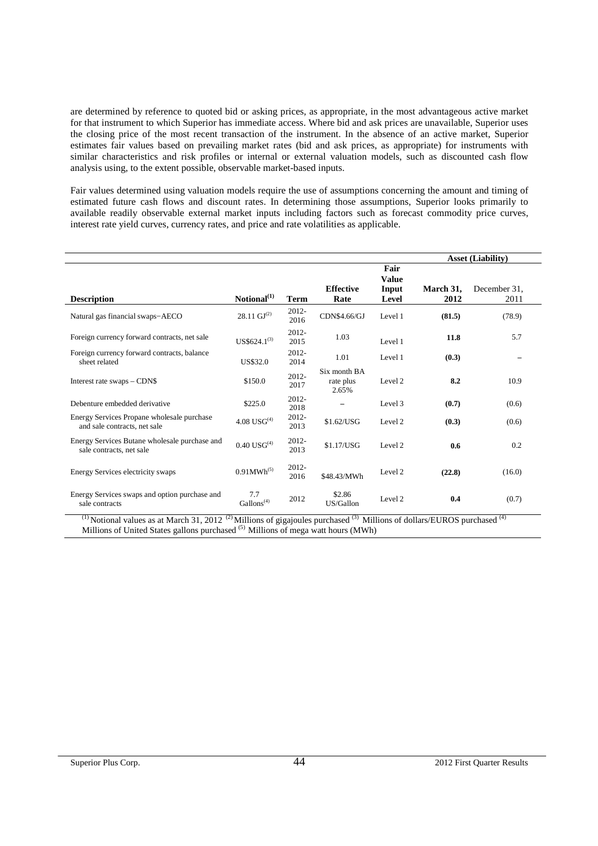are determined by reference to quoted bid or asking prices, as appropriate, in the most advantageous active market for that instrument to which Superior has immediate access. Where bid and ask prices are unavailable, Superior uses the closing price of the most recent transaction of the instrument. In the absence of an active market, Superior estimates fair values based on prevailing market rates (bid and ask prices, as appropriate) for instruments with similar characteristics and risk profiles or internal or external valuation models, such as discounted cash flow analysis using, to the extent possible, observable market-based inputs.

Fair values determined using valuation models require the use of assumptions concerning the amount and timing of estimated future cash flows and discount rates. In determining those assumptions, Superior looks primarily to available readily observable external market inputs including factors such as forecast commodity price curves, interest rate yield curves, currency rates, and price and rate volatilities as applicable.

|                                                                            |                               |               |                                    |                                               |                   | <b>Asset (Liability)</b> |
|----------------------------------------------------------------------------|-------------------------------|---------------|------------------------------------|-----------------------------------------------|-------------------|--------------------------|
| <b>Description</b>                                                         | Notional <sup>(1)</sup>       | <b>Term</b>   | <b>Effective</b><br>Rate           | Fair<br><b>Value</b><br>Input<br><b>Level</b> | March 31,<br>2012 | December 31.<br>2011     |
| Natural gas financial swaps-AECO                                           | $28.11 \text{ GJ}^{(2)}$      | 2012-<br>2016 | CDN\$4.66/GJ                       | Level 1                                       | (81.5)            | (78.9)                   |
| Foreign currency forward contracts, net sale                               | $US$624.1^{(3)}$              | 2012-<br>2015 | 1.03                               | Level 1                                       | 11.8              | 5.7                      |
| Foreign currency forward contracts, balance<br>sheet related               | US\$32.0                      | 2012-<br>2014 | 1.01                               | Level 1                                       | (0.3)             |                          |
| Interest rate swaps $-$ CDN\$                                              | \$150.0                       | 2012-<br>2017 | Six month BA<br>rate plus<br>2.65% | Level 2                                       | 8.2               | 10.9                     |
| Debenture embedded derivative                                              | \$225.0                       | 2012-<br>2018 |                                    | Level 3                                       | (0.7)             | (0.6)                    |
| Energy Services Propane wholesale purchase<br>and sale contracts, net sale | $4.08$ $\mathrm{USG}^{(4)}$   | 2012-<br>2013 | \$1.62/USG                         | Level 2                                       | (0.3)             | (0.6)                    |
| Energy Services Butane wholesale purchase and<br>sale contracts, net sale  | $0.40$ USG <sup>(4)</sup>     | 2012-<br>2013 | \$1.17/USG                         | Level 2                                       | 0.6               | 0.2                      |
| Energy Services electricity swaps                                          | $0.91MWh^{(5)}$               | 2012-<br>2016 | \$48.43/MWh                        | Level 2                                       | (22.8)            | (16.0)                   |
| Energy Services swaps and option purchase and<br>sale contracts            | 7.7<br>$\text{Gallons}^{(4)}$ | 2012          | \$2.86<br>US/Gallon                | Level 2                                       | 0.4               | (0.7)                    |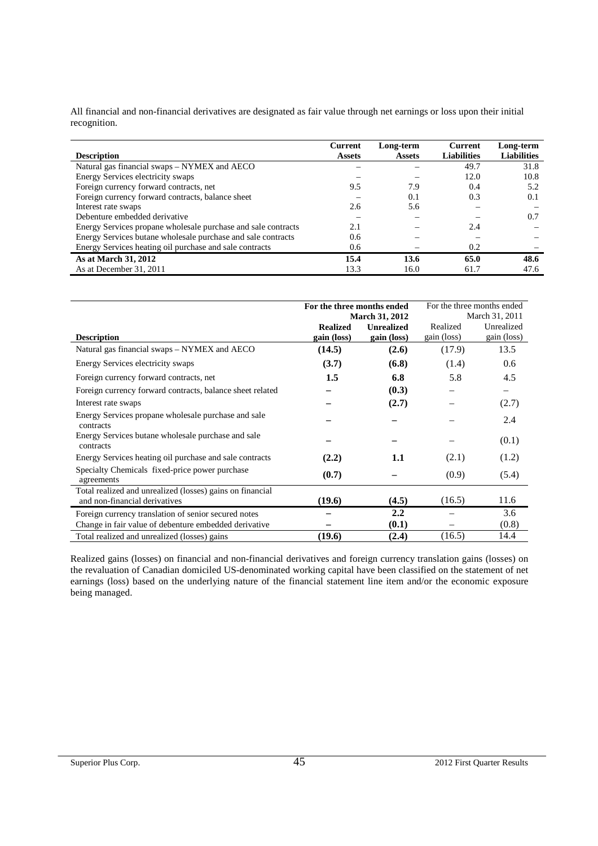|              | All financial and non-financial derivatives are designated as fair value through net earnings or loss upon their initial |  |
|--------------|--------------------------------------------------------------------------------------------------------------------------|--|
| recognition. |                                                                                                                          |  |

| <b>Description</b>                                            | Current<br><b>Assets</b> | Long-term<br><b>Assets</b> | Current<br><b>Liabilities</b> | Long-term<br><b>Liabilities</b> |
|---------------------------------------------------------------|--------------------------|----------------------------|-------------------------------|---------------------------------|
| Natural gas financial swaps - NYMEX and AECO                  |                          |                            | 49.7                          | 31.8                            |
| Energy Services electricity swaps                             |                          |                            | 12.0                          | 10.8                            |
| Foreign currency forward contracts, net                       | 9.5                      | 7.9                        | 0.4                           | 5.2                             |
| Foreign currency forward contracts, balance sheet             |                          | 0.1                        | 0.3                           | 0.1                             |
| Interest rate swaps                                           | 2.6                      | 5.6                        |                               |                                 |
| Debenture embedded derivative                                 |                          |                            |                               | 0.7                             |
| Energy Services propane wholesale purchase and sale contracts | 2.1                      |                            | 2.4                           |                                 |
| Energy Services butane wholesale purchase and sale contracts  | 0.6                      |                            |                               |                                 |
| Energy Services heating oil purchase and sale contracts       | 0.6                      |                            | 0.2                           |                                 |
| As at March 31, 2012                                          | 15.4                     | 13.6                       | 65.0                          | 48.6                            |
| As at December 31, 2011                                       | 13.3                     | 16.0                       | 61.7                          | 47.6                            |

|                                                                                            | For the three months ended |                       | For the three months ended |             |
|--------------------------------------------------------------------------------------------|----------------------------|-----------------------|----------------------------|-------------|
|                                                                                            |                            | <b>March 31, 2012</b> | March 31, 2011             |             |
|                                                                                            | <b>Realized</b>            | <b>Unrealized</b>     | Realized                   | Unrealized  |
| <b>Description</b>                                                                         | gain (loss)                | gain (loss)           | gain (loss)                | gain (loss) |
| Natural gas financial swaps - NYMEX and AECO                                               | (14.5)                     | (2.6)                 | (17.9)                     | 13.5        |
| Energy Services electricity swaps                                                          | (3.7)                      | (6.8)                 | (1.4)                      | 0.6         |
| Foreign currency forward contracts, net                                                    | 1.5                        | 6.8                   | 5.8                        | 4.5         |
| Foreign currency forward contracts, balance sheet related                                  |                            | (0.3)                 |                            |             |
| Interest rate swaps                                                                        |                            | (2.7)                 |                            | (2.7)       |
| Energy Services propane wholesale purchase and sale<br>contracts                           |                            |                       |                            | 2.4         |
| Energy Services butane wholesale purchase and sale<br>contracts                            |                            |                       |                            | (0.1)       |
| Energy Services heating oil purchase and sale contracts                                    | (2.2)                      | 1.1                   | (2.1)                      | (1.2)       |
| Specialty Chemicals fixed-price power purchase<br>agreements                               | (0.7)                      |                       | (0.9)                      | (5.4)       |
| Total realized and unrealized (losses) gains on financial<br>and non-financial derivatives | (19.6)                     | (4.5)                 | (16.5)                     | 11.6        |
| Foreign currency translation of senior secured notes                                       |                            | 2.2                   |                            | 3.6         |
| Change in fair value of debenture embedded derivative                                      |                            | (0.1)                 |                            | (0.8)       |
| Total realized and unrealized (losses) gains                                               | (19.6)                     | (2.4)                 | (16.5)                     | 14.4        |

Realized gains (losses) on financial and non-financial derivatives and foreign currency translation gains (losses) on the revaluation of Canadian domiciled US-denominated working capital have been classified on the statement of net earnings (loss) based on the underlying nature of the financial statement line item and/or the economic exposure being managed.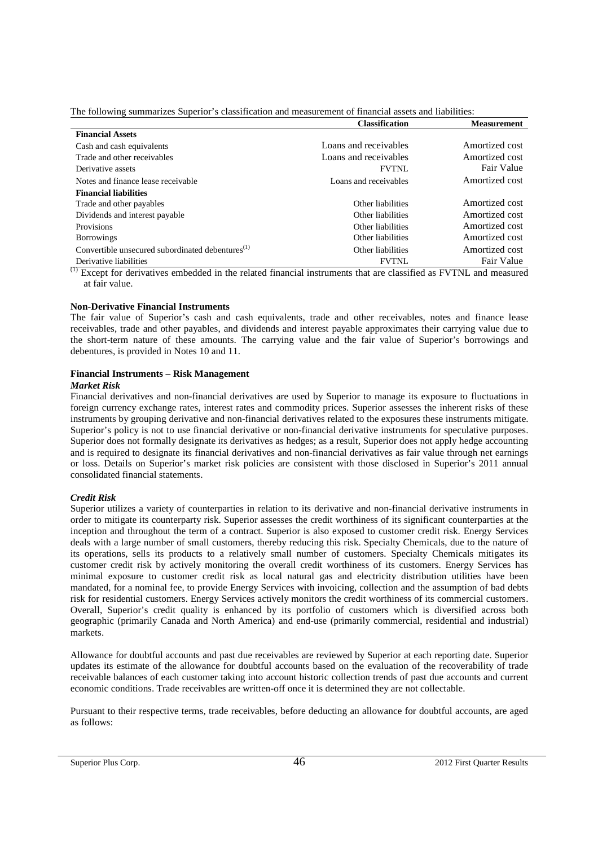The following summarizes Superior's classification and measurement of financial assets and liabilities:

|                                                        | <b>Classification</b> | <b>Measurement</b> |
|--------------------------------------------------------|-----------------------|--------------------|
| <b>Financial Assets</b>                                |                       |                    |
| Cash and cash equivalents                              | Loans and receivables | Amortized cost     |
| Trade and other receivables                            | Loans and receivables | Amortized cost     |
| Derivative assets                                      | <b>FVTNL</b>          | Fair Value         |
| Notes and finance lease receivable                     | Loans and receivables | Amortized cost     |
| <b>Financial liabilities</b>                           |                       |                    |
| Trade and other payables                               | Other liabilities     | Amortized cost     |
| Dividends and interest payable                         | Other liabilities     | Amortized cost     |
| Provisions                                             | Other liabilities     | Amortized cost     |
| <b>Borrowings</b>                                      | Other liabilities     | Amortized cost     |
| Convertible unsecured subordinated debentures $^{(1)}$ | Other liabilities     | Amortized cost     |
| Derivative liabilities                                 | <b>FVTNL</b>          | Fair Value         |

 $\overline{^{(1)}}$  Except for derivatives embedded in the related financial instruments that are classified as FVTNL and measured at fair value.

### **Non-Derivative Financial Instruments**

The fair value of Superior's cash and cash equivalents, trade and other receivables, notes and finance lease receivables, trade and other payables, and dividends and interest payable approximates their carrying value due to the short-term nature of these amounts. The carrying value and the fair value of Superior's borrowings and debentures, is provided in Notes 10 and 11.

### **Financial Instruments – Risk Management**

#### *Market Risk*

Financial derivatives and non-financial derivatives are used by Superior to manage its exposure to fluctuations in foreign currency exchange rates, interest rates and commodity prices. Superior assesses the inherent risks of these instruments by grouping derivative and non-financial derivatives related to the exposures these instruments mitigate. Superior's policy is not to use financial derivative or non-financial derivative instruments for speculative purposes. Superior does not formally designate its derivatives as hedges; as a result, Superior does not apply hedge accounting and is required to designate its financial derivatives and non-financial derivatives as fair value through net earnings or loss. Details on Superior's market risk policies are consistent with those disclosed in Superior's 2011 annual consolidated financial statements.

#### *Credit Risk*

Superior utilizes a variety of counterparties in relation to its derivative and non-financial derivative instruments in order to mitigate its counterparty risk. Superior assesses the credit worthiness of its significant counterparties at the inception and throughout the term of a contract. Superior is also exposed to customer credit risk. Energy Services deals with a large number of small customers, thereby reducing this risk. Specialty Chemicals, due to the nature of its operations, sells its products to a relatively small number of customers. Specialty Chemicals mitigates its customer credit risk by actively monitoring the overall credit worthiness of its customers. Energy Services has minimal exposure to customer credit risk as local natural gas and electricity distribution utilities have been mandated, for a nominal fee, to provide Energy Services with invoicing, collection and the assumption of bad debts risk for residential customers. Energy Services actively monitors the credit worthiness of its commercial customers. Overall, Superior's credit quality is enhanced by its portfolio of customers which is diversified across both geographic (primarily Canada and North America) and end-use (primarily commercial, residential and industrial) markets.

Allowance for doubtful accounts and past due receivables are reviewed by Superior at each reporting date. Superior updates its estimate of the allowance for doubtful accounts based on the evaluation of the recoverability of trade receivable balances of each customer taking into account historic collection trends of past due accounts and current economic conditions. Trade receivables are written-off once it is determined they are not collectable.

Pursuant to their respective terms, trade receivables, before deducting an allowance for doubtful accounts, are aged as follows: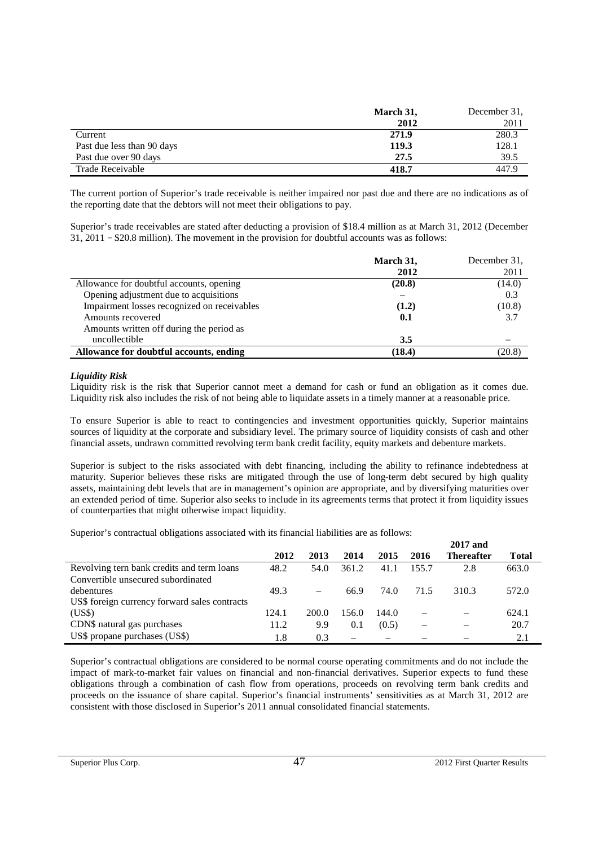|                            | March 31, | December 31, |
|----------------------------|-----------|--------------|
|                            | 2012      | 2011         |
| Current                    | 271.9     | 280.3        |
| Past due less than 90 days | 119.3     | 128.1        |
| Past due over 90 days      | 27.5      | 39.5         |
| Trade Receivable           | 418.7     | 447.9        |

The current portion of Superior's trade receivable is neither impaired nor past due and there are no indications as of the reporting date that the debtors will not meet their obligations to pay.

Superior's trade receivables are stated after deducting a provision of \$18.4 million as at March 31, 2012 (December 31, 2011 − \$20.8 million). The movement in the provision for doubtful accounts was as follows:

|                                             | March 31, | December 31, |
|---------------------------------------------|-----------|--------------|
|                                             | 2012      | 2011         |
| Allowance for doubtful accounts, opening    | (20.8)    | (14.0)       |
| Opening adjustment due to acquisitions      |           | 0.3          |
| Impairment losses recognized on receivables | (1.2)     | (10.8)       |
| Amounts recovered                           | 0.1       | 3.7          |
| Amounts written off during the period as    |           |              |
| uncollectible                               | 3.5       |              |
| Allowance for doubtful accounts, ending     | (18.4)    | (20.8)       |

#### *Liquidity Risk*

Liquidity risk is the risk that Superior cannot meet a demand for cash or fund an obligation as it comes due. Liquidity risk also includes the risk of not being able to liquidate assets in a timely manner at a reasonable price.

To ensure Superior is able to react to contingencies and investment opportunities quickly, Superior maintains sources of liquidity at the corporate and subsidiary level. The primary source of liquidity consists of cash and other financial assets, undrawn committed revolving term bank credit facility, equity markets and debenture markets.

Superior is subject to the risks associated with debt financing, including the ability to refinance indebtedness at maturity. Superior believes these risks are mitigated through the use of long-term debt secured by high quality assets, maintaining debt levels that are in management's opinion are appropriate, and by diversifying maturities over an extended period of time. Superior also seeks to include in its agreements terms that protect it from liquidity issues of counterparties that might otherwise impact liquidity.

Superior's contractual obligations associated with its financial liabilities are as follows:

|                                               |       |                          |       |       |       | 2017 and          |       |
|-----------------------------------------------|-------|--------------------------|-------|-------|-------|-------------------|-------|
|                                               | 2012  | 2013                     | 2014  | 2015  | 2016  | <b>Thereafter</b> | Total |
| Revolving tern bank credits and term loans    | 48.2  | 54.0                     | 361.2 | 41.1  | 155.7 | 2.8               | 663.0 |
| Convertible unsecured subordinated            |       |                          |       |       |       |                   |       |
| debentures                                    | 49.3  | $\overline{\phantom{0}}$ | 66.9  | 74.0  | 71.5  | 310.3             | 572.0 |
| US\$ foreign currency forward sales contracts |       |                          |       |       |       |                   |       |
| (USS)                                         | 124.1 | 200.0                    | 156.0 | 144.0 |       |                   | 624.1 |
| CDN\$ natural gas purchases                   | 11.2  | 9.9                      | 0.1   | (0.5) |       |                   | 20.7  |
| US\$ propane purchases (US\$)                 | 1.8   | 0.3                      |       |       |       |                   | 2.1   |

Superior's contractual obligations are considered to be normal course operating commitments and do not include the impact of mark-to-market fair values on financial and non-financial derivatives. Superior expects to fund these obligations through a combination of cash flow from operations, proceeds on revolving term bank credits and proceeds on the issuance of share capital. Superior's financial instruments' sensitivities as at March 31, 2012 are consistent with those disclosed in Superior's 2011 annual consolidated financial statements.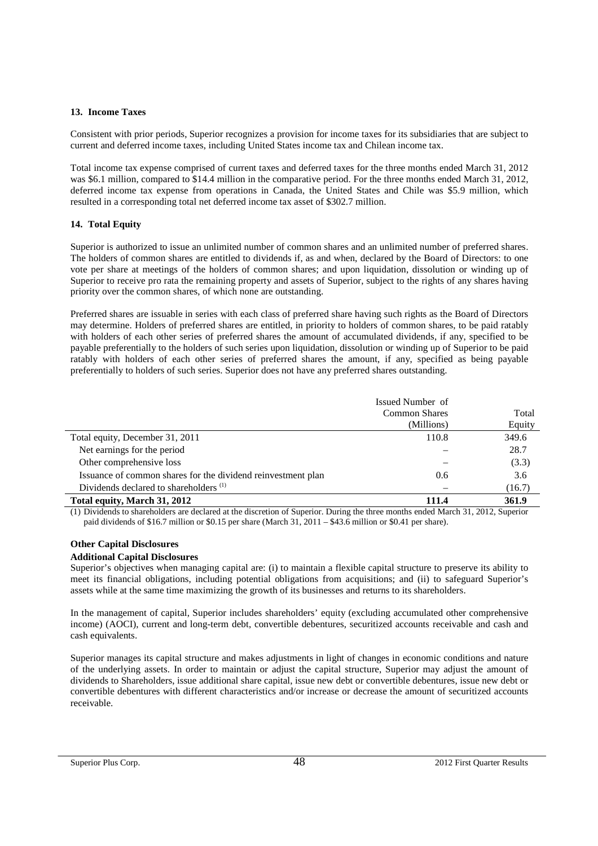### **13. Income Taxes**

Consistent with prior periods, Superior recognizes a provision for income taxes for its subsidiaries that are subject to current and deferred income taxes, including United States income tax and Chilean income tax.

Total income tax expense comprised of current taxes and deferred taxes for the three months ended March 31, 2012 was \$6.1 million, compared to \$14.4 million in the comparative period. For the three months ended March 31, 2012, deferred income tax expense from operations in Canada, the United States and Chile was \$5.9 million, which resulted in a corresponding total net deferred income tax asset of \$302.7 million.

### **14. Total Equity**

Superior is authorized to issue an unlimited number of common shares and an unlimited number of preferred shares. The holders of common shares are entitled to dividends if, as and when, declared by the Board of Directors: to one vote per share at meetings of the holders of common shares; and upon liquidation, dissolution or winding up of Superior to receive pro rata the remaining property and assets of Superior, subject to the rights of any shares having priority over the common shares, of which none are outstanding.

Preferred shares are issuable in series with each class of preferred share having such rights as the Board of Directors may determine. Holders of preferred shares are entitled, in priority to holders of common shares, to be paid ratably with holders of each other series of preferred shares the amount of accumulated dividends, if any, specified to be payable preferentially to the holders of such series upon liquidation, dissolution or winding up of Superior to be paid ratably with holders of each other series of preferred shares the amount, if any, specified as being payable preferentially to holders of such series. Superior does not have any preferred shares outstanding.

|                                                              | Issued Number of     |        |
|--------------------------------------------------------------|----------------------|--------|
|                                                              | <b>Common Shares</b> | Total  |
|                                                              | (Millions)           | Equity |
| Total equity, December 31, 2011                              | 110.8                | 349.6  |
| Net earnings for the period                                  |                      | 28.7   |
| Other comprehensive loss                                     |                      | (3.3)  |
| Issuance of common shares for the dividend reinvestment plan | 0.6                  | 3.6    |
| Dividends declared to shareholders <sup>(1)</sup>            |                      | (16.7) |
| Total equity, March 31, 2012                                 | 111.4                | 361.9  |

(1) Dividends to shareholders are declared at the discretion of Superior. During the three months ended March 31, 2012, Superior paid dividends of \$16.7 million or \$0.15 per share (March 31, 2011 – \$43.6 million or \$0.41 per share).

## **Other Capital Disclosures**

#### **Additional Capital Disclosures**

Superior's objectives when managing capital are: (i) to maintain a flexible capital structure to preserve its ability to meet its financial obligations, including potential obligations from acquisitions; and (ii) to safeguard Superior's assets while at the same time maximizing the growth of its businesses and returns to its shareholders.

In the management of capital, Superior includes shareholders' equity (excluding accumulated other comprehensive income) (AOCI), current and long-term debt, convertible debentures, securitized accounts receivable and cash and cash equivalents.

Superior manages its capital structure and makes adjustments in light of changes in economic conditions and nature of the underlying assets. In order to maintain or adjust the capital structure, Superior may adjust the amount of dividends to Shareholders, issue additional share capital, issue new debt or convertible debentures, issue new debt or convertible debentures with different characteristics and/or increase or decrease the amount of securitized accounts receivable.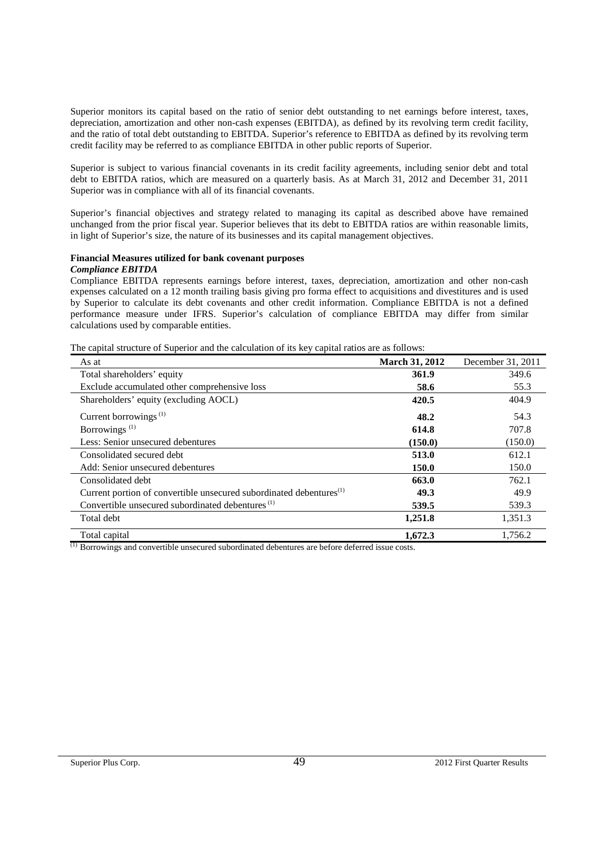Superior monitors its capital based on the ratio of senior debt outstanding to net earnings before interest, taxes, depreciation, amortization and other non-cash expenses (EBITDA), as defined by its revolving term credit facility, and the ratio of total debt outstanding to EBITDA. Superior's reference to EBITDA as defined by its revolving term credit facility may be referred to as compliance EBITDA in other public reports of Superior.

Superior is subject to various financial covenants in its credit facility agreements, including senior debt and total debt to EBITDA ratios, which are measured on a quarterly basis. As at March 31, 2012 and December 31, 2011 Superior was in compliance with all of its financial covenants.

Superior's financial objectives and strategy related to managing its capital as described above have remained unchanged from the prior fiscal year. Superior believes that its debt to EBITDA ratios are within reasonable limits, in light of Superior's size, the nature of its businesses and its capital management objectives.

#### **Financial Measures utilized for bank covenant purposes** *Compliance EBITDA*

Compliance EBITDA represents earnings before interest, taxes, depreciation, amortization and other non-cash expenses calculated on a 12 month trailing basis giving pro forma effect to acquisitions and divestitures and is used by Superior to calculate its debt covenants and other credit information. Compliance EBITDA is not a defined performance measure under IFRS. Superior's calculation of compliance EBITDA may differ from similar calculations used by comparable entities.

The capital structure of Superior and the calculation of its key capital ratios are as follows:

| As at                                                                           | <b>March 31, 2012</b> | December 31, 2011 |
|---------------------------------------------------------------------------------|-----------------------|-------------------|
| Total shareholders' equity                                                      | 361.9                 | 349.6             |
| Exclude accumulated other comprehensive loss                                    | 58.6                  | 55.3              |
| Shareholders' equity (excluding AOCL)                                           | 420.5                 | 404.9             |
| Current borrowings $^{(1)}$                                                     | 48.2                  | 54.3              |
| Borrowings <sup>(1)</sup>                                                       | 614.8                 | 707.8             |
| Less: Senior unsecured debentures                                               | (150.0)               | (150.0)           |
| Consolidated secured debt                                                       | 513.0                 | 612.1             |
| Add: Senior unsecured debentures                                                | <b>150.0</b>          | 150.0             |
| Consolidated debt                                                               | 663.0                 | 762.1             |
| Current portion of convertible unsecured subordinated debentures <sup>(1)</sup> | 49.3                  | 49.9              |
| Convertible unsecured subordinated debentures <sup>(1)</sup>                    | 539.5                 | 539.3             |
| Total debt                                                                      | 1,251.8               | 1,351.3           |
| Total capital                                                                   | 1,672.3               | 1.756.2           |

 $\overline{^{(1)}}$  Borrowings and convertible unsecured subordinated debentures are before deferred issue costs.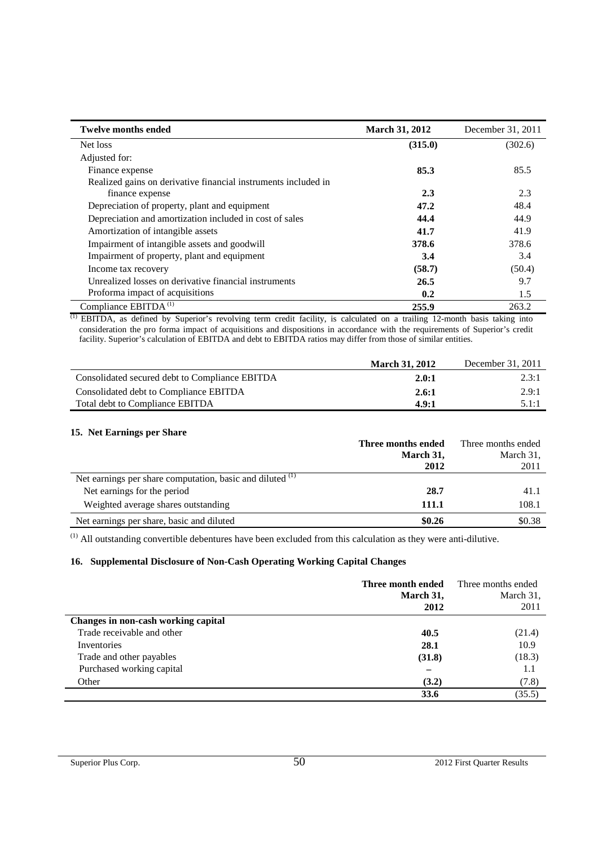| <b>Twelve months ended</b>                                     | <b>March 31, 2012</b> | December 31, 2011 |
|----------------------------------------------------------------|-----------------------|-------------------|
| Net loss                                                       | (315.0)               | (302.6)           |
| Adjusted for:                                                  |                       |                   |
| Finance expense                                                | 85.3                  | 85.5              |
| Realized gains on derivative financial instruments included in |                       |                   |
| finance expense                                                | 2.3                   | 2.3               |
| Depreciation of property, plant and equipment                  | 47.2                  | 48.4              |
| Depreciation and amortization included in cost of sales        | 44.4                  | 44.9              |
| Amortization of intangible assets                              | 41.7                  | 41.9              |
| Impairment of intangible assets and goodwill                   | 378.6                 | 378.6             |
| Impairment of property, plant and equipment                    | 3.4                   | 3.4               |
| Income tax recovery                                            | (58.7)                | (50.4)            |
| Unrealized losses on derivative financial instruments          | 26.5                  | 9.7               |
| Proforma impact of acquisitions                                | 0.2                   | 1.5               |
| Compliance EBITDA <sup>(1)</sup>                               | 255.9                 | 263.2             |

 $<sup>(1)</sup>$  EBITDA, as defined by Superior's revolving term credit facility, is calculated on a trailing 12-month basis taking into</sup> consideration the pro forma impact of acquisitions and dispositions in accordance with the requirements of Superior's credit facility. Superior's calculation of EBITDA and debt to EBITDA ratios may differ from those of similar entities.

|                                                | <b>March 31, 2012</b> | December 31, 2011 |
|------------------------------------------------|-----------------------|-------------------|
| Consolidated secured debt to Compliance EBITDA | 2.0:1                 | 2.3:1             |
| Consolidated debt to Compliance EBITDA         | 2.6:1                 | 2.9:1             |
| Total debt to Compliance EBITDA                | 4.9:1                 | 5.1:1             |

#### **15. Net Earnings per Share**

|                                                                      | Three months ended | Three months ended |  |
|----------------------------------------------------------------------|--------------------|--------------------|--|
|                                                                      | March 31,          | March 31,          |  |
|                                                                      | 2012               | 2011               |  |
| Net earnings per share computation, basic and diluted <sup>(1)</sup> |                    |                    |  |
| Net earnings for the period                                          | 28.7               | 41.1               |  |
| Weighted average shares outstanding                                  | 111.1              | 108.1              |  |
| Net earnings per share, basic and diluted                            | \$0.26             | \$0.38             |  |

(1) All outstanding convertible debentures have been excluded from this calculation as they were anti-dilutive.

## **16. Supplemental Disclosure of Non-Cash Operating Working Capital Changes**

|                                     | Three month ended<br>March 31, | Three months ended<br>March 31, |  |
|-------------------------------------|--------------------------------|---------------------------------|--|
|                                     | 2012                           | 2011                            |  |
| Changes in non-cash working capital |                                |                                 |  |
| Trade receivable and other          | 40.5                           | (21.4)                          |  |
| Inventories                         | 28.1                           | 10.9                            |  |
| Trade and other payables            | (31.8)                         | (18.3)                          |  |
| Purchased working capital           |                                | 1.1                             |  |
| Other                               | (3.2)                          | (7.8)                           |  |
|                                     | 33.6                           | (35.5)                          |  |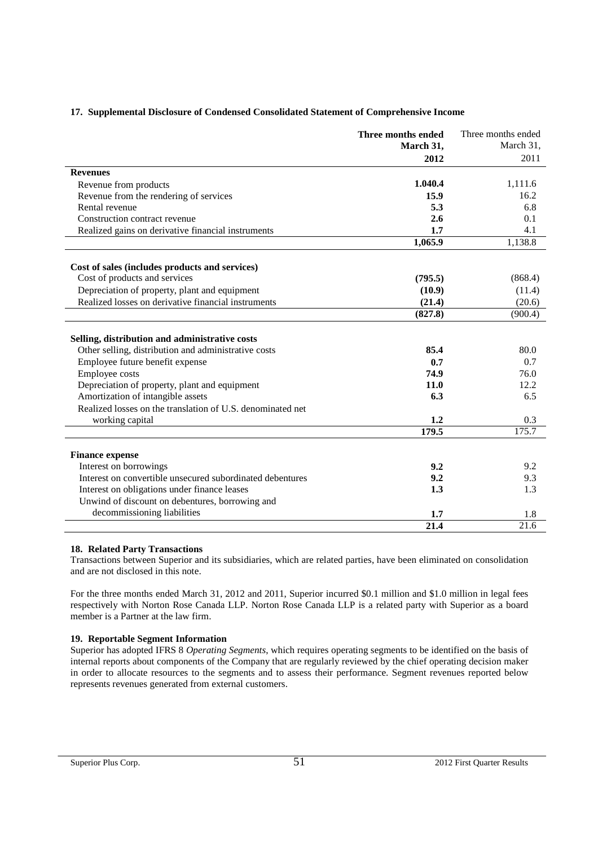|                                                                                     | Three months ended | Three months ended |
|-------------------------------------------------------------------------------------|--------------------|--------------------|
|                                                                                     | March 31,          | March 31,          |
|                                                                                     | 2012               | 2011               |
| <b>Revenues</b>                                                                     |                    |                    |
| Revenue from products                                                               | 1.040.4            | 1,111.6            |
| Revenue from the rendering of services                                              | 15.9               | 16.2               |
| Rental revenue                                                                      | 5.3                | 6.8                |
| Construction contract revenue                                                       | 2.6                | 0.1                |
| Realized gains on derivative financial instruments                                  | 1.7                | 4.1                |
|                                                                                     | 1,065.9            | 1,138.8            |
| Cost of sales (includes products and services)                                      |                    |                    |
| Cost of products and services                                                       | (795.5)            | (868.4)            |
| Depreciation of property, plant and equipment                                       | (10.9)             | (11.4)             |
| Realized losses on derivative financial instruments                                 | (21.4)             | (20.6)             |
|                                                                                     | (827.8)            | (900.4)            |
| Selling, distribution and administrative costs                                      |                    |                    |
| Other selling, distribution and administrative costs                                | 85.4               | 80.0               |
| Employee future benefit expense                                                     | 0.7                | 0.7                |
| Employee costs                                                                      | 74.9               | 76.0               |
| Depreciation of property, plant and equipment                                       | 11.0               | 12.2               |
| Amortization of intangible assets                                                   | 6.3                | 6.5                |
| Realized losses on the translation of U.S. denominated net                          |                    |                    |
| working capital                                                                     | 1.2                | 0.3                |
|                                                                                     | 179.5              | 175.7              |
|                                                                                     |                    |                    |
| <b>Finance expense</b>                                                              | 9.2                | 9.2                |
| Interest on borrowings<br>Interest on convertible unsecured subordinated debentures | 9.2                | 9.3                |
|                                                                                     | 1.3                | 1.3                |
| Interest on obligations under finance leases                                        |                    |                    |
| Unwind of discount on debentures, borrowing and                                     |                    |                    |
| decommissioning liabilities                                                         | 1.7                | 1.8                |
|                                                                                     | 21.4               | 21.6               |

### **17. Supplemental Disclosure of Condensed Consolidated Statement of Comprehensive Income**

#### **18. Related Party Transactions**

Transactions between Superior and its subsidiaries, which are related parties, have been eliminated on consolidation and are not disclosed in this note.

For the three months ended March 31, 2012 and 2011, Superior incurred \$0.1 million and \$1.0 million in legal fees respectively with Norton Rose Canada LLP. Norton Rose Canada LLP is a related party with Superior as a board member is a Partner at the law firm.

### **19. Reportable Segment Information**

Superior has adopted IFRS 8 *Operating Segments*, which requires operating segments to be identified on the basis of internal reports about components of the Company that are regularly reviewed by the chief operating decision maker in order to allocate resources to the segments and to assess their performance. Segment revenues reported below represents revenues generated from external customers.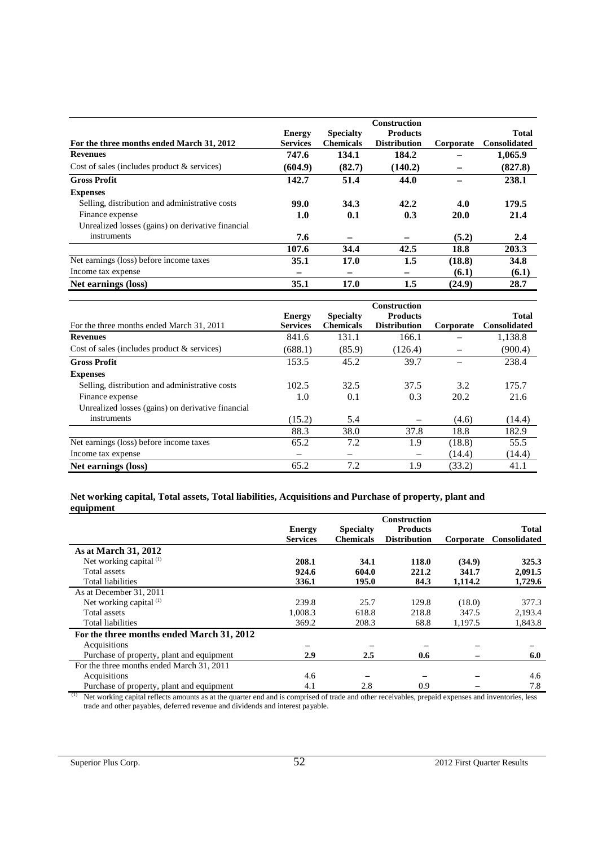|                                                   | <b>Construction</b> |                  |                     |           |                     |
|---------------------------------------------------|---------------------|------------------|---------------------|-----------|---------------------|
|                                                   | <b>Energy</b>       | <b>Specialty</b> | <b>Products</b>     |           | <b>Total</b>        |
| For the three months ended March 31, 2012         | <b>Services</b>     | <b>Chemicals</b> | <b>Distribution</b> | Corporate | <b>Consolidated</b> |
| <b>Revenues</b>                                   | 747.6               | 134.1            | 184.2               |           | 1,065.9             |
| Cost of sales (includes product $\&$ services)    | (604.9)             | (82.7)           | (140.2)             |           | (827.8)             |
| <b>Gross Profit</b>                               | 142.7               | 51.4             | 44.0                |           | 238.1               |
| <b>Expenses</b>                                   |                     |                  |                     |           |                     |
| Selling, distribution and administrative costs    | 99.0                | 34.3             | 42.2                | 4.0       | 179.5               |
| Finance expense                                   | 1.0                 | 0.1              | 0.3                 | 20.0      | 21.4                |
| Unrealized losses (gains) on derivative financial |                     |                  |                     |           |                     |
| instruments                                       | 7.6                 |                  |                     | (5.2)     | 2.4                 |
|                                                   | 107.6               | 34.4             | 42.5                | 18.8      | 203.3               |
| Net earnings (loss) before income taxes           | 35.1                | 17.0             | $1.5\,$             | (18.8)    | 34.8                |
| Income tax expense                                |                     |                  | —                   | (6.1)     | (6.1)               |
| Net earnings (loss)                               | 35.1                | 17.0             | 1.5                 | (24.9)    | 28.7                |

|                                                   | <b>Construction</b> |                  |                     |           |                     |
|---------------------------------------------------|---------------------|------------------|---------------------|-----------|---------------------|
|                                                   | <b>Energy</b>       | <b>Specialty</b> | <b>Products</b>     |           | <b>Total</b>        |
| For the three months ended March 31, 2011         | <b>Services</b>     | <b>Chemicals</b> | <b>Distribution</b> | Corporate | <b>Consolidated</b> |
| <b>Revenues</b>                                   | 841.6               | 131.1            | 166.1               |           | 1,138.8             |
| Cost of sales (includes product $\&$ services)    | (688.1)             | (85.9)           | (126.4)             |           | (900.4)             |
| <b>Gross Profit</b>                               | 153.5               | 45.2             | 39.7                |           | 238.4               |
| <b>Expenses</b>                                   |                     |                  |                     |           |                     |
| Selling, distribution and administrative costs    | 102.5               | 32.5             | 37.5                | 3.2       | 175.7               |
| Finance expense                                   | 1.0                 | 0.1              | 0.3                 | 20.2      | 21.6                |
| Unrealized losses (gains) on derivative financial |                     |                  |                     |           |                     |
| instruments                                       | (15.2)              | 5.4              |                     | (4.6)     | (14.4)              |
|                                                   | 88.3                | 38.0             | 37.8                | 18.8      | 182.9               |
| Net earnings (loss) before income taxes           | 65.2                | 7.2              | 1.9                 | (18.8)    | 55.5                |
| Income tax expense                                |                     |                  |                     | (14.4)    | (14.4)              |
| Net earnings (loss)                               | 65.2                | 7.2              | 1.9                 | (33.2)    | 41.1                |

### **Net working capital, Total assets, Total liabilities, Acquisitions and Purchase of property, plant and equipment**

|                                           | <b>Construction</b> |                  |                     |           |                     |
|-------------------------------------------|---------------------|------------------|---------------------|-----------|---------------------|
|                                           | <b>Energy</b>       | <b>Specialty</b> | <b>Products</b>     |           | <b>Total</b>        |
|                                           | <b>Services</b>     | <b>Chemicals</b> | <b>Distribution</b> | Corporate | <b>Consolidated</b> |
| As at March 31, 2012                      |                     |                  |                     |           |                     |
| Net working capital $(1)$                 | 208.1               | 34.1             | 118.0               | (34.9)    | 325.3               |
| <b>Total assets</b>                       | 924.6               | 604.0            | 221.2               | 341.7     | 2,091.5             |
| <b>Total liabilities</b>                  | 336.1               | 195.0            | 84.3                | 1,114.2   | 1,729.6             |
| As at December 31, 2011                   |                     |                  |                     |           |                     |
| Net working capital $(1)$                 | 239.8               | 25.7             | 129.8               | (18.0)    | 377.3               |
| Total assets                              | 1.008.3             | 618.8            | 218.8               | 347.5     | 2,193.4             |
| <b>Total liabilities</b>                  | 369.2               | 208.3            | 68.8                | 1,197.5   | 1,843.8             |
| For the three months ended March 31, 2012 |                     |                  |                     |           |                     |
| Acquisitions                              |                     |                  |                     |           |                     |
| Purchase of property, plant and equipment | 2.9                 | 2.5              | 0.6                 |           | 6.0                 |
| For the three months ended March 31, 2011 |                     |                  |                     |           |                     |
| Acquisitions                              | 4.6                 |                  |                     |           | 4.6                 |
| Purchase of property, plant and equipment | 4.1                 | 2.8              | 0.9                 |           | 7.8                 |

<sup>(1)</sup> Net working capital reflects amounts as at the quarter end and is comprised of trade and other receivables, prepaid expenses and inventories, less trade and other payables, deferred revenue and dividends and interest payable.